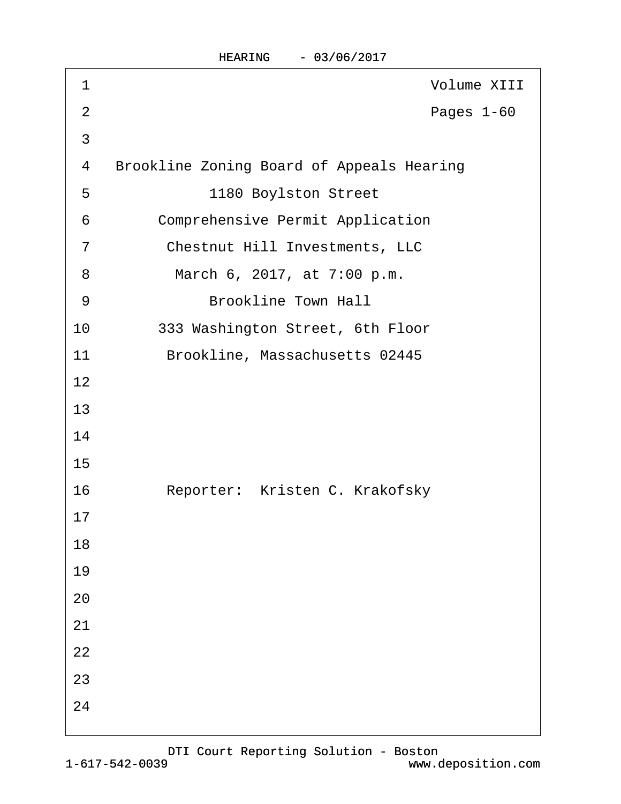| 1              | <b>Volume XIII</b>                               |
|----------------|--------------------------------------------------|
| $\overline{2}$ | Pages 1-60                                       |
| 3              |                                                  |
| 4              | <b>Brookline Zoning Board of Appeals Hearing</b> |
| 5              | 1180 Boylston Street                             |
| 6              | <b>Comprehensive Permit Application</b>          |
| $\overline{7}$ | <b>Chestnut Hill Investments, LLC</b>            |
| 8              | March 6, 2017, at 7:00 p.m.                      |
| 9              | <b>Brookline Town Hall</b>                       |
| 10             | 333 Washington Street, 6th Floor                 |
| 11             | Brookline, Massachusetts 02445                   |
| 12             |                                                  |
| 13             |                                                  |
| 14             |                                                  |
| 15             |                                                  |
| 16             | Reporter: Kristen C. Krakofsky                   |
| 17             |                                                  |
| 18             |                                                  |
| 19             |                                                  |
| 20             |                                                  |
| 21             |                                                  |
| 22             |                                                  |
| 23             |                                                  |
| 24             |                                                  |
|                |                                                  |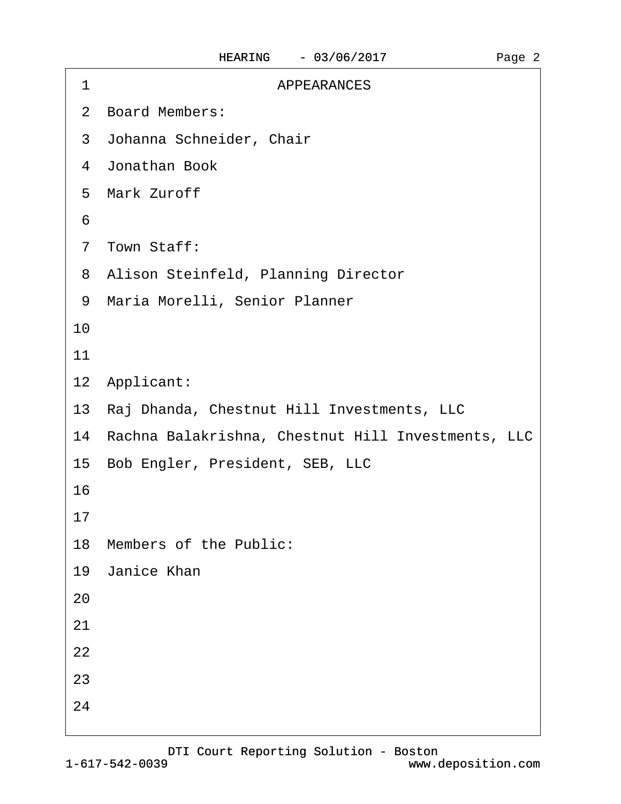| <b>APPEARANCES</b><br>1                               |
|-------------------------------------------------------|
| 2 Board Members:                                      |
| 3 Johanna Schneider, Chair                            |
| 4 Jonathan Book                                       |
| 5 Mark Zuroff                                         |
| 6                                                     |
| 7 Town Staff:                                         |
| 8 Alison Steinfeld, Planning Director                 |
| Maria Morelli, Senior Planner<br>9                    |
| 10                                                    |
| 11                                                    |
| 12 Applicant:                                         |
| 13 Raj Dhanda, Chestnut Hill Investments, LLC         |
| 14 Rachna Balakrishna, Chestnut Hill Investments, LLC |
| 15 Bob Engler, President, SEB, LLC                    |
| 16                                                    |
| 17                                                    |
| 18 Members of the Public:                             |
| 19 Janice Khan                                        |
| 20                                                    |
| 21                                                    |
| 22                                                    |
| 23                                                    |
| 24                                                    |
|                                                       |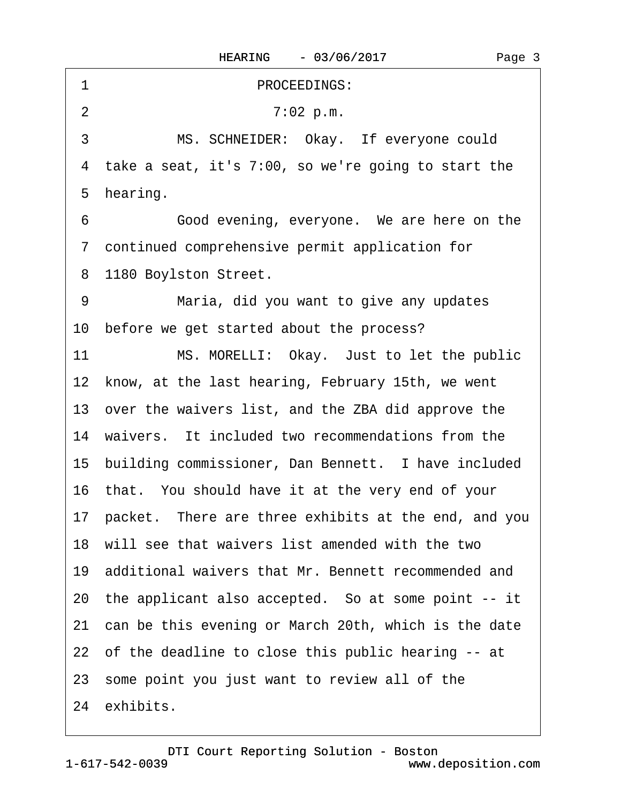·1· · · · · · · · · · ·PROCEEDINGS: 2 7:02 p.m. 3 MS. SCHNEIDER: Okay. If everyone could 4 take a seat, it's 7:00, so we're going to start the 5 hearing. 6 **· · · · · Good evening, everyone.** We are here on the ·7· continued comprehensive permit application for 8 1180 Boylston Street. 9 Maria, did you want to give any updates 10 before we get started about the process? 11 MS. MORELLI: Okay. Just to let the public 12 know, at the last hearing, February 15th, we went 13· over the waivers list, and the ZBA did approve the 14 waivers. It included two recommendations from the 15 building commissioner, Dan Bennett. I have included 16· that.· You should have it at the very end of your 17· packet.· There are three exhibits at the end, and you 18· will see that waivers list amended with the two 19· additional waivers that Mr. Bennett recommended and 20 the applicant also accepted. So at some point -- it 21 can be this evening or March 20th, which is the date 22 of the deadline to close this public hearing -- at 23· some point you just want to review all of the 24 exhibits.

Page 3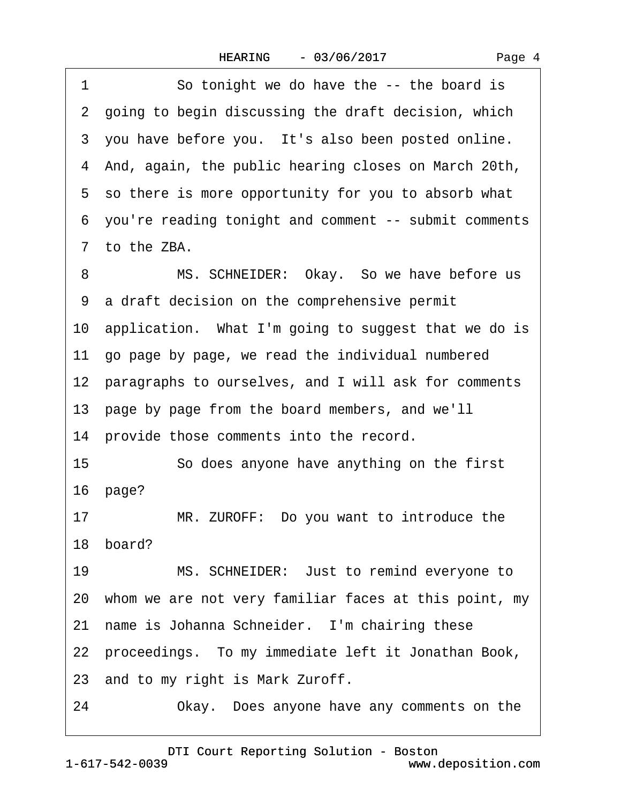1 So tonight we do have the -- the board is 2 going to begin discussing the draft decision, which 3 you have before you. It's also been posted online. ·4· And, again, the public hearing closes on March 20th, 5 so there is more opportunity for you to absorb what ·6· you're reading tonight and comment -- submit comments 7 to the ZBA. 8 MS. SCHNEIDER: Okay. So we have before us ·9· a draft decision on the comprehensive permit 10 application. What I'm going to suggest that we do is 11· go page by page, we read the individual numbered 12 paragraphs to ourselves, and I will ask for comments 13· page by page from the board members, and we'll 14 provide those comments into the record. 15 **· · · So does anyone have anything on the first** 16 page? 17 MR. ZUROFF: Do you want to introduce the 18 hoard? 19 MS. SCHNEIDER: Just to remind everyone to 20· whom we are not very familiar faces at this point, my 21 name is Johanna Schneider. I'm chairing these 22 proceedings. To my immediate left it Jonathan Book, 23 and to my right is Mark Zuroff. 24 Okay. Does anyone have any comments on the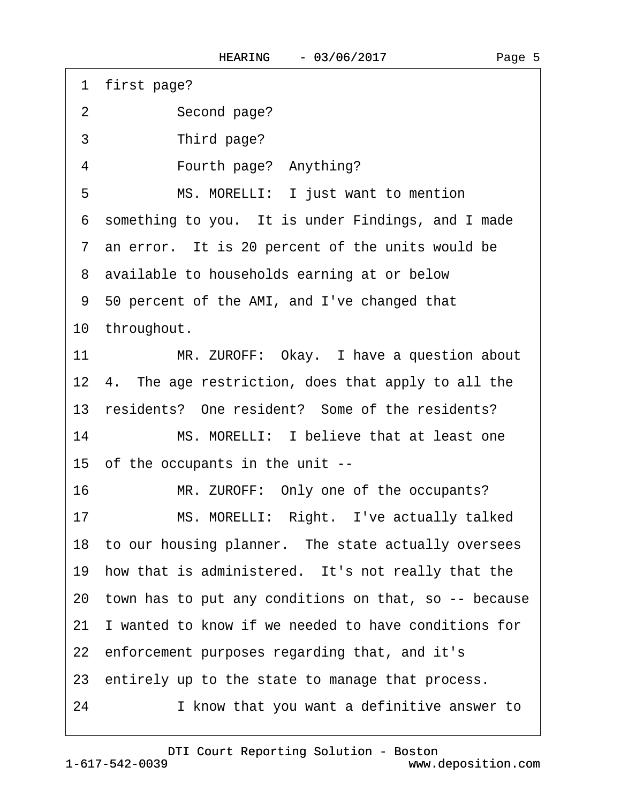1 first page?

2 Second page?

3 Third page?

4 • Fourth page? Anything?

5 MS. MORELLI: I just want to mention

6 something to you. It is under Findings, and I made

7 an error. It is 20 percent of the units would be

8 available to households earning at or below

·9· 50 percent of the AMI, and I've changed that

10 throughout.

11 MR. ZUROFF: Okay. I have a question about

12 4. The age restriction, does that apply to all the

13 residents? One resident? Some of the residents?

14 MS. MORELLI: I believe that at least one 15· of the occupants in the unit --

16 MR. ZUROFF: Only one of the occupants?

17 MS. MORELLI: Right. I've actually talked

18 to our housing planner. The state actually oversees

19 how that is administered. It's not really that the

20· town has to put any conditions on that, so -- because

21 I wanted to know if we needed to have conditions for

22· enforcement purposes regarding that, and it's

23 entirely up to the state to manage that process.

24 I know that you want a definitive answer to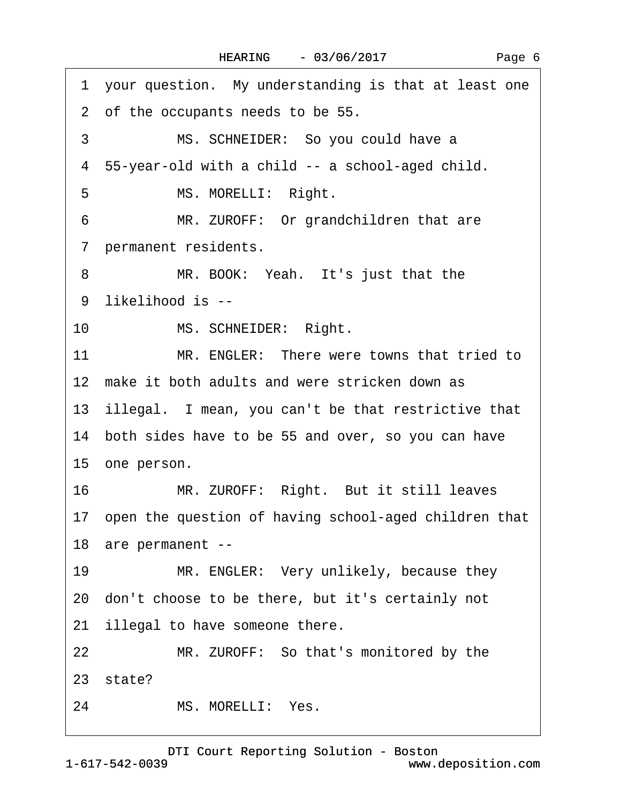| 1 your question. My understanding is that at least one   |
|----------------------------------------------------------|
| 2 of the occupants needs to be 55.                       |
| 3<br>MS. SCHNEIDER: So you could have a                  |
| 4 55-year-old with a child -- a school-aged child.       |
| 5<br>MS. MORELLI: Right.                                 |
| MR. ZUROFF: Or grandchildren that are<br>6               |
| permanent residents.<br>$7\phantom{.}$                   |
| 8<br>MR. BOOK: Yeah. It's just that the                  |
| 9 likelihood is --                                       |
| $10-10$<br>MS. SCHNEIDER: Right.                         |
| 11<br>MR. ENGLER: There were towns that tried to         |
| 12 make it both adults and were stricken down as         |
| 13 illegal. I mean, you can't be that restrictive that   |
| 14 both sides have to be 55 and over, so you can have    |
| 15 one person.                                           |
| MR. ZUROFF: Right. But it still leaves<br>16             |
| 17 open the question of having school-aged children that |
| 18 are permanent --                                      |
| MR. ENGLER: Very unlikely, because they<br>19            |
| 20 don't choose to be there, but it's certainly not      |
| illegal to have someone there.<br>21 <sub>2</sub>        |
| MR. ZUROFF: So that's monitored by the<br>22             |
| 23 state?                                                |
| MS. MORELLI: Yes.<br>24                                  |
|                                                          |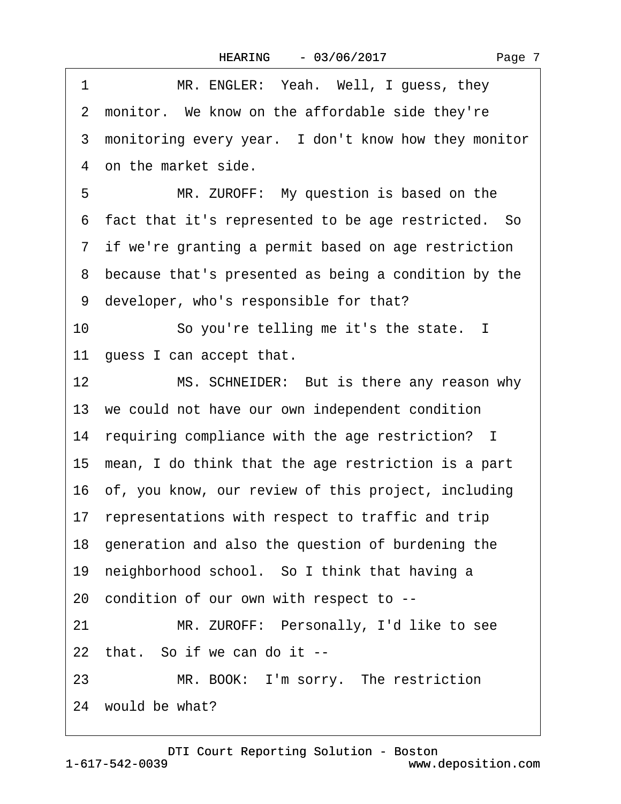|  | Page 7 |  |
|--|--------|--|
|--|--------|--|

| 2 monitor. We know on the affordable side they're<br>3 monitoring every year. I don't know how they monitor<br>4 on the market side.<br>5<br>MR. ZUROFF: My question is based on the<br>6 fact that it's represented to be age restricted. So<br>7 if we're granting a permit based on age restriction<br>8 because that's presented as being a condition by the<br>9 developer, who's responsible for that?<br>So you're telling me it's the state. I<br>10<br>11 guess I can accept that.<br>MS. SCHNEIDER: But is there any reason why<br>12 <sup>2</sup><br>13 we could not have our own independent condition<br>14 requiring compliance with the age restriction? I<br>15 mean, I do think that the age restriction is a part<br>16 of, you know, our review of this project, including<br>17 representations with respect to traffic and trip<br>18 generation and also the question of burdening the<br>19 neighborhood school. So I think that having a<br>20 condition of our own with respect to --<br>MR. ZUROFF: Personally, I'd like to see<br>21<br>22 that. So if we can do it --<br>MR. BOOK: I'm sorry. The restriction<br>23<br>24 would be what? | MR. ENGLER: Yeah. Well, I guess, they<br>1 |
|----------------------------------------------------------------------------------------------------------------------------------------------------------------------------------------------------------------------------------------------------------------------------------------------------------------------------------------------------------------------------------------------------------------------------------------------------------------------------------------------------------------------------------------------------------------------------------------------------------------------------------------------------------------------------------------------------------------------------------------------------------------------------------------------------------------------------------------------------------------------------------------------------------------------------------------------------------------------------------------------------------------------------------------------------------------------------------------------------------------------------------------------------------------------|--------------------------------------------|
|                                                                                                                                                                                                                                                                                                                                                                                                                                                                                                                                                                                                                                                                                                                                                                                                                                                                                                                                                                                                                                                                                                                                                                      |                                            |
|                                                                                                                                                                                                                                                                                                                                                                                                                                                                                                                                                                                                                                                                                                                                                                                                                                                                                                                                                                                                                                                                                                                                                                      |                                            |
|                                                                                                                                                                                                                                                                                                                                                                                                                                                                                                                                                                                                                                                                                                                                                                                                                                                                                                                                                                                                                                                                                                                                                                      |                                            |
|                                                                                                                                                                                                                                                                                                                                                                                                                                                                                                                                                                                                                                                                                                                                                                                                                                                                                                                                                                                                                                                                                                                                                                      |                                            |
|                                                                                                                                                                                                                                                                                                                                                                                                                                                                                                                                                                                                                                                                                                                                                                                                                                                                                                                                                                                                                                                                                                                                                                      |                                            |
|                                                                                                                                                                                                                                                                                                                                                                                                                                                                                                                                                                                                                                                                                                                                                                                                                                                                                                                                                                                                                                                                                                                                                                      |                                            |
|                                                                                                                                                                                                                                                                                                                                                                                                                                                                                                                                                                                                                                                                                                                                                                                                                                                                                                                                                                                                                                                                                                                                                                      |                                            |
|                                                                                                                                                                                                                                                                                                                                                                                                                                                                                                                                                                                                                                                                                                                                                                                                                                                                                                                                                                                                                                                                                                                                                                      |                                            |
|                                                                                                                                                                                                                                                                                                                                                                                                                                                                                                                                                                                                                                                                                                                                                                                                                                                                                                                                                                                                                                                                                                                                                                      |                                            |
|                                                                                                                                                                                                                                                                                                                                                                                                                                                                                                                                                                                                                                                                                                                                                                                                                                                                                                                                                                                                                                                                                                                                                                      |                                            |
|                                                                                                                                                                                                                                                                                                                                                                                                                                                                                                                                                                                                                                                                                                                                                                                                                                                                                                                                                                                                                                                                                                                                                                      |                                            |
|                                                                                                                                                                                                                                                                                                                                                                                                                                                                                                                                                                                                                                                                                                                                                                                                                                                                                                                                                                                                                                                                                                                                                                      |                                            |
|                                                                                                                                                                                                                                                                                                                                                                                                                                                                                                                                                                                                                                                                                                                                                                                                                                                                                                                                                                                                                                                                                                                                                                      |                                            |
|                                                                                                                                                                                                                                                                                                                                                                                                                                                                                                                                                                                                                                                                                                                                                                                                                                                                                                                                                                                                                                                                                                                                                                      |                                            |
|                                                                                                                                                                                                                                                                                                                                                                                                                                                                                                                                                                                                                                                                                                                                                                                                                                                                                                                                                                                                                                                                                                                                                                      |                                            |
|                                                                                                                                                                                                                                                                                                                                                                                                                                                                                                                                                                                                                                                                                                                                                                                                                                                                                                                                                                                                                                                                                                                                                                      |                                            |
|                                                                                                                                                                                                                                                                                                                                                                                                                                                                                                                                                                                                                                                                                                                                                                                                                                                                                                                                                                                                                                                                                                                                                                      |                                            |
|                                                                                                                                                                                                                                                                                                                                                                                                                                                                                                                                                                                                                                                                                                                                                                                                                                                                                                                                                                                                                                                                                                                                                                      |                                            |
|                                                                                                                                                                                                                                                                                                                                                                                                                                                                                                                                                                                                                                                                                                                                                                                                                                                                                                                                                                                                                                                                                                                                                                      |                                            |
|                                                                                                                                                                                                                                                                                                                                                                                                                                                                                                                                                                                                                                                                                                                                                                                                                                                                                                                                                                                                                                                                                                                                                                      |                                            |
|                                                                                                                                                                                                                                                                                                                                                                                                                                                                                                                                                                                                                                                                                                                                                                                                                                                                                                                                                                                                                                                                                                                                                                      |                                            |
|                                                                                                                                                                                                                                                                                                                                                                                                                                                                                                                                                                                                                                                                                                                                                                                                                                                                                                                                                                                                                                                                                                                                                                      |                                            |
|                                                                                                                                                                                                                                                                                                                                                                                                                                                                                                                                                                                                                                                                                                                                                                                                                                                                                                                                                                                                                                                                                                                                                                      |                                            |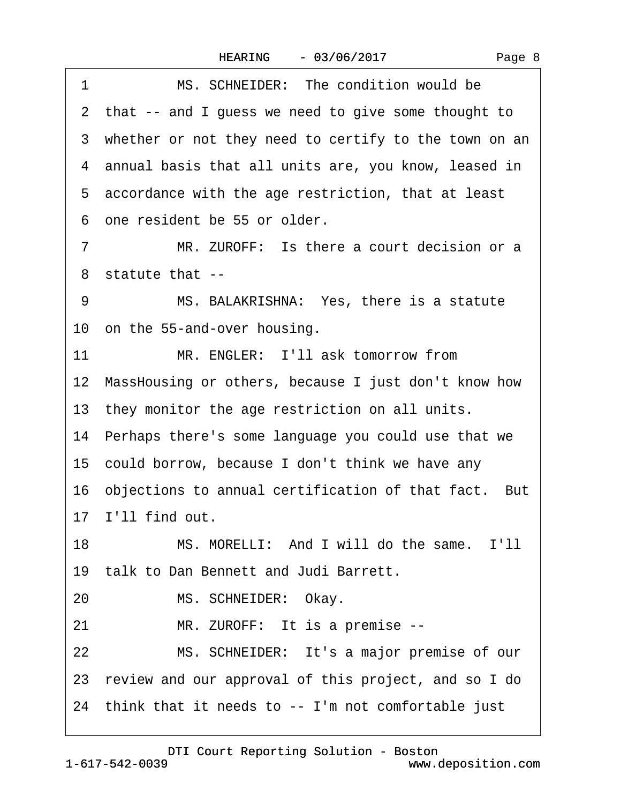| 1  | MS. SCHNEIDER: The condition would be                   |
|----|---------------------------------------------------------|
|    | 2 that -- and I guess we need to give some thought to   |
|    | 3 whether or not they need to certify to the town on an |
|    | 4 annual basis that all units are, you know, leased in  |
|    | 5 accordance with the age restriction, that at least    |
|    | 6 one resident be 55 or older.                          |
| 7  | MR. ZUROFF: Is there a court decision or a              |
|    | 8 statute that --                                       |
| 9  | MS. BALAKRISHNA: Yes, there is a statute                |
|    | 10 on the 55-and-over housing.                          |
| 11 | MR. ENGLER: I'll ask tomorrow from                      |
|    | 12 MassHousing or others, because I just don't know how |
|    | 13 they monitor the age restriction on all units.       |
|    | 14 Perhaps there's some language you could use that we  |
|    | 15 could borrow, because I don't think we have any      |
|    | 16 objections to annual certification of that fact. But |
|    | 17 I'll find out.                                       |
| 18 | MS. MORELLI: And I will do the same. I'll               |
|    | 19 talk to Dan Bennett and Judi Barrett.                |
| 20 | MS. SCHNEIDER: Okay.                                    |
| 21 | MR. ZUROFF: It is a premise --                          |
| 22 | MS. SCHNEIDER: It's a major premise of our              |
|    | 23 review and our approval of this project, and so I do |
|    |                                                         |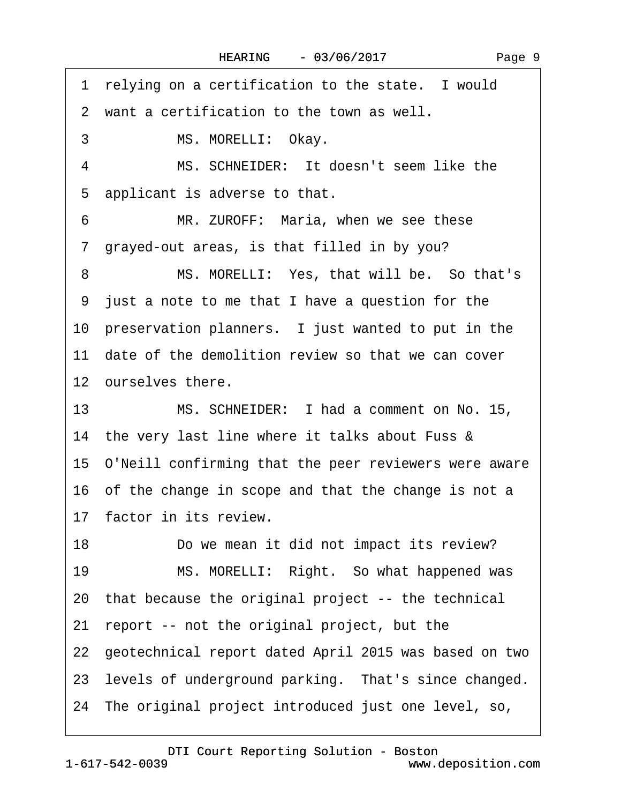1 relying on a certification to the state. I would ·2· want a certification to the town as well. 3 MS. MORELLI: Okay. 4 MS. SCHNEIDER: It doesn't seem like the 5 applicant is adverse to that. 6 MR. ZUROFF: Maria, when we see these ·7· grayed-out areas, is that filled in by you? 8 MS. MORELLI: Yes, that will be. So that's ·9· just a note to me that I have a question for the 10 preservation planners. I just wanted to put in the 11 date of the demolition review so that we can cover 12 ourselves there. 13 MS. SCHNEIDER: I had a comment on No. 15, 14 the very last line where it talks about Fuss & 15· O'Neill confirming that the peer reviewers were aware 16· of the change in scope and that the change is not a 17 factor in its review. 18 Do we mean it did not impact its review? 19 MS. MORELLI: Right. So what happened was 20· that because the original project -- the technical 21· report -- not the original project, but the 22· geotechnical report dated April 2015 was based on two 23 levels of underground parking. That's since changed. 24· The original project introduced just one level, so,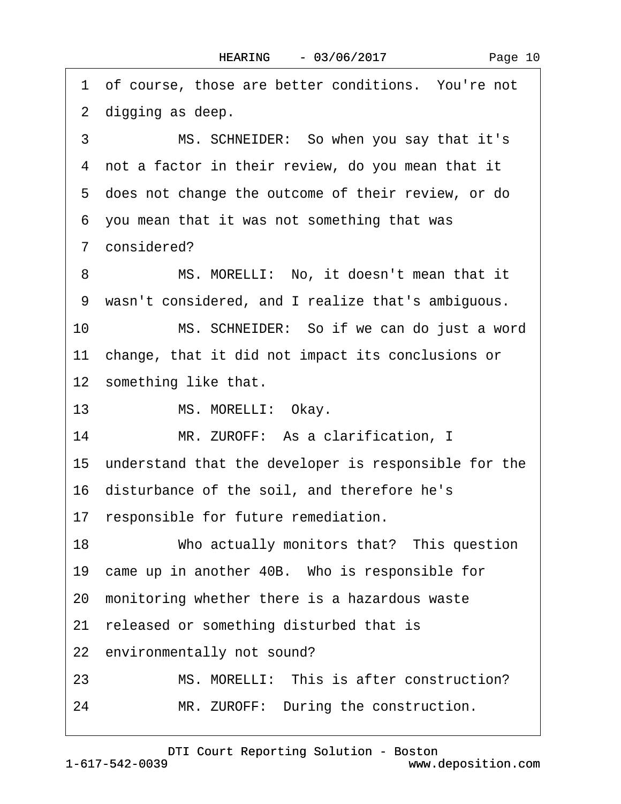|    | 1 of course, those are better conditions. You're not    |
|----|---------------------------------------------------------|
|    | 2 digging as deep.                                      |
| 3  | MS. SCHNEIDER: So when you say that it's                |
|    | 4 not a factor in their review, do you mean that it     |
|    | 5 does not change the outcome of their review, or do    |
|    | 6 you mean that it was not something that was           |
|    | 7 considered?                                           |
| 8  | MS. MORELLI: No, it doesn't mean that it                |
|    | 9 wasn't considered, and I realize that's ambiguous.    |
| 10 | MS. SCHNEIDER: So if we can do just a word              |
|    | 11 change, that it did not impact its conclusions or    |
|    | 12 something like that.                                 |
| 13 | MS. MORELLI: Okay.                                      |
| 14 | MR. ZUROFF: As a clarification, I                       |
|    | 15 understand that the developer is responsible for the |
|    | 16 disturbance of the soil, and therefore he's          |
|    | 17 responsible for future remediation.                  |
| 18 | Who actually monitors that? This question               |
|    | 19 came up in another 40B. Who is responsible for       |
|    | 20 monitoring whether there is a hazardous waste        |
|    | 21 released or something disturbed that is              |
|    | 22 environmentally not sound?                           |
| 23 | MS. MORELLI: This is after construction?                |
| 24 | MR. ZUROFF: During the construction.                    |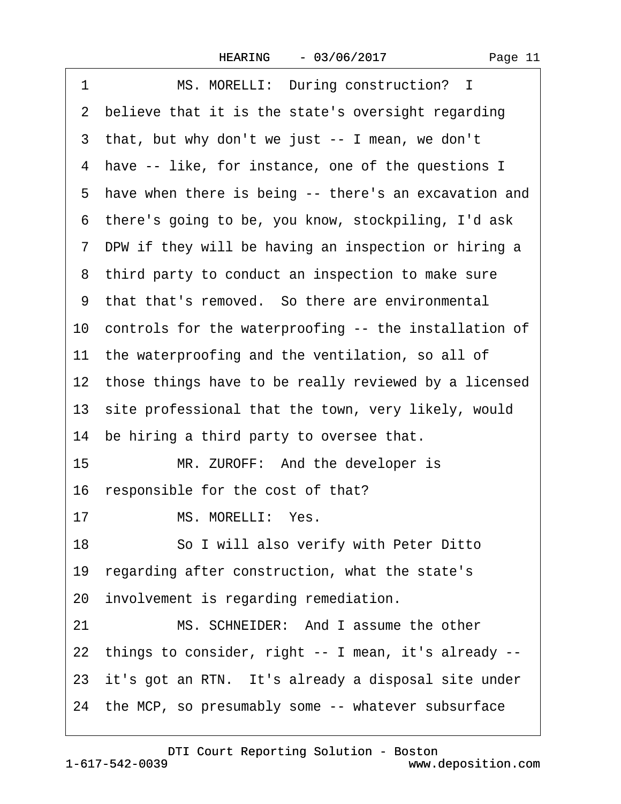| 1  | MS. MORELLI: During construction? I                      |
|----|----------------------------------------------------------|
|    | 2 believe that it is the state's oversight regarding     |
|    | 3 that, but why don't we just -- I mean, we don't        |
|    | 4 have -- like, for instance, one of the questions I     |
|    | 5 have when there is being -- there's an excavation and  |
|    | 6 there's going to be, you know, stockpiling, I'd ask    |
|    | 7 DPW if they will be having an inspection or hiring a   |
|    | 8 third party to conduct an inspection to make sure      |
|    | 9 that that's removed. So there are environmental        |
|    | 10 controls for the waterproofing -- the installation of |
|    | 11 the waterproofing and the ventilation, so all of      |
|    | 12 those things have to be really reviewed by a licensed |
|    | 13 site professional that the town, very likely, would   |
|    | 14 be hiring a third party to oversee that.              |
| 15 | MR. ZUROFF: And the developer is                         |
|    | 16 responsible for the cost of that?                     |
| 17 | MS. MORELLI: Yes.                                        |
| 18 | So I will also verify with Peter Ditto                   |
|    | 19 regarding after construction, what the state's        |
|    | 20 involvement is regarding remediation.                 |
| 21 | MS. SCHNEIDER: And I assume the other                    |
|    | 22 things to consider, right -- I mean, it's already --  |
|    | 23 it's got an RTN. It's already a disposal site under   |
|    | 24 the MCP, so presumably some -- whatever subsurface    |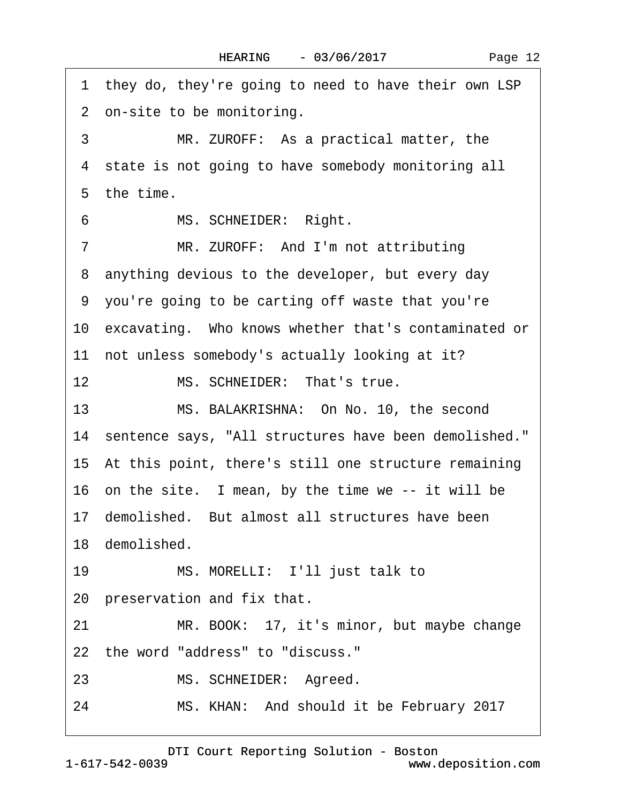1 they do, they're going to need to have their own LSP 2 on-site to be monitoring. 3 MR. ZUROFF: As a practical matter, the 4 state is not going to have somebody monitoring all 5 the time. 6 MS. SCHNEIDER: Right. 7 MR. ZUROFF: And I'm not attributing 8 anything devious to the developer, but every day ·9· you're going to be carting off waste that you're 10 excavating. Who knows whether that's contaminated or 11 not unless somebody's actually looking at it? 12 MS. SCHNEIDER: That's true. 13 MS. BALAKRISHNA: On No. 10, the second 14 sentence says, "All structures have been demolished." 15· At this point, there's still one structure remaining 16 on the site. I mean, by the time we -- it will be 17 demolished. But almost all structures have been 18 demolished. 19 MS. MORELLI: I'll just talk to 20 preservation and fix that. 21 MR. BOOK: 17, it's minor, but maybe change 22 the word "address" to "discuss." 23 MS. SCHNEIDER: Agreed. 24 MS. KHAN: And should it be February 2017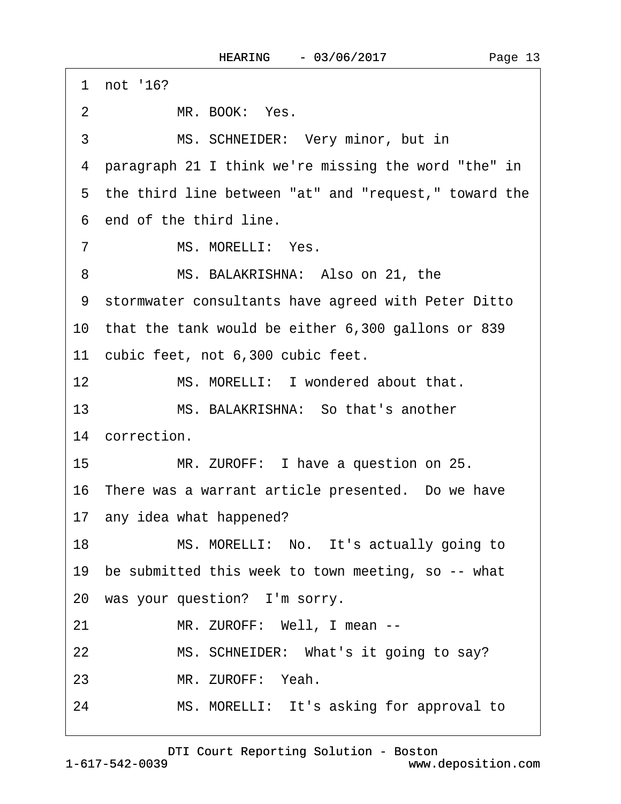·1· not '16? 2 MR. BOOK: Yes. 3 MS. SCHNEIDER: Very minor, but in ·4· paragraph 21 I think we're missing the word "the" in 5 the third line between "at" and "request," toward the 6 end of the third line 7 MS. MORELLI: Yes. 8 MS. BALAKRISHNA: Also on 21, the ·9· stormwater consultants have agreed with Peter Ditto 10· that the tank would be either 6,300 gallons or 839 11 cubic feet, not 6,300 cubic feet. 12 MS. MORELLI: I wondered about that. 13 MS. BALAKRISHNA: So that's another 14 correction. 15 MR. ZUROFF: I have a question on 25. 16· There was a warrant article presented.· Do we have 17· any idea what happened? 18 MS. MORELLI: No. It's actually going to 19 be submitted this week to town meeting, so -- what 20 was your question? I'm sorry. 21 MR. ZUROFF: Well, I mean --22 MS. SCHNEIDER: What's it going to say? 23 MR. ZUROFF: Yeah.

[DTI Court Reporting Solution - Boston](http://www.deposition.com)

24 MS. MORELLI: It's asking for approval to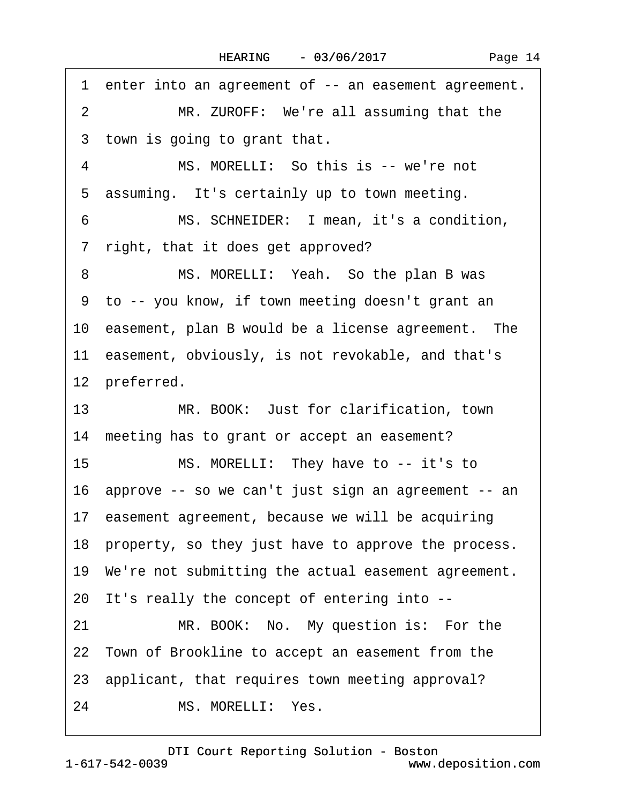| Page 14 |  |
|---------|--|
|---------|--|

·1· enter into an agreement of -- an easement agreement. 2 MR. ZUROFF: We're all assuming that the 3 town is going to grant that. 4 MS. MORELLI: So this is -- we're not 5 assuming. It's certainly up to town meeting. 6 MS. SCHNEIDER: I mean, it's a condition, 7 right, that it does get approved? 8 MS. MORELLI: Yeah. So the plan B was ·9· to -- you know, if town meeting doesn't grant an 10 easement, plan B would be a license agreement. The 11 easement, obviously, is not revokable, and that's 12 preferred. 13 MR. BOOK: Just for clarification, town 14 meeting has to grant or accept an easement? 15 MS. MORELLI: They have to -- it's to 16· approve -- so we can't just sign an agreement -- an 17 easement agreement, because we will be acquiring 18 property, so they just have to approve the process. 19· We're not submitting the actual easement agreement. 20· It's really the concept of entering into -- 21 MR. BOOK: No. My question is: For the 22 Town of Brookline to accept an easement from the 23 applicant, that requires town meeting approval? 24 MS. MORELLI: Yes.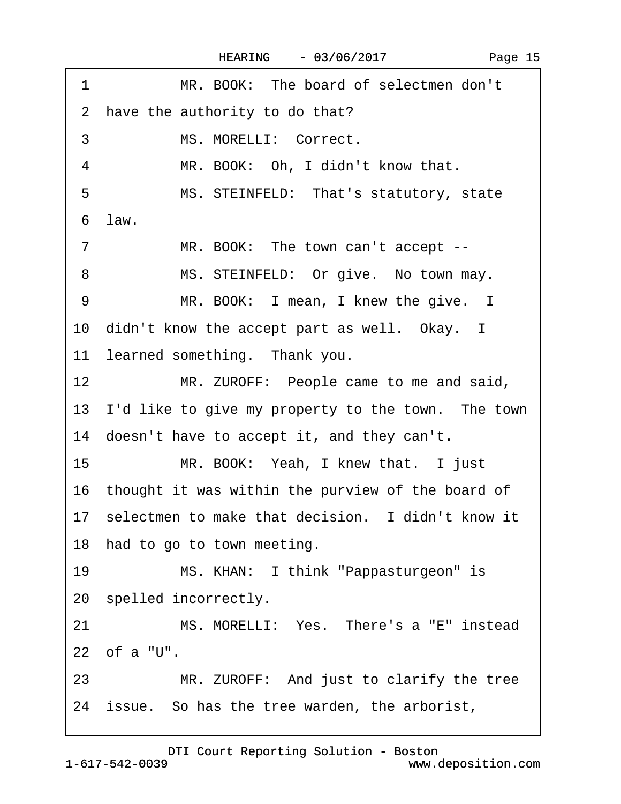| MR. BOOK: The board of selectmen don't<br>1                |
|------------------------------------------------------------|
| have the authority to do that?<br>2                        |
| MS. MORELLI: Correct.<br>3                                 |
| MR. BOOK: Oh, I didn't know that.<br>4                     |
| MS. STEINFELD: That's statutory, state<br>5                |
| 6 law.                                                     |
| MR. BOOK: The town can't accept --<br>7                    |
| MS. STEINFELD: Or give. No town may.<br>8                  |
| MR. BOOK: I mean, I knew the give. I<br>9                  |
| 10 didn't know the accept part as well. Okay. I            |
| 11 learned something. Thank you.                           |
| 12 <sup>2</sup><br>MR. ZUROFF: People came to me and said, |
| 13 I'd like to give my property to the town. The town      |
| 14 doesn't have to accept it, and they can't.              |
| MR. BOOK: Yeah, I knew that. I just<br>15                  |
| 16 thought it was within the purview of the board of       |
| 17 selectmen to make that decision. I didn't know it       |
| 18 had to go to town meeting.                              |
| 19<br>MS. KHAN: I think "Pappasturgeon" is                 |
| 20 spelled incorrectly.                                    |
| MS. MORELLI: Yes. There's a "E" instead<br>21              |
| 22 of a "U".                                               |
| MR. ZUROFF: And just to clarify the tree<br>23             |
| 24 issue. So has the tree warden, the arborist,            |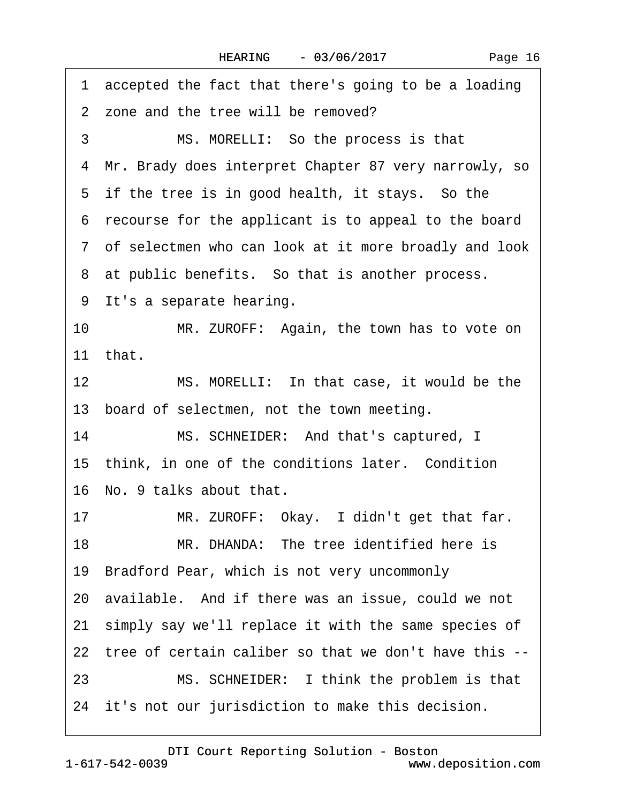·1· accepted the fact that there's going to be a loading 2 zone and the tree will be removed? 3 MS. MORELLI: So the process is that ·4· Mr. Brady does interpret Chapter 87 very narrowly, so 5 if the tree is in good health, it stays. So the ·6· recourse for the applicant is to appeal to the board ·7· of selectmen who can look at it more broadly and look 8 at public benefits. So that is another process. 9 It's a separate hearing. 10 MR. ZUROFF: Again, the town has to vote on 11 $that$ . 12 MS. MORELLI: In that case, it would be the 13 board of selectmen, not the town meeting. 14 MS. SCHNEIDER: And that's captured, I 15 think, in one of the conditions later. Condition 16· No. 9 talks about that. 17 MR. ZUROFF: Okay. I didn't get that far. 18 MR. DHANDA: The tree identified here is 19· Bradford Pear, which is not very uncommonly 20· available.· And if there was an issue, could we not 21 simply say we'll replace it with the same species of 22· tree of certain caliber so that we don't have this -- 23 MS. SCHNEIDER: I think the problem is that 24 it's not our jurisdiction to make this decision.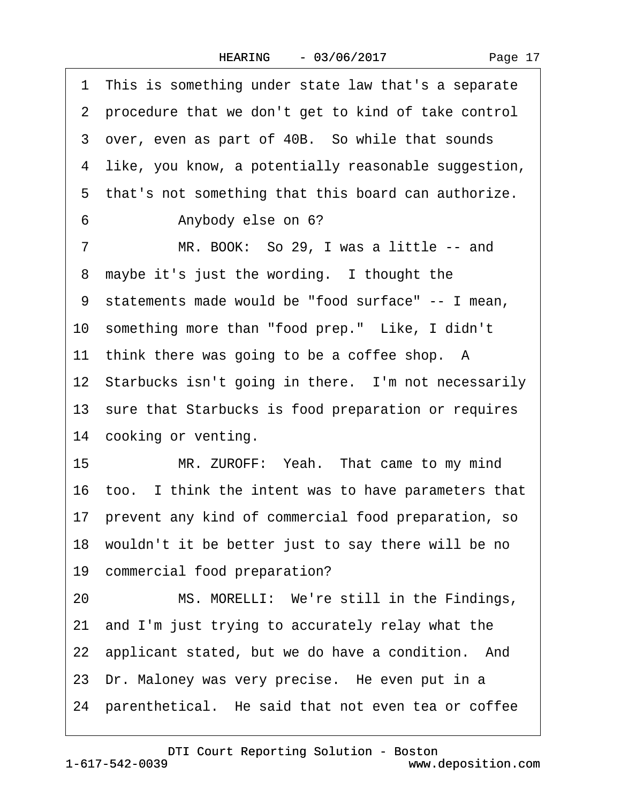| Page 17 |  |
|---------|--|
|---------|--|

·1· This is something under state law that's a separate ·2· procedure that we don't get to kind of take control 3 over, even as part of 40B. So while that sounds 4 like, you know, a potentially reasonable suggestion, 5 that's not something that this board can authorize. 6 • Anybody else on 6? 7 MR. BOOK: So 29, I was a little -- and 8 maybe it's just the wording. I thought the ·9· statements made would be "food surface" -- I mean, 10 something more than "food prep." Like, I didn't 11 think there was going to be a coffee shop. A 12 Starbucks isn't going in there. I'm not necessarily 13 sure that Starbucks is food preparation or requires 14 cooking or venting. 15 MR. ZUROFF: Yeah. That came to my mind 16 too. I think the intent was to have parameters that 17· prevent any kind of commercial food preparation, so 18 wouldn't it be better just to say there will be no 19 commercial food preparation? 20 MS. MORELLI: We're still in the Findings, 21· and I'm just trying to accurately relay what the 22 applicant stated, but we do have a condition. And 23 Dr. Maloney was very precise. He even put in a 24 parenthetical. He said that not even tea or coffee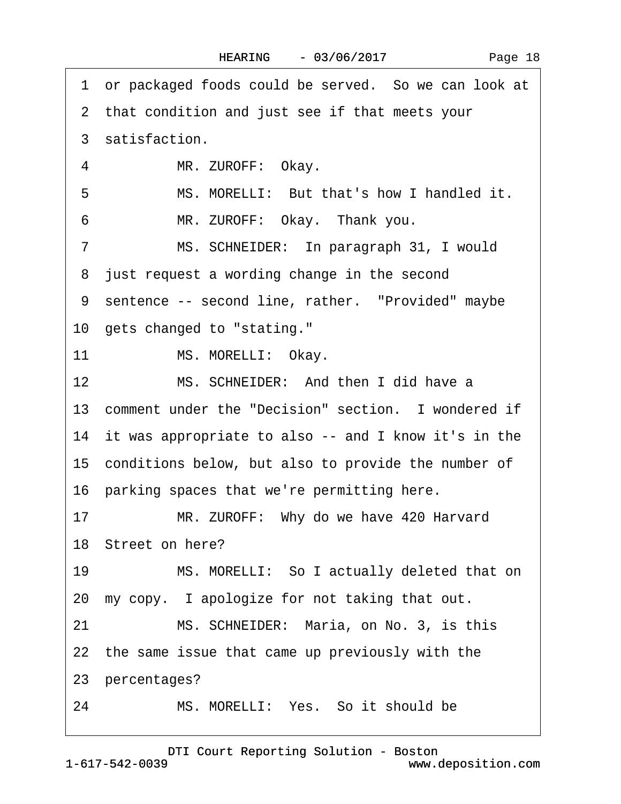|  | Page 18 |  |
|--|---------|--|
|--|---------|--|

|    | 1 or packaged foods could be served. So we can look at  |
|----|---------------------------------------------------------|
|    | 2 that condition and just see if that meets your        |
|    | 3 satisfaction.                                         |
| 4  | MR. ZUROFF: Okay.                                       |
| 5  | MS. MORELLI: But that's how I handled it.               |
| 6  | MR. ZUROFF: Okay. Thank you.                            |
| 7  | MS. SCHNEIDER: In paragraph 31, I would                 |
|    | 8 just request a wording change in the second           |
|    | 9 sentence -- second line, rather. "Provided" maybe     |
|    | 10 gets changed to "stating."                           |
| 11 | MS. MORELLI: Okay.                                      |
| 12 | MS. SCHNEIDER: And then I did have a                    |
|    | 13 comment under the "Decision" section. I wondered if  |
|    | 14 it was appropriate to also -- and I know it's in the |
|    | 15 conditions below, but also to provide the number of  |
|    | 16 parking spaces that we're permitting here.           |
| 17 | MR. ZUROFF: Why do we have 420 Harvard                  |
|    | 18 Street on here?                                      |
| 19 | MS. MORELLI: So I actually deleted that on              |
|    | 20 my copy. I apologize for not taking that out.        |
| 21 | MS. SCHNEIDER: Maria, on No. 3, is this                 |
|    | 22 the same issue that came up previously with the      |
|    | 23 percentages?                                         |
| 24 | MS. MORELLI: Yes. So it should be                       |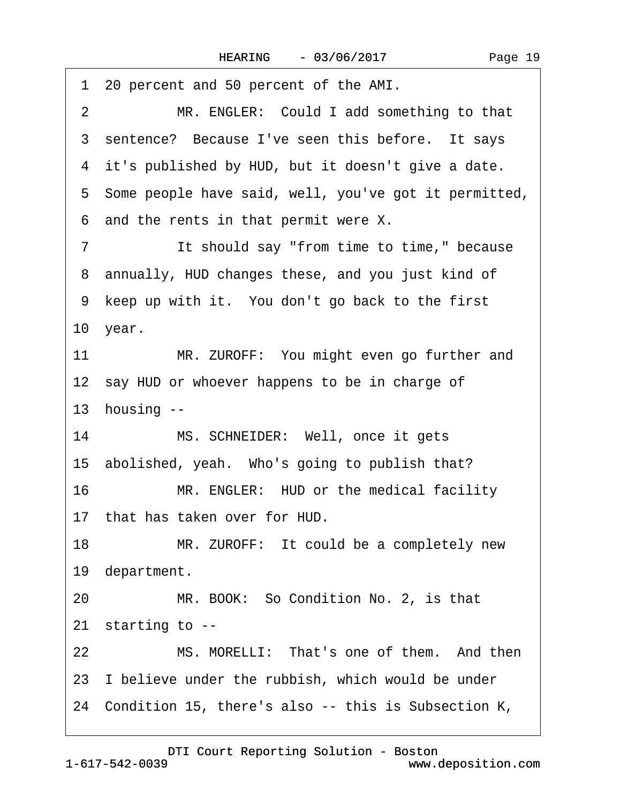| 1 20 percent and 50 percent of the AMI.                     |
|-------------------------------------------------------------|
| MR. ENGLER: Could I add something to that<br>$\overline{2}$ |
| 3 sentence? Because I've seen this before. It says          |
| 4 it's published by HUD, but it doesn't give a date.        |
| 5 Some people have said, well, you've got it permitted,     |
| 6 and the rents in that permit were X.                      |
| It should say "from time to time," because<br>7             |
| 8 annually, HUD changes these, and you just kind of         |
| 9 keep up with it. You don't go back to the first           |
| 10 year.                                                    |
| MR. ZUROFF: You might even go further and<br>11             |
| 12 say HUD or whoever happens to be in charge of            |
| 13 housing --                                               |
| MS. SCHNEIDER: Well, once it gets<br>14                     |
| 15 abolished, yeah. Who's going to publish that?            |
| 16<br>MR. ENGLER: HUD or the medical facility               |
| 17 that has taken over for HUD.                             |
| 18<br>MR. ZUROFF: It could be a completely new              |
| 19 department.                                              |
| MR. BOOK: So Condition No. 2, is that<br>20                 |
| 21 starting to --                                           |
| 22<br>MS. MORELLI: That's one of them. And then             |
| 23 I believe under the rubbish, which would be under        |
| 24 Condition 15, there's also -- this is Subsection K,      |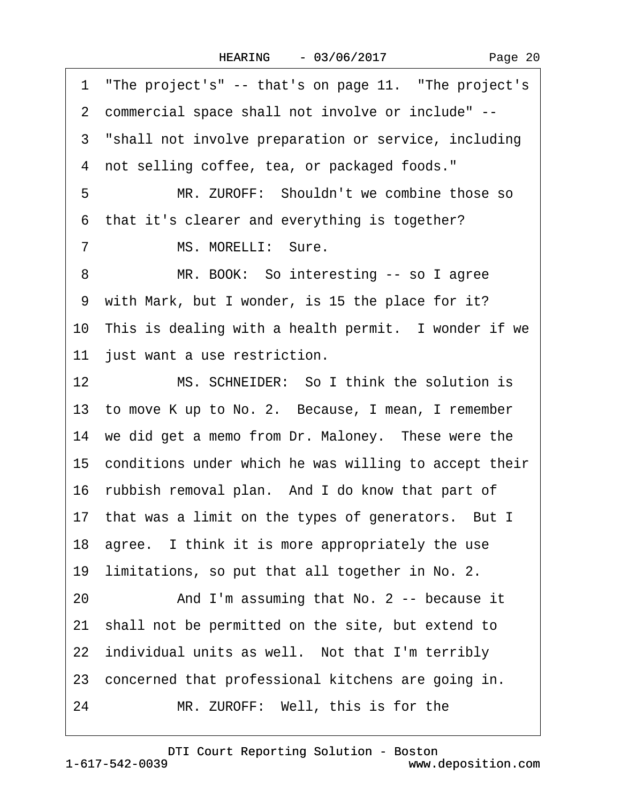1 "The project's" -- that's on page 11. "The project's ·2· commercial space shall not involve or include" -- 3 "shall not involve preparation or service, including 4 not selling coffee, tea, or packaged foods." 5 MR. ZUROFF: Shouldn't we combine those so 6 that it's clearer and everything is together? 7 MS. MORELLI: Sure. 8 MR. BOOK: So interesting -- so I agree 9 with Mark, but I wonder, is 15 the place for it? 10 This is dealing with a health permit. I wonder if we 11 just want a use restriction. 12 MS. SCHNEIDER: So I think the solution is 13 to move K up to No. 2. Because, I mean, I remember 14 we did get a memo from Dr. Maloney. These were the 15· conditions under which he was willing to accept their 16 rubbish removal plan. And I do know that part of 17 that was a limit on the types of generators. But I 18 agree. I think it is more appropriately the use 19 limitations, so put that all together in No. 2. 20 And I'm assuming that No. 2 -- because it 21· shall not be permitted on the site, but extend to 22 individual units as well. Not that I'm terribly 23 concerned that professional kitchens are going in. 24 MR. ZUROFF: Well, this is for the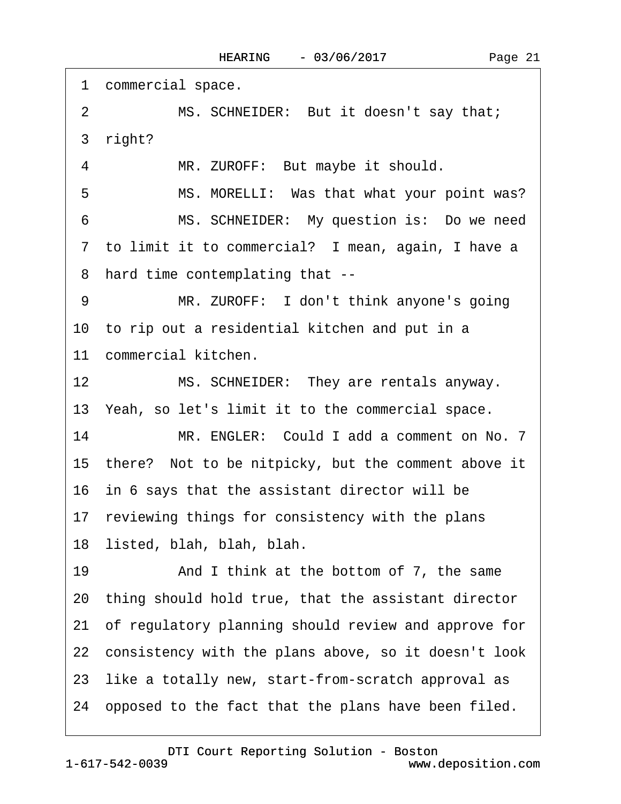1 commercial space. 2 MS. SCHNEIDER: But it doesn't say that; 3 right? 4 MR. ZUROFF: But maybe it should. 5 MS. MORELLI: Was that what your point was? 6 MS. SCHNEIDER: My question is: Do we need 7 to limit it to commercial? I mean, again, I have a ·8· hard time contemplating that -- 9 MR. ZUROFF: I don't think anyone's going 10 to rip out a residential kitchen and put in a 11 commercial kitchen. 12 MS. SCHNEIDER: They are rentals anyway. 13 Yeah, so let's limit it to the commercial space. 14 MR. ENGLER: Could I add a comment on No. 7 15· there?· Not to be nitpicky, but the comment above it 16· in 6 says that the assistant director will be 17 reviewing things for consistency with the plans 18· listed, blah, blah, blah. 19 • And I think at the bottom of 7, the same 20· thing should hold true, that the assistant director 21· of regulatory planning should review and approve for 22 consistency with the plans above, so it doesn't look 23· like a totally new, start-from-scratch approval as 24 opposed to the fact that the plans have been filed.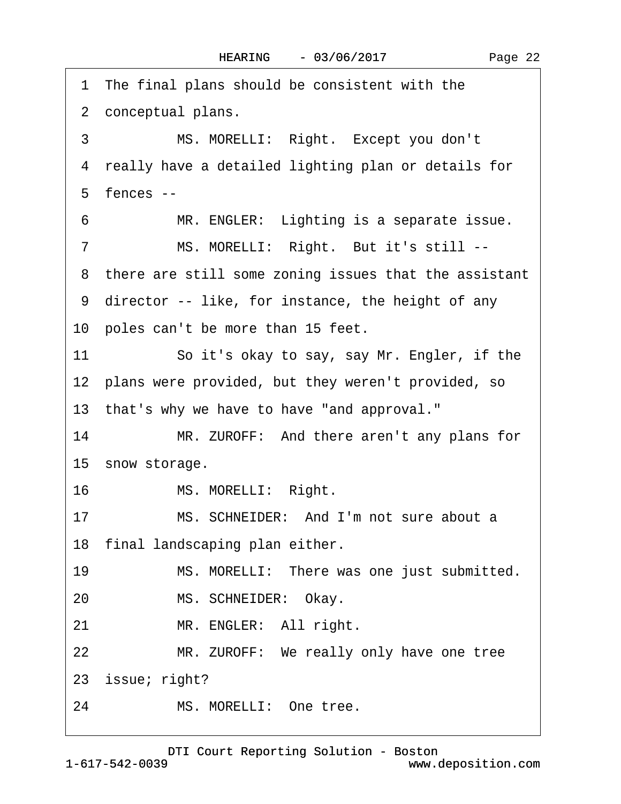1 The final plans should be consistent with the 2 conceptual plans. 3 MS. MORELLI: Right. Except you don't 4 really have a detailed lighting plan or details for  $5$  fences  $-$ 6 MR. ENGLER: Lighting is a separate issue. 7 MS. MORELLI: Right. But it's still --8 there are still some zoning issues that the assistant ·9· director -- like, for instance, the height of any 10 poles can't be more than 15 feet. 11 So it's okay to say, say Mr. Engler, if the 12 plans were provided, but they weren't provided, so 13· that's why we have to have "and approval." 14 MR. ZUROFF: And there aren't any plans for 15 snow storage. 16 MS. MORELLI: Right. 17 MS. SCHNEIDER: And I'm not sure about a 18 final landscaping plan either. 19 MS. MORELLI: There was one just submitted. 20 MS. SCHNEIDER: Okay. 21 MR. ENGLER: All right. 22 MR. ZUROFF: We really only have one tree 23 issue; right? 24 MS. MORELLI: One tree.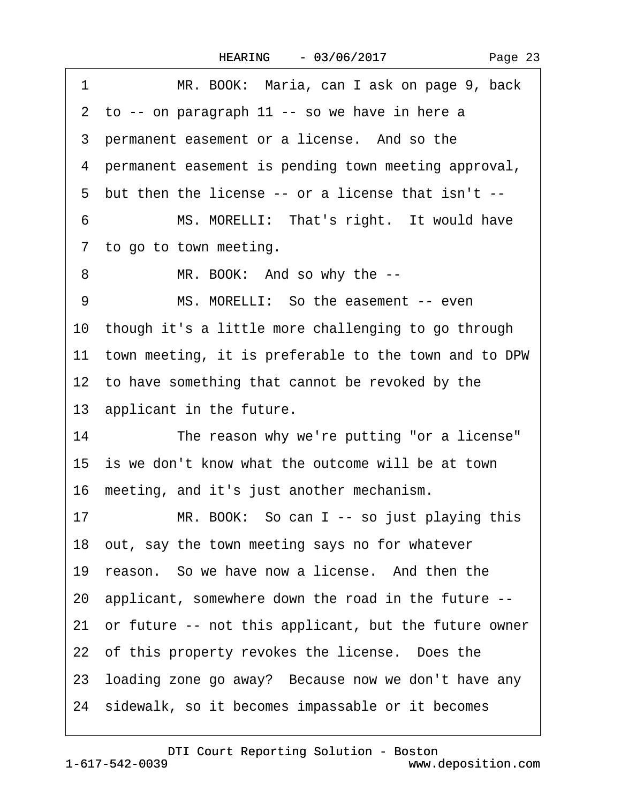| Page 23 |
|---------|
|---------|

| MR. BOOK: Maria, can I ask on page 9, back               |
|----------------------------------------------------------|
| 2 to -- on paragraph 11 -- so we have in here a          |
| 3 permanent easement or a license. And so the            |
| 4 permanent easement is pending town meeting approval,   |
| 5 but then the license -- or a license that isn't --     |
| MS. MORELLI: That's right. It would have                 |
| 7 to go to town meeting.                                 |
| MR. BOOK: And so why the --                              |
| MS. MORELLI: So the easement -- even                     |
| 10 though it's a little more challenging to go through   |
| 11 town meeting, it is preferable to the town and to DPW |
| 12 to have something that cannot be revoked by the       |
| 13 applicant in the future.                              |
| The reason why we're putting "or a license"<br>14        |
| 15 is we don't know what the outcome will be at town     |
| 16 meeting, and it's just another mechanism.             |
| MR. BOOK: So can I -- so just playing this<br>17         |
| 18 out, say the town meeting says no for whatever        |
| 19 reason. So we have now a license. And then the        |
| 20 applicant, somewhere down the road in the future --   |
| 21 or future -- not this applicant, but the future owner |
| 22 of this property revokes the license. Does the        |
| 23 loading zone go away? Because now we don't have any   |
| 24 sidewalk, so it becomes impassable or it becomes      |
|                                                          |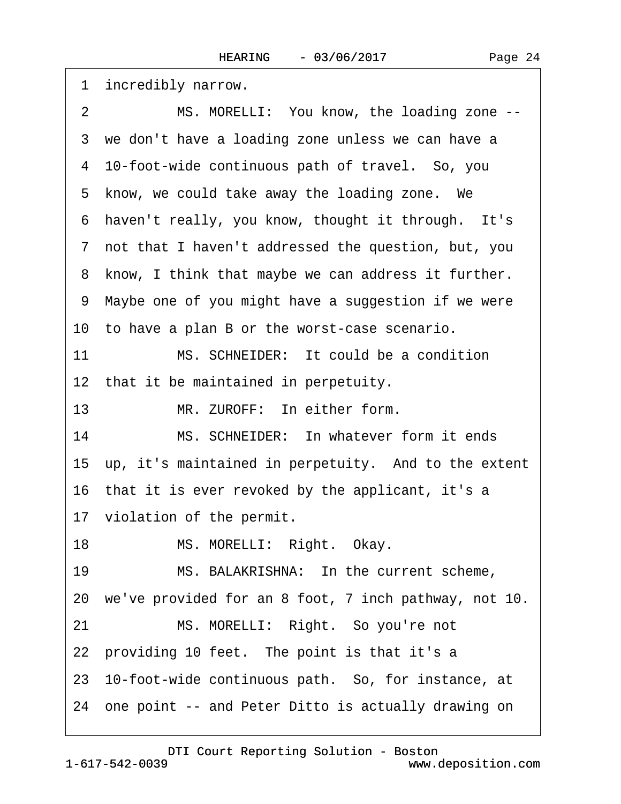2 MS. MORELLI: You know, the loading zone --3 we don't have a loading zone unless we can have a ·4· 10-foot-wide continuous path of travel.· So, you 5 know, we could take away the loading zone. We 6 haven't really, you know, thought it through. It's ·7· not that I haven't addressed the question, but, you 8 know, I think that maybe we can address it further. ·9· Maybe one of you might have a suggestion if we were 10 to have a plan B or the worst-case scenario. 11 MS. SCHNEIDER: It could be a condition 12 that it be maintained in perpetuity. 13 MR. ZUROFF: In either form. 14 MS. SCHNEIDER: In whatever form it ends 15 up, it's maintained in perpetuity. And to the extent 16 that it is ever revoked by the applicant, it's a 17 violation of the permit. 18 MS. MORELLI: Right. Okay. 19 MS. BALAKRISHNA: In the current scheme, 20· we've provided for an 8 foot, 7 inch pathway, not 10. 21 MS. MORELLI: Right. So you're not 22 providing 10 feet. The point is that it's a 23 10-foot-wide continuous path. So, for instance, at 24 one point -- and Peter Ditto is actually drawing on

[DTI Court Reporting Solution - Boston](http://www.deposition.com)

1 incredibly narrow.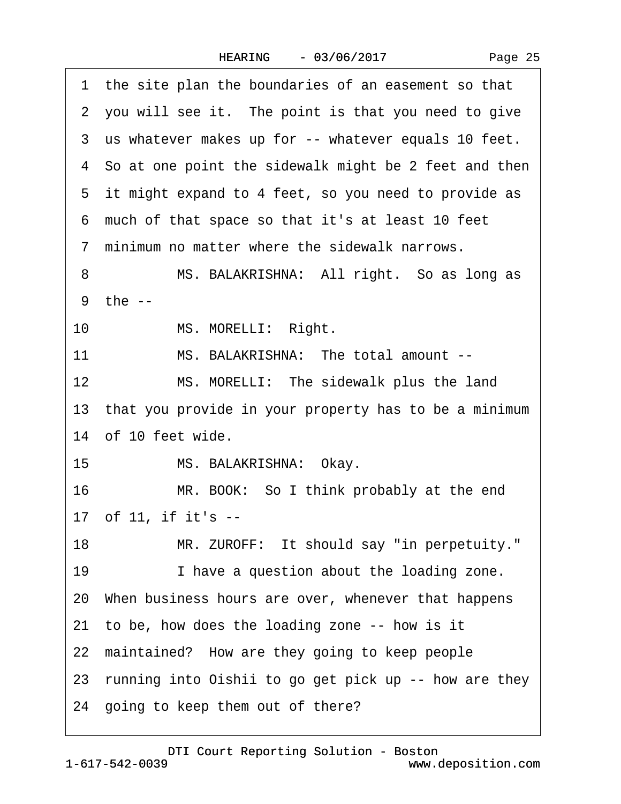|    | 1 the site plan the boundaries of an easement so that    |
|----|----------------------------------------------------------|
|    | 2 you will see it. The point is that you need to give    |
|    | 3 us whatever makes up for -- whatever equals 10 feet.   |
|    | 4 So at one point the sidewalk might be 2 feet and then  |
|    | 5 it might expand to 4 feet, so you need to provide as   |
|    | 6 much of that space so that it's at least 10 feet       |
|    | 7 minimum no matter where the sidewalk narrows.          |
| 8  | MS. BALAKRISHNA: All right. So as long as                |
|    | 9 the --                                                 |
| 10 | MS. MORELLI: Right.                                      |
| 11 | MS. BALAKRISHNA: The total amount --                     |
| 12 | MS. MORELLI: The sidewalk plus the land                  |
|    | 13 that you provide in your property has to be a minimum |
|    | 14 of 10 feet wide.                                      |
| 15 | MS. BALAKRISHNA: Okay.                                   |
| 16 | MR. BOOK: So I think probably at the end                 |
|    | 17 of 11, if it's --                                     |
| 18 | MR. ZUROFF: It should say "in perpetuity."               |
| 19 | I have a question about the loading zone.                |
|    | 20 When business hours are over, whenever that happens   |
|    | 21 to be, how does the loading zone -- how is it         |
|    | 22 maintained? How are they going to keep people         |
|    | 23 running into Oishii to go get pick up -- how are they |
|    | 24 going to keep them out of there?                      |
|    |                                                          |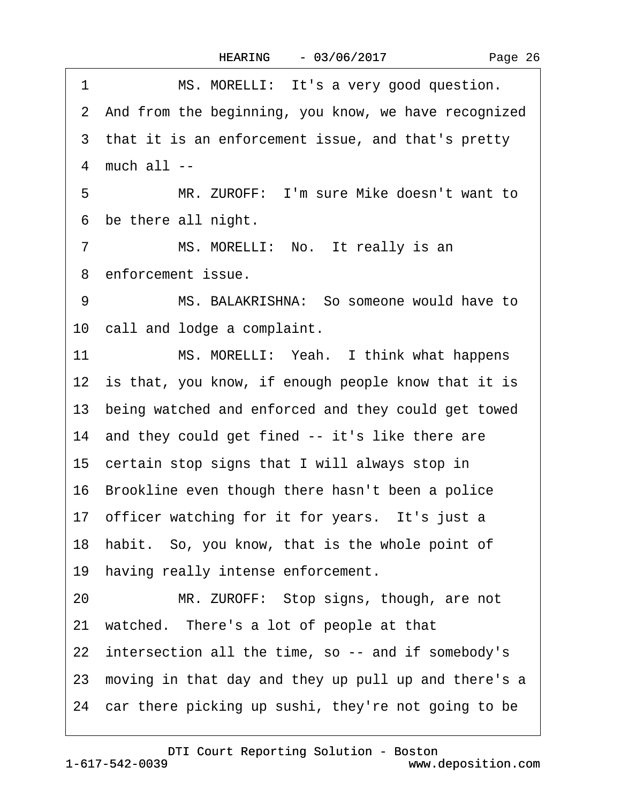| 1<br>MS. MORELLI: It's a very good question.            |
|---------------------------------------------------------|
| 2 And from the beginning, you know, we have recognized  |
| 3 that it is an enforcement issue, and that's pretty    |
| 4 much all --                                           |
| 5<br>MR. ZUROFF: I'm sure Mike doesn't want to          |
| 6 be there all night.                                   |
| MS. MORELLI: No. It really is an<br>7                   |
| 8 enforcement issue.                                    |
| MS. BALAKRISHNA: So someone would have to<br>9          |
| 10 call and lodge a complaint.                          |
| MS. MORELLI: Yeah. I think what happens<br>11           |
| 12 is that, you know, if enough people know that it is  |
| 13 being watched and enforced and they could get towed  |
| 14 and they could get fined -- it's like there are      |
| 15 certain stop signs that I will always stop in        |
| 16 Brookline even though there hasn't been a police     |
| 17 officer watching for it for years. It's just a       |
| 18 habit. So, you know, that is the whole point of      |
| 19 having really intense enforcement.                   |
| MR. ZUROFF: Stop signs, though, are not<br>20           |
| 21 watched. There's a lot of people at that             |
| 22 intersection all the time, so -- and if somebody's   |
| 23 moving in that day and they up pull up and there's a |
| 24 car there picking up sushi, they're not going to be  |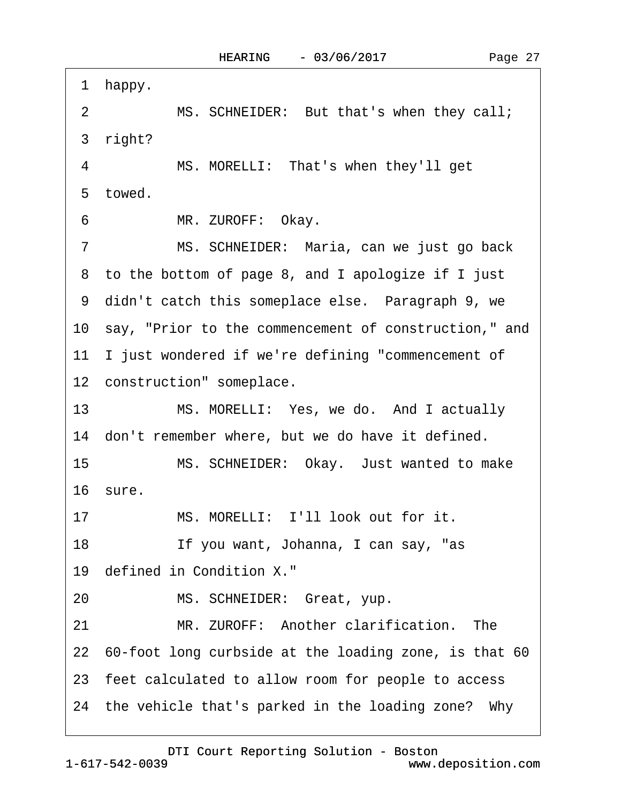·1· happy. 2 MS. SCHNEIDER: But that's when they call; 3 right? 4 MS. MORELLI: That's when they'll get 5 towed. 6 MR. ZUROFF: Okay. 7 MS. SCHNEIDER: Maria, can we just go back ·8· to the bottom of page 8, and I apologize if I just 9 didn't catch this someplace else. Paragraph 9, we 10 say, "Prior to the commencement of construction," and 11 I just wondered if we're defining "commencement of 12 construction" someplace. 13 MS. MORELLI: Yes, we do. And I actually 14 don't remember where, but we do have it defined. 15 MS. SCHNEIDER: Okay. Just wanted to make 16· sure. 17 MS. MORELLI: I'll look out for it. 18 If you want, Johanna, I can say, "as 19 defined in Condition X." 20 MS. SCHNEIDER: Great, yup. 21 MR. ZUROFF: Another clarification. The 22 60-foot long curbside at the loading zone, is that 60 23· feet calculated to allow room for people to access 24 the vehicle that's parked in the loading zone? Why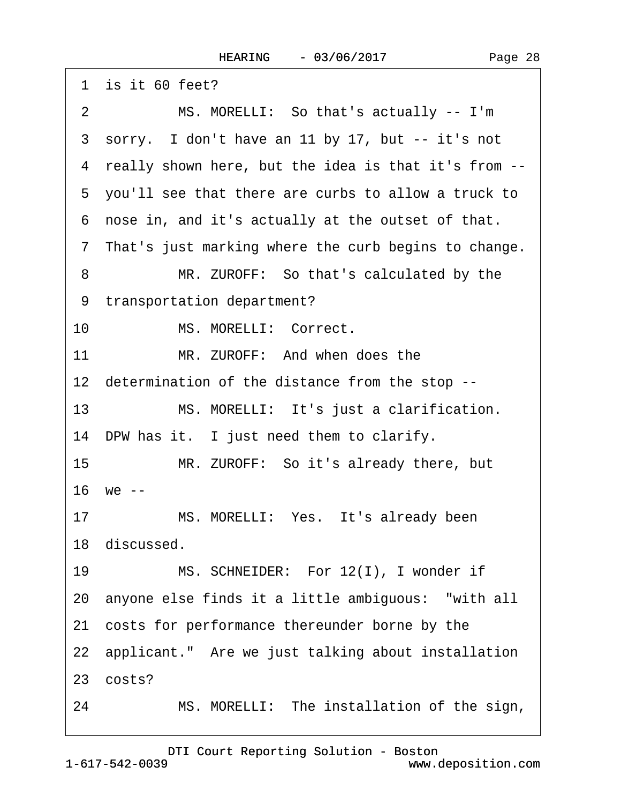|    | 1 is it 60 feet?                                       |
|----|--------------------------------------------------------|
| 2  | MS. MORELLI: So that's actually -- I'm                 |
|    | 3 sorry. I don't have an 11 by 17, but -- it's not     |
|    | 4 really shown here, but the idea is that it's from -- |
|    | 5 you'll see that there are curbs to allow a truck to  |
|    | 6 nose in, and it's actually at the outset of that.    |
|    | 7 That's just marking where the curb begins to change. |
| 8  | MR. ZUROFF: So that's calculated by the                |
|    | 9 transportation department?                           |
| 10 | MS. MORELLI: Correct.                                  |
| 11 | MR. ZUROFF: And when does the                          |
|    | 12 determination of the distance from the stop --      |
| 13 | MS. MORELLI: It's just a clarification.                |
|    | 14 DPW has it. I just need them to clarify.            |
| 15 | MR. ZUROFF: So it's already there, but                 |
|    | 16 we --                                               |
| 17 | MS. MORELLI: Yes. It's already been                    |
|    | 18 discussed.                                          |
| 19 | MS. SCHNEIDER: For 12(I), I wonder if                  |
|    | 20 anyone else finds it a little ambiguous: "with all  |
|    | 21 costs for performance thereunder borne by the       |
|    | 22 applicant." Are we just talking about installation  |
|    | 23 costs?                                              |
| 24 | MS. MORELLI: The installation of the sign,             |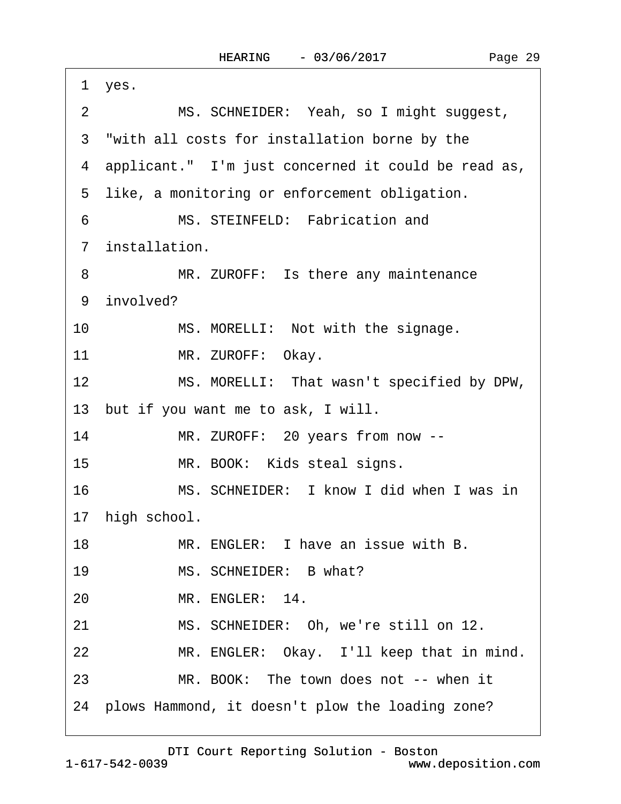| 1 yes.                                                        |
|---------------------------------------------------------------|
| MS. SCHNEIDER: Yeah, so I might suggest,<br>$\overline{2}$    |
| 3 "with all costs for installation borne by the               |
| 4 applicant." I'm just concerned it could be read as,         |
| 5 like, a monitoring or enforcement obligation.               |
| MS. STEINFELD: Fabrication and<br>6                           |
| 7 installation.                                               |
| MR. ZUROFF: Is there any maintenance<br>8                     |
| 9 involved?                                                   |
| 10<br>MS. MORELLI: Not with the signage.                      |
| 11<br>MR. ZUROFF: Okay.                                       |
| 12 <sup>2</sup><br>MS. MORELLI: That wasn't specified by DPW, |
| 13 but if you want me to ask, I will.                         |
| 14<br>MR. ZUROFF: 20 years from now --                        |
| 15<br>MR. BOOK: Kids steal signs.                             |
| 16<br>MS. SCHNEIDER: I know I did when I was in               |
| 17 high school.                                               |
| MR. ENGLER: I have an issue with B.<br>18                     |
| MS. SCHNEIDER: B what?<br>19                                  |
| MR. ENGLER: 14.<br>20                                         |
| 21<br>MS. SCHNEIDER: Oh, we're still on 12.                   |
| 22<br>MR. ENGLER: Okay. I'll keep that in mind.               |
| MR. BOOK: The town does not -- when it<br>23                  |
| 24 plows Hammond, it doesn't plow the loading zone?           |
|                                                               |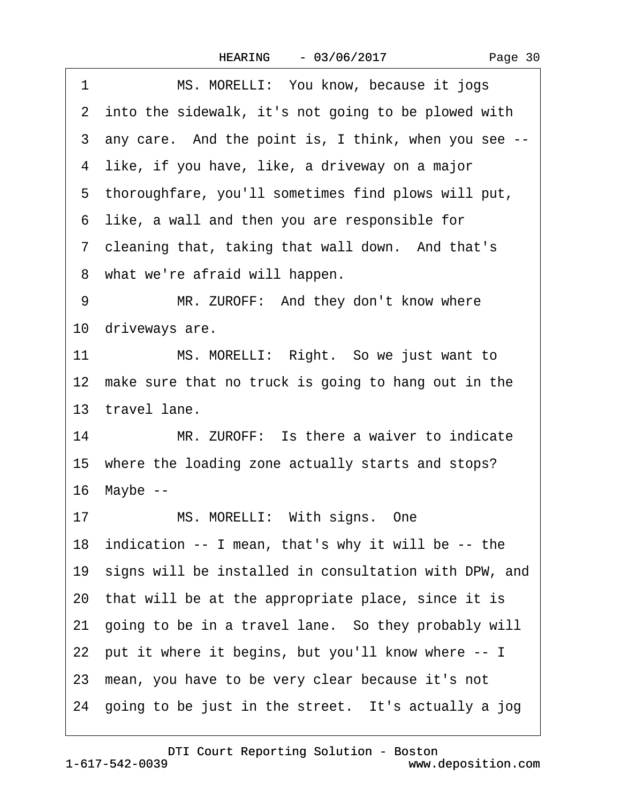| Page 30 |
|---------|
|---------|

| 1  | MS. MORELLI: You know, because it jogs                   |
|----|----------------------------------------------------------|
|    | 2 into the sidewalk, it's not going to be plowed with    |
|    | 3 any care. And the point is, I think, when you see --   |
|    | 4 like, if you have, like, a driveway on a major         |
|    | 5 thoroughfare, you'll sometimes find plows will put,    |
|    | 6 like, a wall and then you are responsible for          |
|    | 7 cleaning that, taking that wall down. And that's       |
|    | 8 what we're afraid will happen.                         |
| 9  | MR. ZUROFF: And they don't know where                    |
|    | 10 driveways are.                                        |
| 11 | MS. MORELLI: Right. So we just want to                   |
|    | 12 make sure that no truck is going to hang out in the   |
|    | 13 travel lane.                                          |
| 14 | MR. ZUROFF: Is there a waiver to indicate                |
|    | 15 where the loading zone actually starts and stops?     |
|    | 16 Maybe --                                              |
| 17 | MS. MORELLI: With signs. One                             |
|    | 18 indication -- I mean, that's why it will be -- the    |
|    | 19 signs will be installed in consultation with DPW, and |
|    | 20 that will be at the appropriate place, since it is    |
|    | 21 going to be in a travel lane. So they probably will   |
|    | 22 put it where it begins, but you'll know where -- I    |
|    | 23 mean, you have to be very clear because it's not      |
|    | 24 going to be just in the street. It's actually a jog   |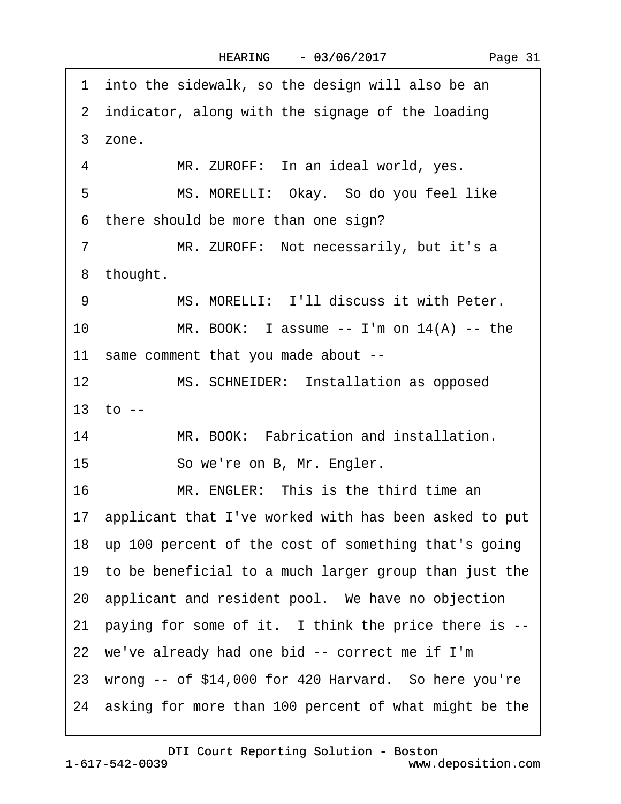1 into the sidewalk, so the design will also be an 2 indicator, along with the signage of the loading ·3· zone. 4 MR. ZUROFF: In an ideal world, yes. 5 MS. MORELLI: Okay. So do you feel like 6 there should be more than one sign? 7 MR. ZUROFF: Not necessarily, but it's a 8 thought. 9 MS. MORELLI: I'll discuss it with Peter. 10 MR. BOOK: I assume  $-$  I'm on 14(A)  $-$  the 11 same comment that you made about --12 MS. SCHNEIDER: Installation as opposed 13  $\tau$  to --14 MR. BOOK: Fabrication and installation. 15 · · · So we're on B, Mr. Engler. 16 MR. ENGLER: This is the third time an 17· applicant that I've worked with has been asked to put 18· up 100 percent of the cost of something that's going 19· to be beneficial to a much larger group than just the 20· applicant and resident pool.· We have no objection 21 paying for some of it. I think the price there is --22 we've already had one bid -- correct me if I'm 23 wrong  $-$  of \$14,000 for 420 Harvard. So here you're 24 asking for more than 100 percent of what might be the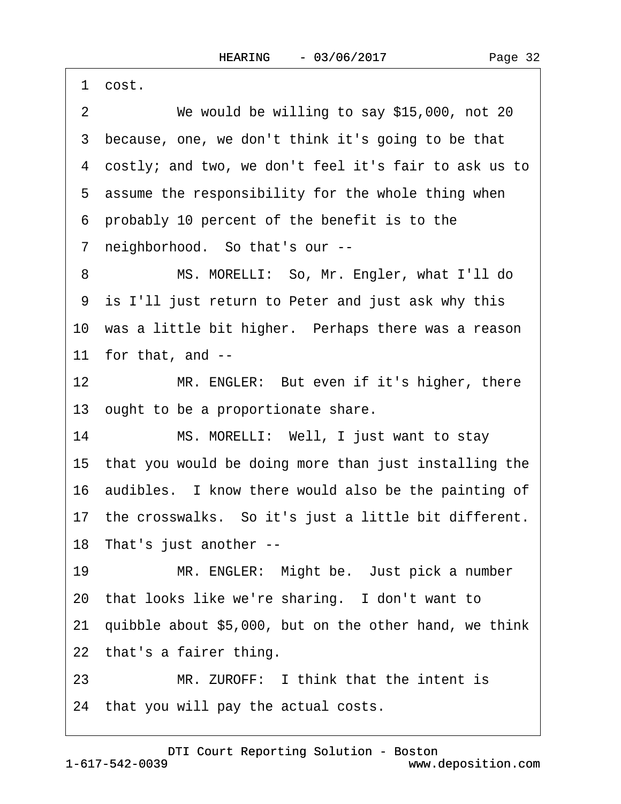Page 32

·1· cost. 2 We would be willing to say \$15,000, not 20 3 because, one, we don't think it's going to be that ·4· costly; and two, we don't feel it's fair to ask us to 5 assume the responsibility for the whole thing when ·6· probably 10 percent of the benefit is to the 7 neighborhood. So that's our --8 MS. MORELLI: So, Mr. Engler, what I'll do ·9· is I'll just return to Peter and just ask why this 10 was a little bit higher. Perhaps there was a reason 11 for that, and  $-$ 12 MR. ENGLER: But even if it's higher, there 13 ought to be a proportionate share. 14 MS. MORELLI: Well, I just want to stay 15· that you would be doing more than just installing the 16· audibles.· I know there would also be the painting of 17 the crosswalks. So it's just a little bit different. 18 That's just another --19 MR. ENGLER: Might be. Just pick a number 20 that looks like we're sharing. I don't want to 21 quibble about \$5,000, but on the other hand, we think 22 that's a fairer thing. 23 MR. ZUROFF: I think that the intent is 24 that you will pay the actual costs.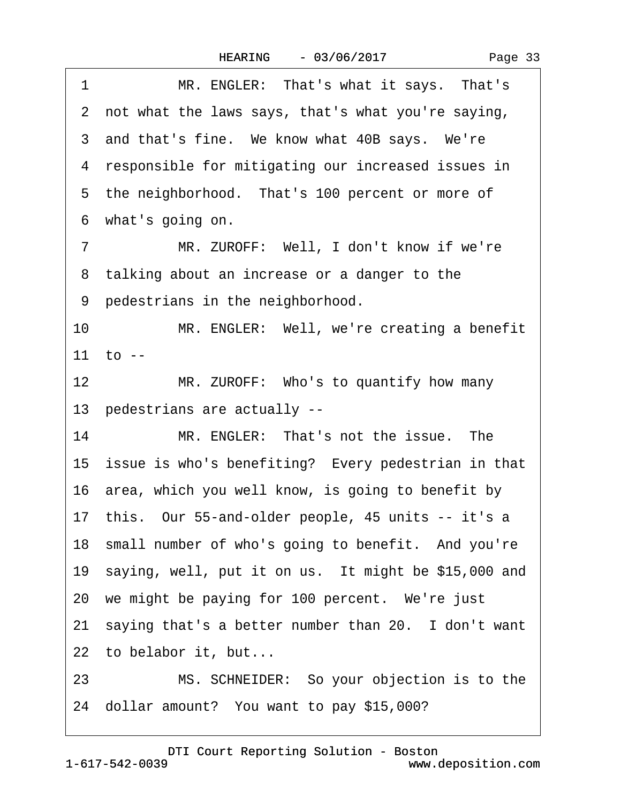1 MR. ENGLER: That's what it says. That's ·2· not what the laws says, that's what you're saying, 3 and that's fine. We know what 40B says. We're 4 responsible for mitigating our increased issues in 5 the neighborhood. That's 100 percent or more of ·6· what's going on. 7 MR. ZUROFF: Well, I don't know if we're 8 talking about an increase or a danger to the 9 pedestrians in the neighborhood. 10 MR. ENGLER: Well, we're creating a benefit 11  $\tau$  to --12 MR. ZUROFF: Who's to quantify how many 13· pedestrians are actually -- 14 MR. ENGLER: That's not the issue. The 15 issue is who's benefiting? Every pedestrian in that 16· area, which you well know, is going to benefit by 17· this.· Our 55-and-older people, 45 units -- it's a 18 small number of who's going to benefit. And you're 19 saying, well, put it on us. It might be \$15,000 and 20 we might be paying for 100 percent. We're just 21 saying that's a better number than 20. I don't want 22 to belabor it, but... 23 MS. SCHNEIDER: So your objection is to the 24 dollar amount? You want to pay \$15,000?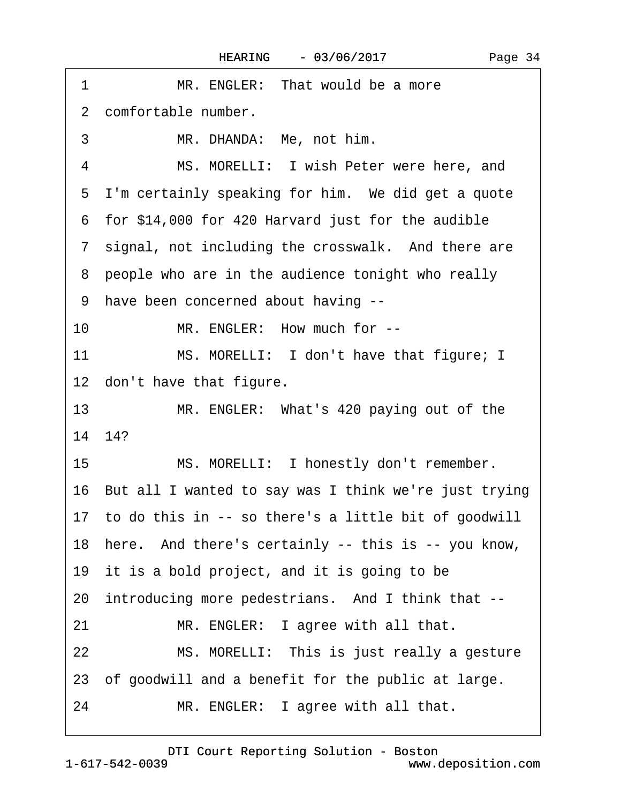| MR. ENGLER: That would be a more<br>1                       |  |
|-------------------------------------------------------------|--|
| 2 comfortable number.                                       |  |
| 3<br>MR. DHANDA: Me, not him.                               |  |
| MS. MORELLI: I wish Peter were here, and<br>4               |  |
| 5 I'm certainly speaking for him. We did get a quote        |  |
| 6 for \$14,000 for 420 Harvard just for the audible         |  |
| 7 signal, not including the crosswalk. And there are        |  |
| 8 people who are in the audience tonight who really         |  |
| 9 have been concerned about having --                       |  |
| MR. ENGLER: How much for --<br>10                           |  |
| 11<br>MS. MORELLI: I don't have that figure; I              |  |
| 12 don't have that figure.                                  |  |
| 13 <sup>2</sup><br>MR. ENGLER: What's 420 paying out of the |  |
| 14 14?                                                      |  |
| 15<br>MS. MORELLI: I honestly don't remember.               |  |
| 16 But all I wanted to say was I think we're just trying    |  |
| 17 to do this in -- so there's a little bit of goodwill     |  |
| 18 here. And there's certainly -- this is -- you know,      |  |
| 19 it is a bold project, and it is going to be              |  |
| 20 introducing more pedestrians. And I think that --        |  |
| MR. ENGLER: I agree with all that.<br>21                    |  |
| 22<br>MS. MORELLI: This is just really a gesture            |  |
| 23 of goodwill and a benefit for the public at large.       |  |
| 24<br>MR. ENGLER: I agree with all that.                    |  |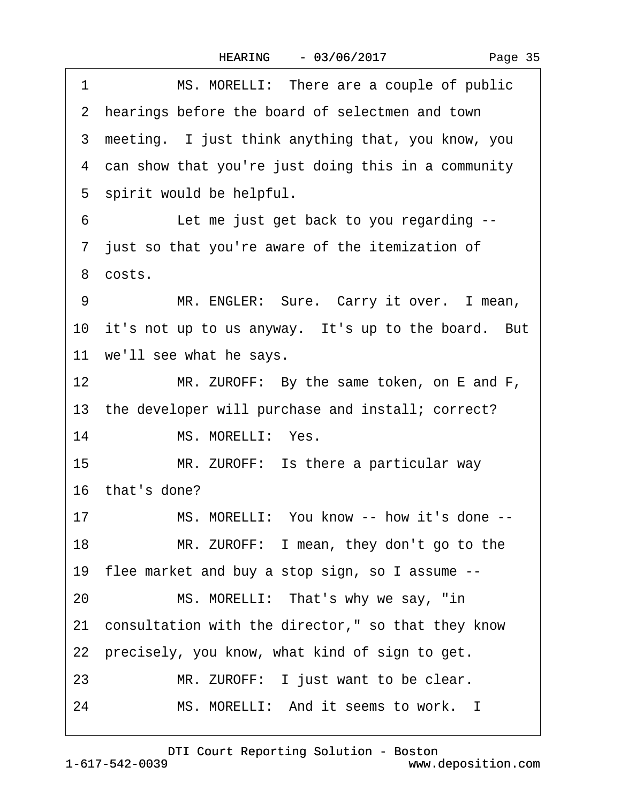| 1               | MS. MORELLI: There are a couple of public              |
|-----------------|--------------------------------------------------------|
|                 | 2 hearings before the board of selectmen and town      |
|                 | 3 meeting. I just think anything that, you know, you   |
|                 | 4 can show that you're just doing this in a community  |
|                 | 5 spirit would be helpful.                             |
| 6               | Let me just get back to you regarding --               |
|                 | 7 just so that you're aware of the itemization of      |
|                 | 8 costs.                                               |
| 9               | MR. ENGLER: Sure. Carry it over. I mean,               |
|                 | 10 it's not up to us anyway. It's up to the board. But |
|                 | 11 we'll see what he says.                             |
| 12 <sup>7</sup> | MR. ZUROFF: By the same token, on E and F,             |
|                 | 13 the developer will purchase and install; correct?   |
| 14              | MS. MORELLI: Yes.                                      |
| 15              | MR. ZUROFF: Is there a particular way                  |
|                 | 16 that's done?                                        |
| 17              | MS. MORELLI: You know -- how it's done --              |
| 18              | MR. ZUROFF: I mean, they don't go to the               |
|                 | 19 flee market and buy a stop sign, so I assume --     |
| 20              | MS. MORELLI: That's why we say, "in                    |
|                 | 21 consultation with the director," so that they know  |
|                 | 22 precisely, you know, what kind of sign to get.      |
| 23              | MR. ZUROFF: I just want to be clear.                   |
| 24              | MS. MORELLI: And it seems to work. I                   |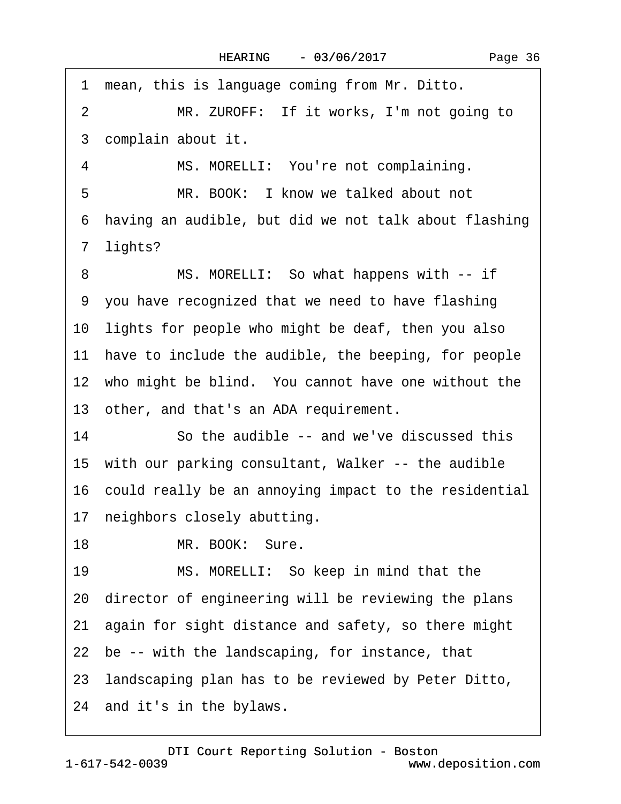Page 36

1 mean, this is language coming from Mr. Ditto. 2 MR. ZUROFF: If it works, I'm not going to 3 complain about it. 4 MS. MORELLI: You're not complaining. 5 MR. BOOK: I know we talked about not ·6· having an audible, but did we not talk about flashing 7 lights? 8 MS. MORELLI: So what happens with -- if ·9· you have recognized that we need to have flashing 10 lights for people who might be deaf, then you also 11 have to include the audible, the beeping, for people 12 who might be blind. You cannot have one without the 13· other, and that's an ADA requirement. 14 So the audible -- and we've discussed this 15 with our parking consultant, Walker -- the audible 16 could really be an annoying impact to the residential 17 neighbors closely abutting. 18 MR. BOOK: Sure. 19 MS. MORELLI: So keep in mind that the 20· director of engineering will be reviewing the plans 21· again for sight distance and safety, so there might 22 be -- with the landscaping, for instance, that 23· landscaping plan has to be reviewed by Peter Ditto, 24 and it's in the bylaws.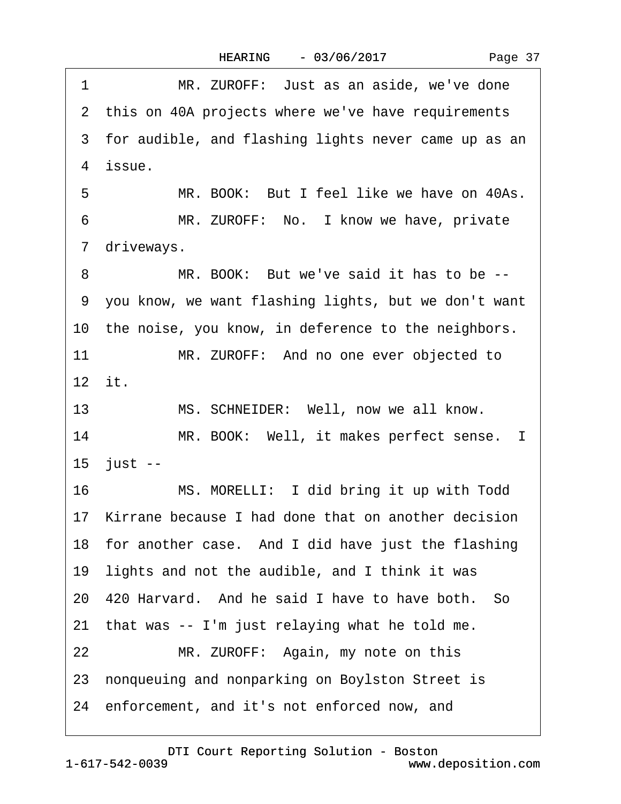<span id="page-36-0"></span>1 MR. ZUROFF: Just as an aside, we've done 2 this on 40A projects where we've have requirements 3 for audible, and flashing lights never came up as an 4 issue. 5 MR. BOOK: But I feel like we have on 40As. 6 MR. ZUROFF: No. I know we have, private 7 driveways. 8 MR. BOOK: But we've said it has to be --·9· you know, we want flashing lights, but we don't want 10 the noise, you know, in deference to the neighbors. 11 MR. ZUROFF: And no one ever objected to 12· it. 13 MS. SCHNEIDER: Well, now we all know. 14 MR. BOOK: Well, it makes perfect sense. I 15 just --16 MS. MORELLI: I did bring it up with Todd 17 Kirrane because I had done that on another decision 18 for another case. And I did have just the flashing 19 lights and not the audible, and I think it was 20· 420 Harvard.· And he said I have to have both.· So 21 that was -- I'm just relaying what he told me. 22 MR. ZUROFF: Again, my note on this 23 nonqueuing and nonparking on Boylston Street is 24· enforcement, and it's not enforced now, and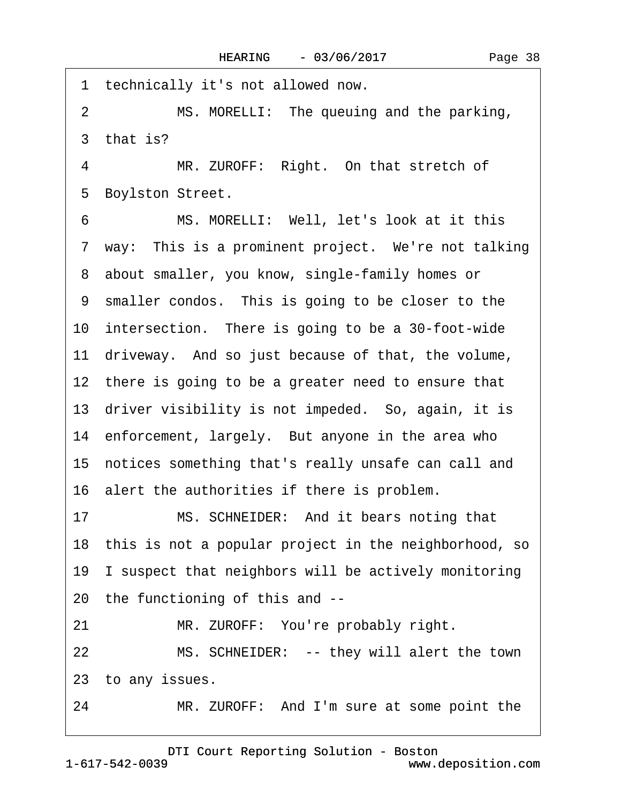<span id="page-37-0"></span>1 technically it's not allowed now. 2 MS. MORELLI: The queuing and the parking, 3 that is? 4 MR. ZUROFF: Right. On that stretch of

5 Boylston Street.

6 MS. MORELLI: Well, let's look at it this 7 way: This is a prominent project. We're not talking 8 about smaller, you know, single-family homes or 9 smaller condos. This is going to be closer to the 10 intersection. There is going to be a 30-foot-wide 11 driveway. And so just because of that, the volume, 12 there is going to be a greater need to ensure that 13 driver visibility is not impeded. So, again, it is 14 enforcement, largely. But anyone in the area who 15· notices something that's really unsafe can call and 16· alert the authorities if there is problem. 17 MS. SCHNEIDER: And it bears noting that 18 this is not a popular project in the neighborhood, so

19 I suspect that neighbors will be actively monitoring 20· the functioning of this and --

21 MR. ZUROFF: You're probably right.

22 MS. SCHNEIDER: -- they will alert the town 23 to any issues.

24 MR. ZUROFF: And I'm sure at some point the

1-617-542-0039 [DTI Court Reporting Solution - Boston](http://www.deposition.com) www.deposition.com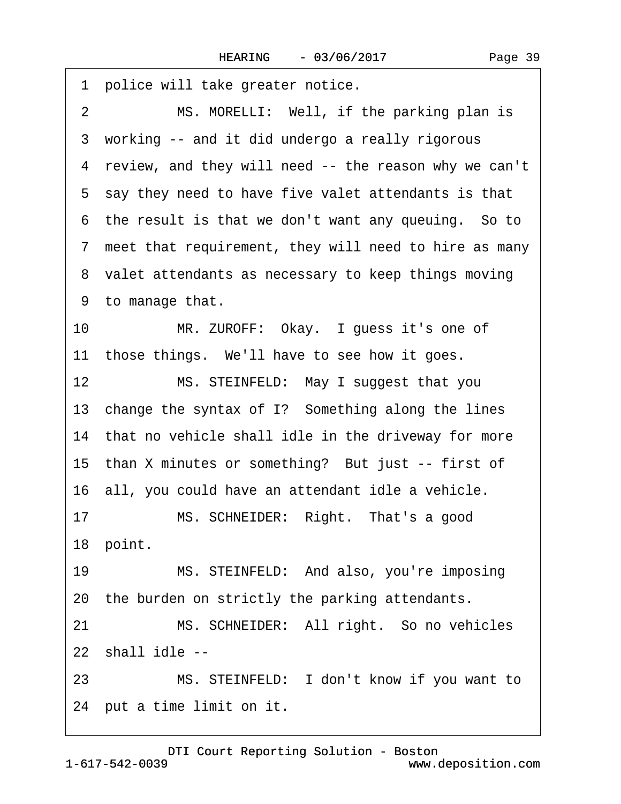<span id="page-38-0"></span>1 police will take greater notice. 2 MS. MORELLI: Well, if the parking plan is 3 working -- and it did undergo a really rigorous 4 review, and they will need -- the reason why we can't 5 say they need to have five valet attendants is that 6 the result is that we don't want any queuing. So to 7 meet that requirement, they will need to hire as many 8 valet attendants as necessary to keep things moving ·9· to manage that. 10 MR. ZUROFF: Okay. I guess it's one of 11 those things. We'll have to see how it goes. 12 MS. STEINFELD: May I suggest that you 13 change the syntax of I? Something along the lines 14 that no vehicle shall idle in the driveway for more 15 than X minutes or something? But just -- first of 16· all, you could have an attendant idle a vehicle. 17 MS. SCHNEIDER: Right. That's a good 18 point. 19 MS. STEINFELD: And also, you're imposing 20 the burden on strictly the parking attendants. 21 MS. SCHNEIDER: All right. So no vehicles 22 shall idle --23 MS. STEINFELD: I don't know if you want to

24 put a time limit on it.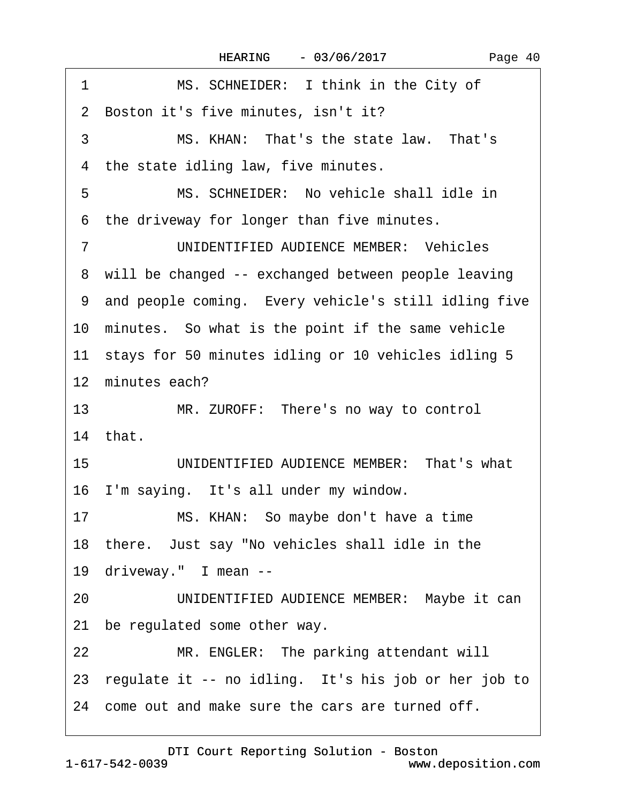<span id="page-39-0"></span>

| MS. SCHNEIDER: I think in the City of<br>1              |
|---------------------------------------------------------|
| 2 Boston it's five minutes, isn't it?                   |
| 3<br>MS. KHAN: That's the state law. That's             |
| the state idling law, five minutes.<br>4                |
| MS. SCHNEIDER: No vehicle shall idle in<br>5            |
| the driveway for longer than five minutes.<br>6         |
| UNIDENTIFIED AUDIENCE MEMBER: Vehicles<br>7             |
| 8 will be changed -- exchanged between people leaving   |
| 9 and people coming. Every vehicle's still idling five  |
| 10 minutes. So what is the point if the same vehicle    |
| 11 stays for 50 minutes idling or 10 vehicles idling 5  |
| 12 minutes each?                                        |
| 13<br>MR. ZUROFF: There's no way to control             |
| 14 that.                                                |
| UNIDENTIFIED AUDIENCE MEMBER: That's what<br>15         |
| 16 I'm saying. It's all under my window.                |
| MS. KHAN: So maybe don't have a time<br>17              |
| 18 there. Just say "No vehicles shall idle in the       |
| 19 driveway." I mean --                                 |
| UNIDENTIFIED AUDIENCE MEMBER: Maybe it can<br>20        |
| 21 be regulated some other way.                         |
|                                                         |
| MR. ENGLER: The parking attendant will<br>22            |
| 23 regulate it -- no idling. It's his job or her job to |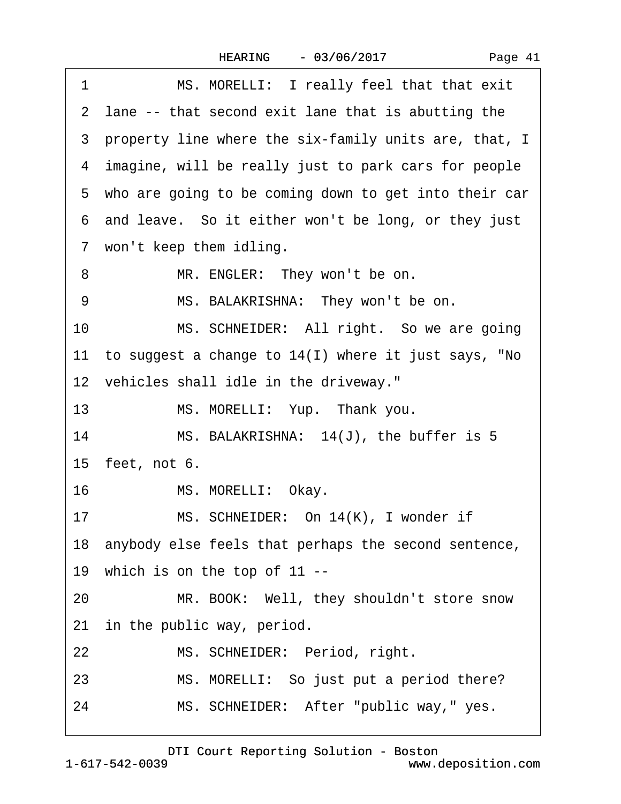|  | Page 41 |  |
|--|---------|--|
|--|---------|--|

<span id="page-40-0"></span>

| 1               | MS. MORELLI: I really feel that that exit               |
|-----------------|---------------------------------------------------------|
|                 | 2 lane -- that second exit lane that is abutting the    |
|                 | 3 property line where the six-family units are, that, I |
|                 | 4 imagine, will be really just to park cars for people  |
|                 | 5 who are going to be coming down to get into their car |
|                 | 6 and leave. So it either won't be long, or they just   |
|                 | 7 won't keep them idling.                               |
| 8               | MR. ENGLER: They won't be on.                           |
| 9               | MS. BALAKRISHNA: They won't be on.                      |
| 10              | MS. SCHNEIDER: All right. So we are going               |
|                 | 11 to suggest a change to 14(I) where it just says, "No |
|                 | 12 vehicles shall idle in the driveway."                |
| 13              | MS. MORELLI: Yup. Thank you.                            |
| 14              | MS. BALAKRISHNA: 14(J), the buffer is 5                 |
| 15 feet, not 6. |                                                         |
| 16              | MS. MORELLI: Okay.                                      |
| 17              | MS. SCHNEIDER: On 14(K), I wonder if                    |
|                 | 18 anybody else feels that perhaps the second sentence, |
|                 | 19 which is on the top of 11 --                         |
| 20              | MR. BOOK: Well, they shouldn't store snow               |
|                 | 21 in the public way, period.                           |
| 22              | MS. SCHNEIDER: Period, right.                           |
| 23              | MS. MORELLI: So just put a period there?                |
| 24              | MS. SCHNEIDER: After "public way," yes.                 |
|                 |                                                         |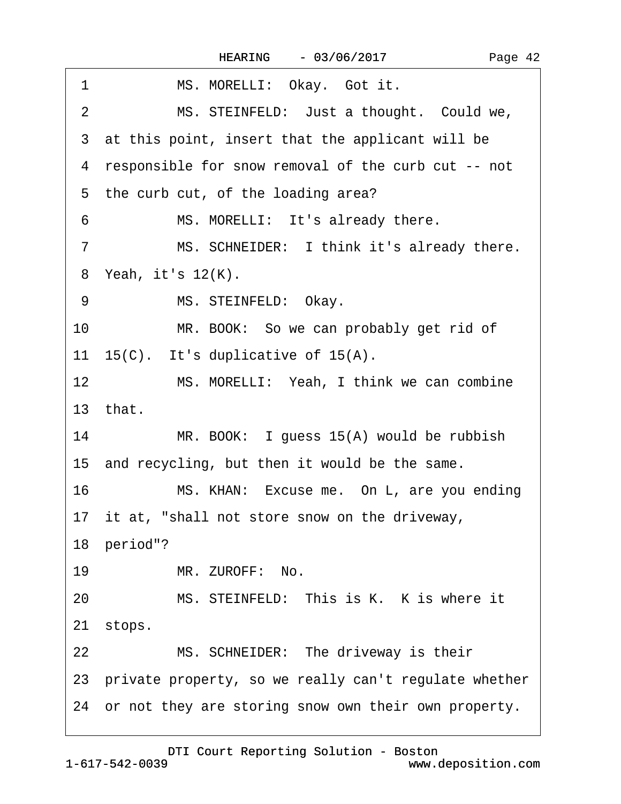<span id="page-41-0"></span>

| MS. MORELLI: Okay. Got it.<br>1                              |
|--------------------------------------------------------------|
| MS. STEINFELD: Just a thought. Could we,<br>$\overline{2}$   |
| 3 at this point, insert that the applicant will be           |
| 4 responsible for snow removal of the curb cut -- not        |
| 5 the curb cut, of the loading area?                         |
| MS. MORELLI: It's already there.<br>6                        |
| MS. SCHNEIDER: I think it's already there.<br>$\overline{7}$ |
| 8 Yeah, it's 12(K).                                          |
| MS. STEINFELD: Okay.<br>9                                    |
| 10<br>MR. BOOK: So we can probably get rid of                |
| 11 15(C). It's duplicative of 15(A).                         |
| 12<br>MS. MORELLI: Yeah, I think we can combine              |
| 13 that.                                                     |
| 14<br>MR. BOOK: I guess 15(A) would be rubbish               |
| 15 and recycling, but then it would be the same.             |
| 16<br>MS. KHAN: Excuse me. On L, are you ending              |
| 17 it at, "shall not store snow on the driveway,             |
| 18 period"?                                                  |
| 19<br>MR. ZUROFF: No.                                        |
| 20<br>MS. STEINFELD: This is K. K is where it                |
| 21 stops.                                                    |
| 22<br>MS. SCHNEIDER: The driveway is their                   |
| 23 private property, so we really can't regulate whether     |
| 24 or not they are storing snow own their own property.      |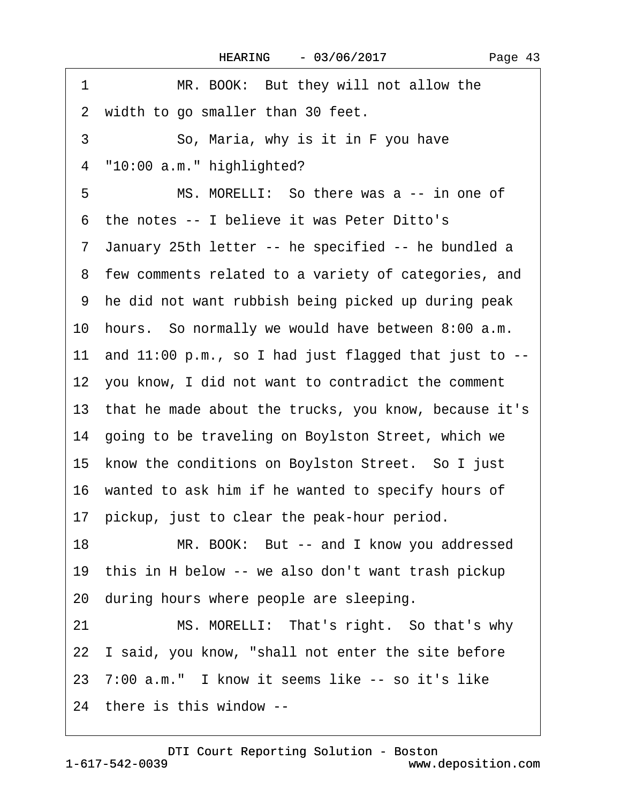| MR. BOOK: But they will not allow the<br>1               |
|----------------------------------------------------------|
| 2 width to go smaller than 30 feet.                      |
| 3<br>So, Maria, why is it in F you have                  |
| "10:00 a.m." highlighted?<br>4                           |
| MS. MORELLI: So there was a -- in one of<br>5            |
| 6 the notes -- I believe it was Peter Ditto's            |
| 7 January 25th letter -- he specified -- he bundled a    |
| 8 few comments related to a variety of categories, and   |
| 9 he did not want rubbish being picked up during peak    |
| 10 hours. So normally we would have between 8:00 a.m.    |
| 11 and 11:00 p.m., so I had just flagged that just to -- |
| 12 you know, I did not want to contradict the comment    |
| 13 that he made about the trucks, you know, because it's |
| 14 going to be traveling on Boylston Street, which we    |
| 15 know the conditions on Boylston Street. So I just     |
| 16 wanted to ask him if he wanted to specify hours of    |
| 17 pickup, just to clear the peak-hour period.           |
| 18<br>MR. BOOK: But -- and I know you addressed          |
| 19 this in H below -- we also don't want trash pickup    |
| 20 during hours where people are sleeping.               |
| MS. MORELLI: That's right. So that's why<br>21           |
| 22 I said, you know, "shall not enter the site before    |
| 23 7:00 a.m." I know it seems like -- so it's like       |
| 24 there is this window --                               |

<span id="page-42-0"></span> $\sqrt{ }$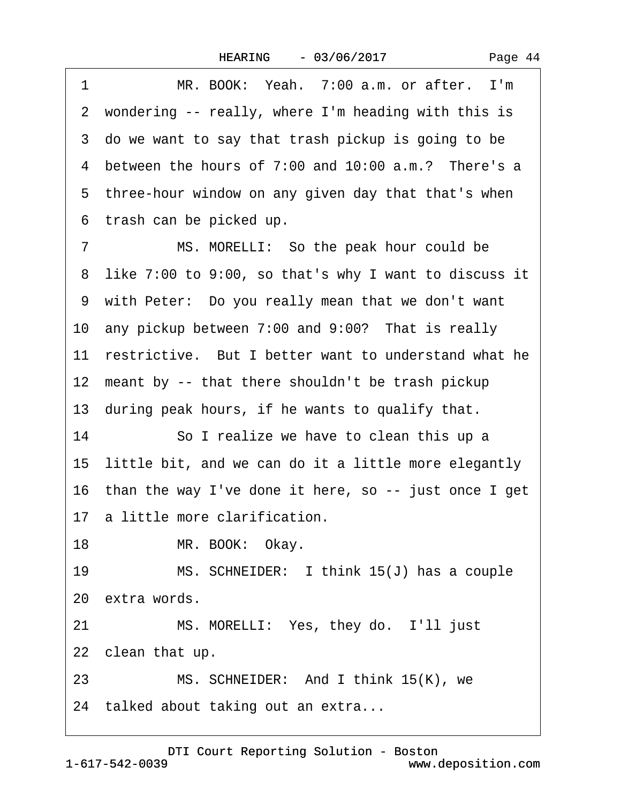<span id="page-43-0"></span>1 MR. BOOK: Yeah. 7:00 a.m. or after. I'm 2 wondering -- really, where I'm heading with this is 3 do we want to say that trash pickup is going to be 4 between the hours of 7:00 and 10:00 a.m.? There's a 5 three-hour window on any given day that that's when ·6· trash can be picked up. 7 MS. MORELLI: So the peak hour could be

·8· like 7:00 to 9:00, so that's why I want to discuss it 9 with Peter: Do you really mean that we don't want 10 any pickup between 7:00 and 9:00? That is really 11 restrictive. But I better want to understand what he 12 meant by -- that there shouldn't be trash pickup

13 during peak hours, if he wants to qualify that.

14 So I realize we have to clean this up a 15 little bit, and we can do it a little more elegantly 16 than the way I've done it here, so -- just once I get 17 a little more clarification.

18 MR. BOOK: Okay.

19 MS. SCHNEIDER: I think 15(J) has a couple 20· extra words.

21 MS. MORELLI: Yes, they do. I'll just

22 clean that up.

23 MS. SCHNEIDER: And I think 15(K), we

24 talked about taking out an extra...

1-617-542-0039 [DTI Court Reporting Solution - Boston](http://www.deposition.com) www.deposition.com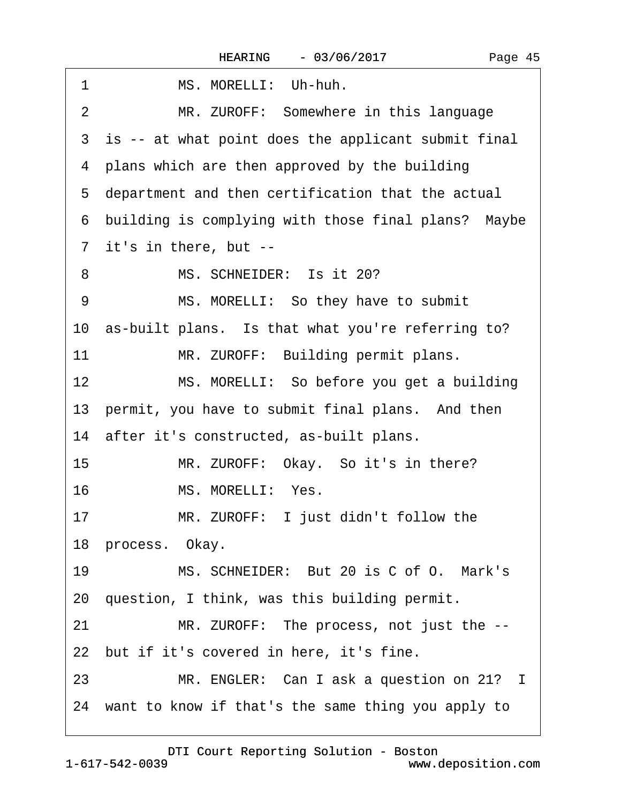<span id="page-44-0"></span>

| MS. MORELLI: Uh-huh.<br>1                             |
|-------------------------------------------------------|
| MR. ZUROFF: Somewhere in this language<br>2           |
| 3 is -- at what point does the applicant submit final |
| 4 plans which are then approved by the building       |
| 5 department and then certification that the actual   |
| 6 building is complying with those final plans? Maybe |
| 7 it's in there, but --                               |
| MS. SCHNEIDER: Is it 20?<br>8                         |
| MS. MORELLI: So they have to submit<br>9              |
| 10 as-built plans. Is that what you're referring to?  |
| 11<br>MR. ZUROFF: Building permit plans.              |
| 12<br>MS. MORELLI: So before you get a building       |
| 13 permit, you have to submit final plans. And then   |
| 14 after it's constructed, as-built plans.            |
| 15<br>MR. ZUROFF: Okay. So it's in there?             |
| MS. MORELLI: Yes.<br>16                               |
| MR. ZUROFF: I just didn't follow the<br>17            |
| 18 process. Okay.                                     |
| MS. SCHNEIDER: But 20 is C of O. Mark's<br>19         |
| 20 question, I think, was this building permit.       |
| MR. ZUROFF: The process, not just the --<br>21        |
| 22 but if it's covered in here, it's fine.            |
| MR. ENGLER: Can I ask a question on 21? I<br>23       |
| 24 want to know if that's the same thing you apply to |
|                                                       |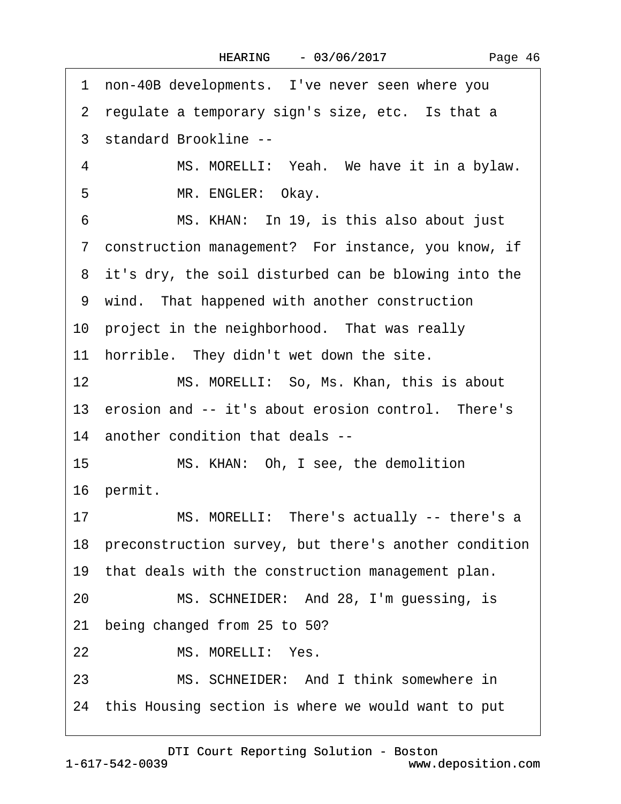|  | Page 46 |
|--|---------|
|--|---------|

<span id="page-45-0"></span>

|    | 1 non-40B developments. I've never seen where you        |
|----|----------------------------------------------------------|
|    | 2 regulate a temporary sign's size, etc. Is that a       |
|    | 3 standard Brookline --                                  |
| 4  | MS. MORELLI: Yeah. We have it in a bylaw.                |
| 5  | MR. ENGLER: Okay.                                        |
| 6  | MS. KHAN: In 19, is this also about just                 |
|    | 7 construction management? For instance, you know, if    |
|    | 8 it's dry, the soil disturbed can be blowing into the   |
|    | 9 wind. That happened with another construction          |
|    | 10 project in the neighborhood. That was really          |
|    | 11 horrible. They didn't wet down the site.              |
| 12 | MS. MORELLI: So, Ms. Khan, this is about                 |
|    | 13 erosion and -- it's about erosion control. There's    |
|    | 14 another condition that deals --                       |
| 15 | MS. KHAN: Oh, I see, the demolition                      |
|    | 16 permit.                                               |
|    | MS. MORELLI: There's actually -- there's a<br>17         |
|    | 18 preconstruction survey, but there's another condition |
|    | 19 that deals with the construction management plan.     |
| 20 | MS. SCHNEIDER: And 28, I'm guessing, is                  |
| 21 | being changed from 25 to 50?                             |
| 22 | MS. MORELLI: Yes.                                        |
| 23 | MS. SCHNEIDER: And I think somewhere in                  |
|    | 24 this Housing section is where we would want to put    |
|    |                                                          |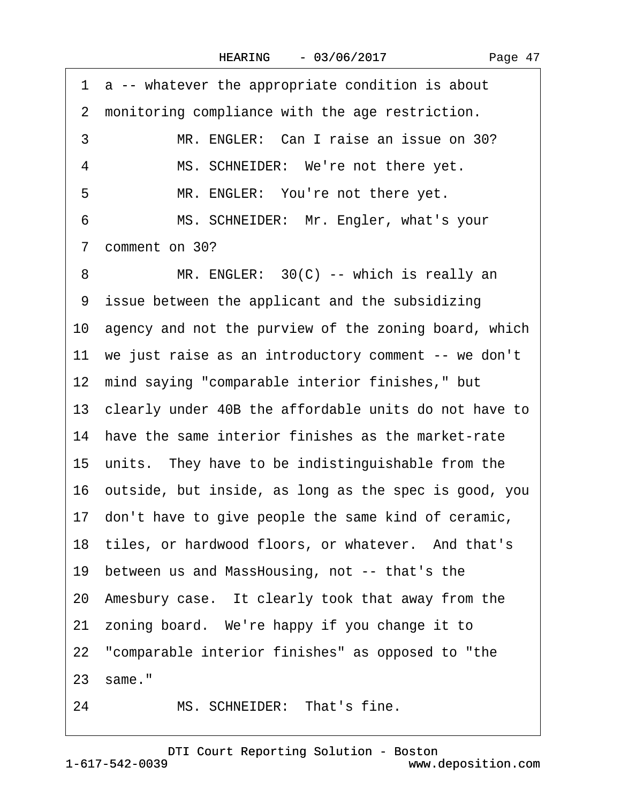|  | Page 47 |  |
|--|---------|--|
|--|---------|--|

<span id="page-46-0"></span>

|                | 1 a -- whatever the appropriate condition is about       |
|----------------|----------------------------------------------------------|
| $\overline{2}$ | monitoring compliance with the age restriction.          |
| 3              | MR. ENGLER: Can I raise an issue on 30?                  |
| 4              | MS. SCHNEIDER: We're not there yet.                      |
| 5              | MR. ENGLER: You're not there yet.                        |
| 6              | MS. SCHNEIDER: Mr. Engler, what's your                   |
| 7              | comment on 30?                                           |
| 8              | MR. ENGLER: 30(C) -- which is really an                  |
|                | 9 issue between the applicant and the subsidizing        |
|                | 10 agency and not the purview of the zoning board, which |
|                | 11 we just raise as an introductory comment -- we don't  |
|                | 12 mind saying "comparable interior finishes," but       |
|                | 13 clearly under 40B the affordable units do not have to |
|                | 14 have the same interior finishes as the market-rate    |
|                | 15 units. They have to be indistinguishable from the     |
|                | 16 outside, but inside, as long as the spec is good, you |
|                | 17 don't have to give people the same kind of ceramic,   |
|                | 18 tiles, or hardwood floors, or whatever. And that's    |
|                | 19 between us and MassHousing, not -- that's the         |
|                | 20 Amesbury case. It clearly took that away from the     |
|                | 21 zoning board. We're happy if you change it to         |
|                | 22 "comparable interior finishes" as opposed to "the     |
|                | 23 same."                                                |
| 24             | MS. SCHNEIDER: That's fine.                              |

1-617-542-0039 [DTI Court Reporting Solution - Boston](http://www.deposition.com) www.deposition.com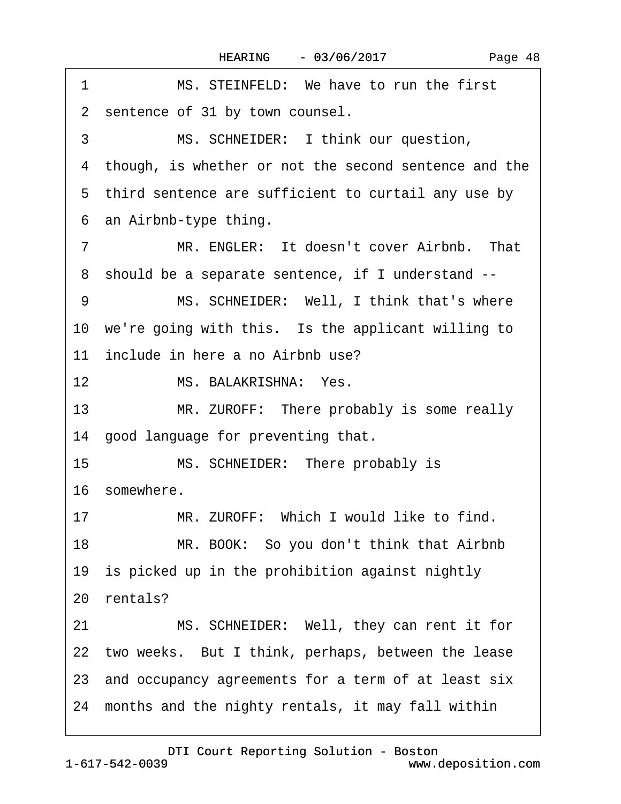<span id="page-47-0"></span>

| 1                | MS. STEINFELD: We have to run the first                 |
|------------------|---------------------------------------------------------|
|                  | 2 sentence of 31 by town counsel.                       |
| 3                | MS. SCHNEIDER: I think our question,                    |
|                  | 4 though, is whether or not the second sentence and the |
|                  | 5 third sentence are sufficient to curtail any use by   |
|                  | 6 an Airbnb-type thing.                                 |
| 7                | MR. ENGLER: It doesn't cover Airbnb. That               |
|                  | 8 should be a separate sentence, if I understand --     |
| 9                | MS. SCHNEIDER: Well, I think that's where               |
|                  | 10 we're going with this. Is the applicant willing to   |
|                  | 11 include in here a no Airbnb use?                     |
| 12 <sup>12</sup> | MS. BALAKRISHNA: Yes.                                   |
| 13               | MR. ZUROFF: There probably is some really               |
|                  | 14 good language for preventing that.                   |
| 15               | MS. SCHNEIDER: There probably is                        |
|                  | 16 somewhere.                                           |
| 17               | MR. ZUROFF: Which I would like to find.                 |
| 18               | MR. BOOK: So you don't think that Airbnb                |
|                  | 19 is picked up in the prohibition against nightly      |
|                  | 20 rentals?                                             |
| 21               | MS. SCHNEIDER: Well, they can rent it for               |
|                  | 22 two weeks. But I think, perhaps, between the lease   |
|                  | 23 and occupancy agreements for a term of at least six  |
|                  | 24 months and the nighty rentals, it may fall within    |
|                  |                                                         |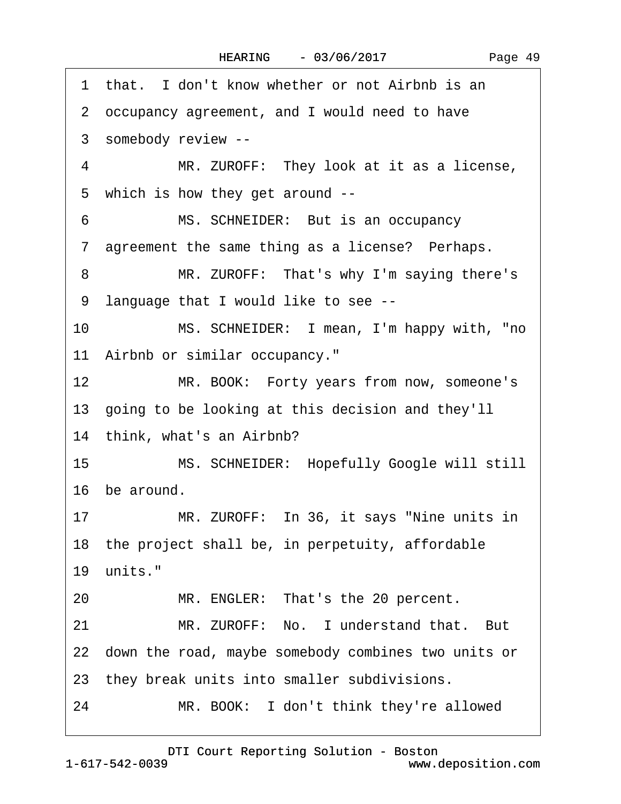<span id="page-48-0"></span>

| 1 that. I don't know whether or not Airbnb is an              |
|---------------------------------------------------------------|
| 2 occupancy agreement, and I would need to have               |
| 3 somebody review --                                          |
| MR. ZUROFF: They look at it as a license,<br>4                |
| 5 which is how they get around --                             |
| MS. SCHNEIDER: But is an occupancy<br>6                       |
| 7 agreement the same thing as a license? Perhaps.             |
| MR. ZUROFF: That's why I'm saying there's<br>8                |
| 9 language that I would like to see --                        |
| MS. SCHNEIDER: I mean, I'm happy with, "no<br>10              |
| 11 Airbnb or similar occupancy."                              |
| 12 <sup>1</sup><br>MR. BOOK: Forty years from now, someone's  |
| 13 going to be looking at this decision and they'll           |
| 14 think, what's an Airbnb?                                   |
| MS. SCHNEIDER: Hopefully Google will still<br>15 <sup>1</sup> |
| 16 be around.                                                 |
| MR. ZUROFF: In 36, it says "Nine units in<br>17               |
| 18 the project shall be, in perpetuity, affordable            |
| 19 units."                                                    |
| 20<br>MR. ENGLER: That's the 20 percent.                      |
| MR. ZUROFF: No. I understand that. But<br>21                  |
| 22 down the road, maybe somebody combines two units or        |
| 23 they break units into smaller subdivisions.                |
| 24<br>MR. BOOK: I don't think they're allowed                 |
|                                                               |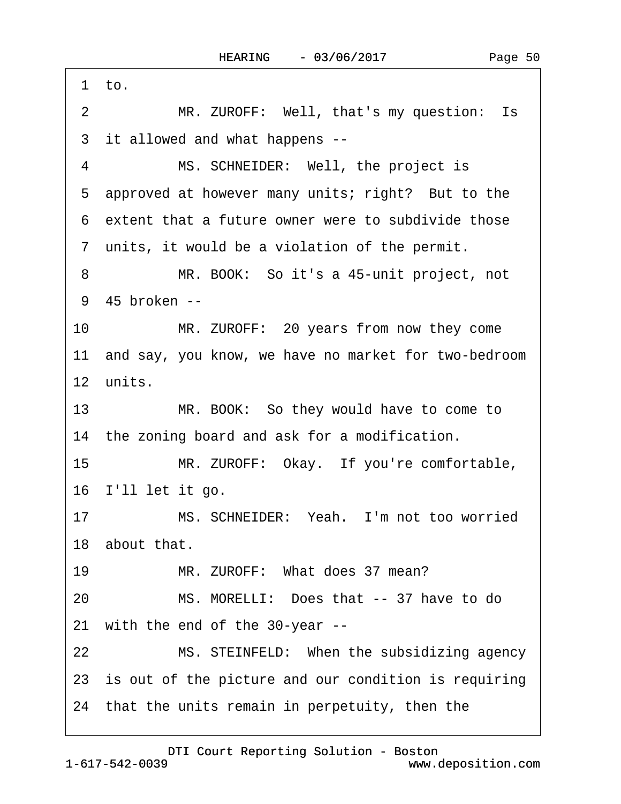<span id="page-49-0"></span>1 to. 2 MR. ZUROFF: Well, that's my question: Is 3 it allowed and what happens --4 MS. SCHNEIDER: Well, the project is 5 approved at however many units; right? But to the ·6· extent that a future owner were to subdivide those 7 units, it would be a violation of the permit. 8 MR. BOOK: So it's a 45-unit project, not 9 45 broken --10 MR. ZUROFF: 20 years from now they come 11 and say, you know, we have no market for two-bedroom 12 units. 13 MR. BOOK: So they would have to come to 14 the zoning board and ask for a modification. 15 MR. ZUROFF: Okay. If you're comfortable, 16 I'll let it go. 17 MS. SCHNEIDER: Yeah. I'm not too worried 18 about that. 19 MR. ZUROFF: What does 37 mean? 20· · · · · ·MS. MORELLI:· Does that -- 37 have to do 21 with the end of the 30-year --22 MS. STEINFELD: When the subsidizing agency 23 is out of the picture and our condition is requiring 24· that the units remain in perpetuity, then the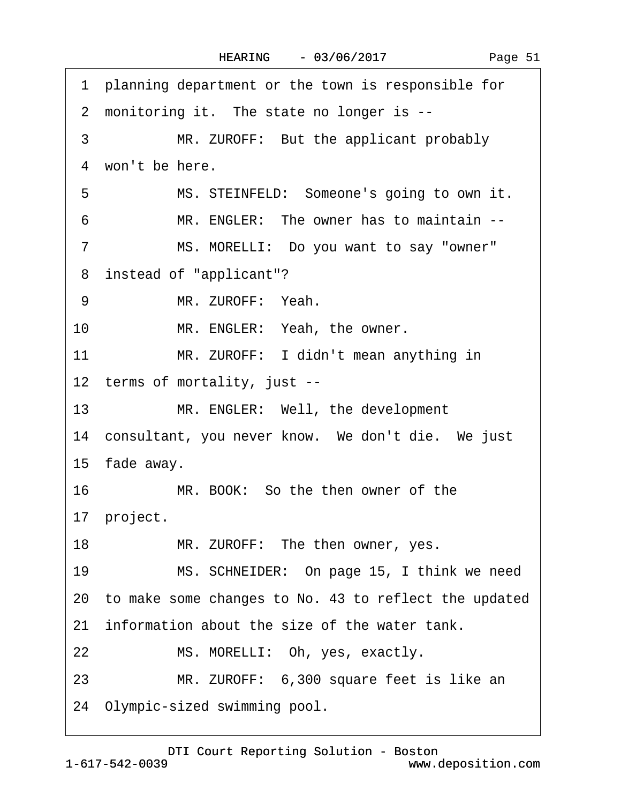|  | Page 51 |  |
|--|---------|--|
|  |         |  |

<span id="page-50-0"></span>·1· planning department or the town is responsible for 2 monitoring it. The state no longer is --3 MR. ZUROFF: But the applicant probably 4 won't be here. 5 MS. STEINFELD: Someone's going to own it. ·6· · · · · ·MR. ENGLER:· The owner has to maintain -- 7 MS. MORELLI: Do you want to say "owner" ·8· instead of "applicant"? 9 MR. ZUROFF: Yeah. 10 MR. ENGLER: Yeah, the owner. 11 MR. ZUROFF: I didn't mean anything in 12 terms of mortality, just --13 MR. ENGLER: Well, the development 14 consultant, you never know. We don't die. We just 15 fade away. 16 MR. BOOK: So the then owner of the 17 project. 18 MR. ZUROFF: The then owner, yes. 19 MS. SCHNEIDER: On page 15, I think we need 20· to make some changes to No. 43 to reflect the updated 21 information about the size of the water tank. 22 MS. MORELLI: Oh, yes, exactly. 23 MR. ZUROFF: 6,300 square feet is like an 24· Olympic-sized swimming pool.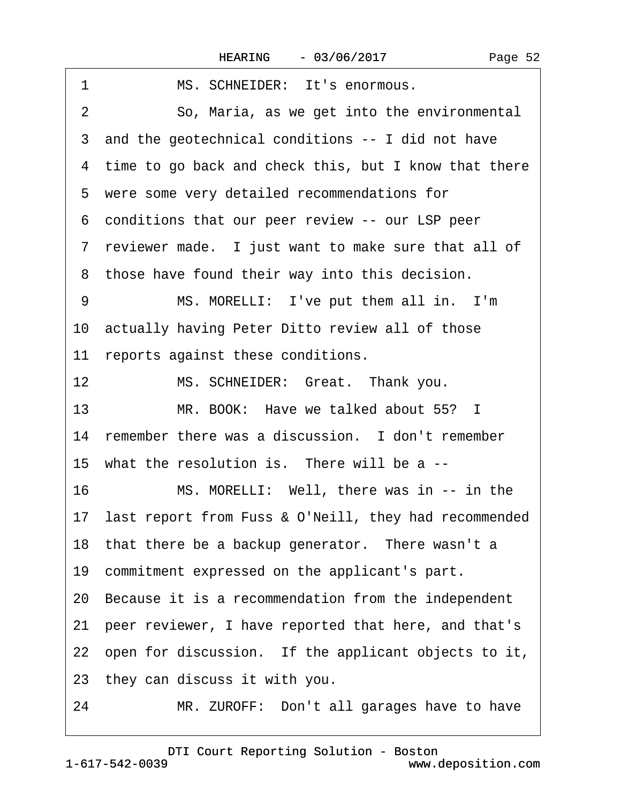| 1<br>MS. SCHNEIDER: It's enormous.                         |
|------------------------------------------------------------|
| 2<br>So, Maria, as we get into the environmental           |
| 3 and the geotechnical conditions -- I did not have        |
| 4 time to go back and check this, but I know that there    |
| 5 were some very detailed recommendations for              |
| 6 conditions that our peer review -- our LSP peer          |
| 7 reviewer made. I just want to make sure that all of      |
| 8 those have found their way into this decision.           |
| MS. MORELLI: I've put them all in. I'm<br>9                |
| 10 actually having Peter Ditto review all of those         |
| 11 reports against these conditions.                       |
| 12<br>MS. SCHNEIDER: Great. Thank you.                     |
| 13<br>MR. BOOK: Have we talked about 55? I                 |
| 14 remember there was a discussion. I don't remember       |
| 15 what the resolution is. There will be a --              |
| 16<br>MS. MORELLI: Well, there was in -- in the            |
| 17 last report from Fuss & O'Neill, they had recommended   |
| 18 that there be a backup generator. There wasn't a        |
| 19 commitment expressed on the applicant's part.           |
| 20 Because it is a recommendation from the independent     |
| peer reviewer, I have reported that here, and that's<br>21 |
| 22 open for discussion. If the applicant objects to it,    |
| 23 they can discuss it with you.                           |
| MR. ZUROFF: Don't all garages have to have<br>24           |

<span id="page-51-0"></span> $\Gamma$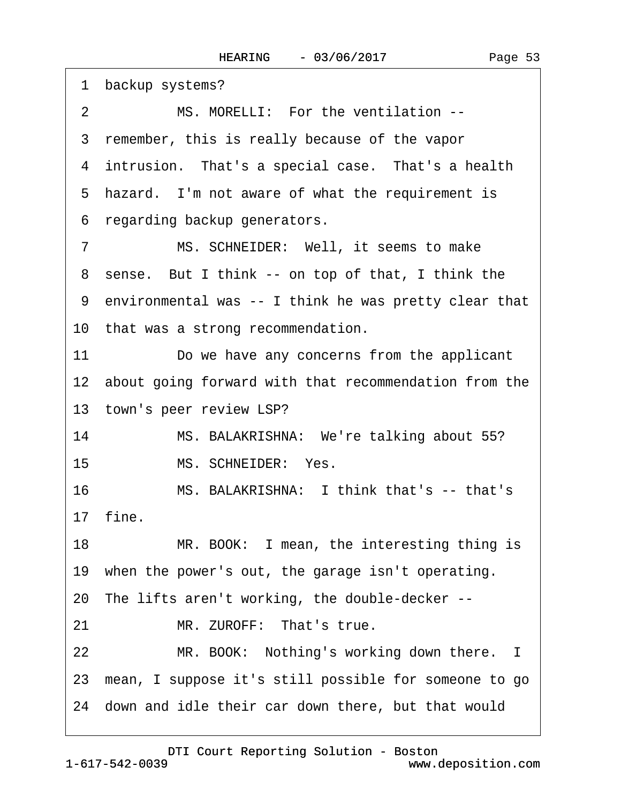<span id="page-52-0"></span>

| 1 backup systems?                                        |
|----------------------------------------------------------|
| MS. MORELLI: For the ventilation --<br>$\overline{2}$    |
| 3 remember, this is really because of the vapor          |
| 4 intrusion. That's a special case. That's a health      |
| 5 hazard. I'm not aware of what the requirement is       |
| 6 regarding backup generators.                           |
| MS. SCHNEIDER: Well, it seems to make<br>7               |
| 8 sense. But I think -- on top of that, I think the      |
| 9 environmental was -- I think he was pretty clear that  |
| 10 that was a strong recommendation.                     |
| 11<br>Do we have any concerns from the applicant         |
| 12 about going forward with that recommendation from the |
| 13 town's peer review LSP?                               |
| 14<br>MS. BALAKRISHNA: We're talking about 55?           |
| MS. SCHNEIDER: Yes.<br>15                                |
| MS. BALAKRISHNA: I think that's -- that's<br>16          |
| 17 fine.                                                 |
| 18<br>MR. BOOK: I mean, the interesting thing is         |
| 19 when the power's out, the garage isn't operating.     |
| 20 The lifts aren't working, the double-decker --        |
| MR. ZUROFF: That's true.<br>21                           |
| 22<br>MR. BOOK: Nothing's working down there. I          |
| 23 mean, I suppose it's still possible for someone to go |
| 24 down and idle their car down there, but that would    |
|                                                          |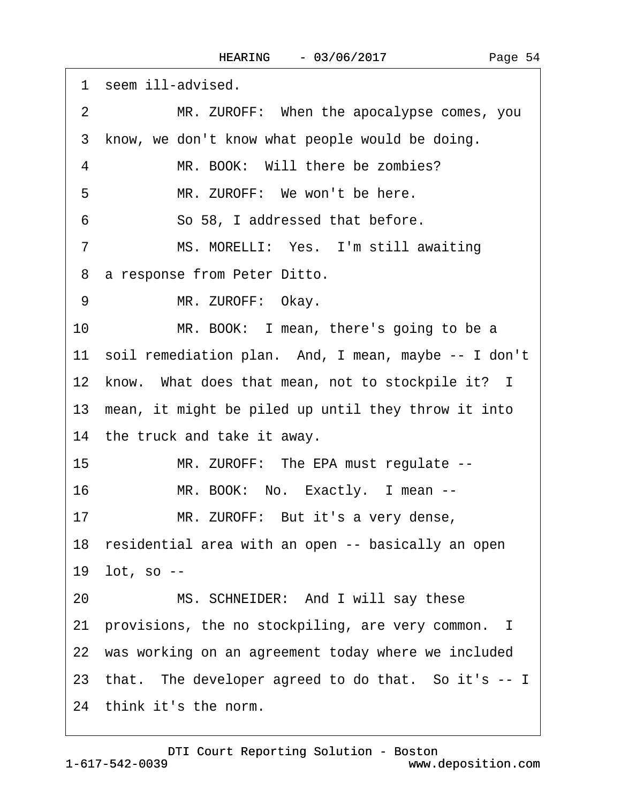<span id="page-53-0"></span>

|    | 1 seem ill-advised.                                     |
|----|---------------------------------------------------------|
| 2  | MR. ZUROFF: When the apocalypse comes, you              |
| 3  | know, we don't know what people would be doing.         |
| 4  | MR. BOOK: Will there be zombies?                        |
| 5  | MR. ZUROFF: We won't be here.                           |
| 6  | So 58, I addressed that before.                         |
| 7  | MS. MORELLI: Yes. I'm still awaiting                    |
|    | 8 a response from Peter Ditto.                          |
| 9  | MR. ZUROFF: Okay.                                       |
| 10 | MR. BOOK: I mean, there's going to be a                 |
|    | 11 soil remediation plan. And, I mean, maybe -- I don't |
|    | 12 know. What does that mean, not to stockpile it? I    |
|    | 13 mean, it might be piled up until they throw it into  |
|    | 14 the truck and take it away.                          |
| 15 | MR. ZUROFF: The EPA must regulate --                    |
| 16 | MR. BOOK: No. Exactly. I mean --                        |
| 17 | MR. ZUROFF: But it's a very dense,                      |
|    | 18 residential area with an open -- basically an open   |
|    | 19 lot, so --                                           |
| 20 | MS. SCHNEIDER: And I will say these                     |
|    | 21 provisions, the no stockpiling, are very common. I   |
|    | 22 was working on an agreement today where we included  |
|    | 23 that. The developer agreed to do that. So it's -- I  |
|    | 24 think it's the norm.                                 |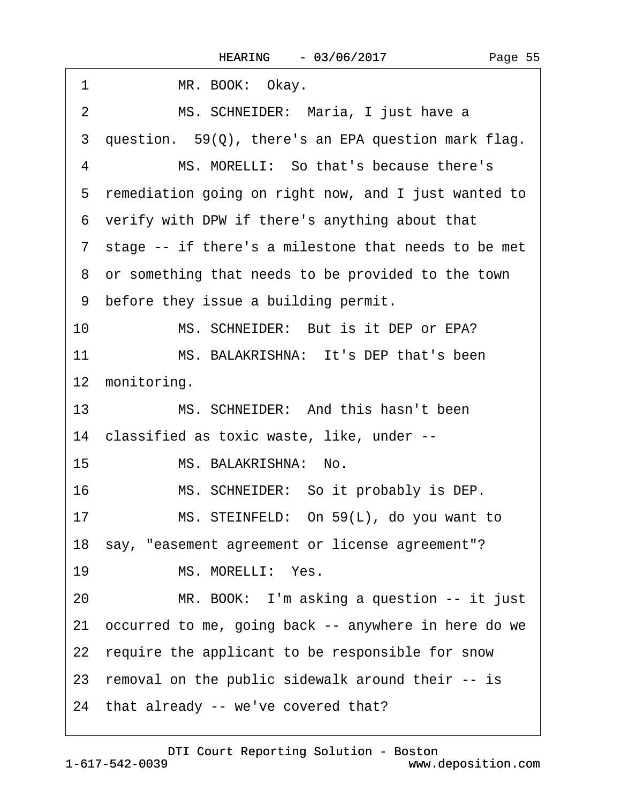<span id="page-54-0"></span>

| 1<br>MR. BOOK: Okay.                                    |
|---------------------------------------------------------|
| MS. SCHNEIDER: Maria, I just have a<br>$\overline{2}$   |
| 3 question. 59(Q), there's an EPA question mark flag.   |
| MS. MORELLI: So that's because there's<br>4             |
| 5 remediation going on right now, and I just wanted to  |
| 6 verify with DPW if there's anything about that        |
| 7 stage -- if there's a milestone that needs to be met  |
| 8 or something that needs to be provided to the town    |
| 9 before they issue a building permit.                  |
| 10<br>MS. SCHNEIDER: But is it DEP or EPA?              |
| 11<br>MS. BALAKRISHNA: It's DEP that's been             |
| 12 monitoring.                                          |
| MS. SCHNEIDER: And this hasn't been<br>13               |
| 14 classified as toxic waste, like, under --            |
| 15<br>MS. BALAKRISHNA: No.                              |
| 16<br>MS. SCHNEIDER: So it probably is DEP.             |
| MS. STEINFELD: On 59(L), do you want to<br>17           |
| 18 say, "easement agreement or license agreement"?      |
| MS. MORELLI: Yes.<br>19                                 |
| MR. BOOK: I'm asking a question -- it just<br>20        |
| 21 occurred to me, going back -- anywhere in here do we |
| 22 require the applicant to be responsible for snow     |
| 23 removal on the public sidewalk around their -- is    |
| 24 that already -- we've covered that?                  |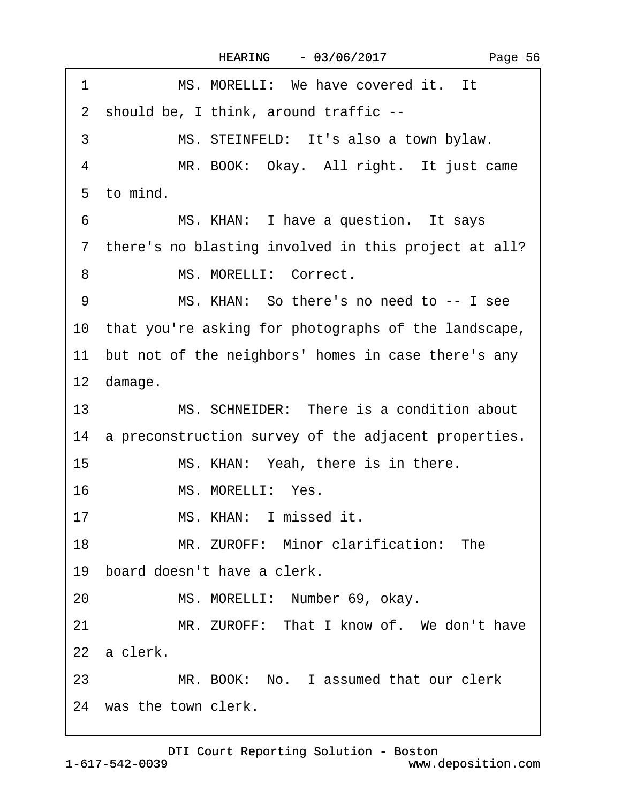<span id="page-55-0"></span>

| 1               | MS. MORELLI: We have covered it. It                     |
|-----------------|---------------------------------------------------------|
|                 | 2 should be, I think, around traffic --                 |
| 3               | MS. STEINFELD: It's also a town bylaw.                  |
| 4               | MR. BOOK: Okay. All right. It just came                 |
|                 | 5 to mind.                                              |
| 6               | MS. KHAN: I have a question. It says                    |
|                 | 7 there's no blasting involved in this project at all?  |
| 8               | MS. MORELLI: Correct.                                   |
| 9               | MS. KHAN: So there's no need to -- I see                |
|                 | 10 that you're asking for photographs of the landscape, |
|                 | 11 but not of the neighbors' homes in case there's any  |
|                 | 12 damage.                                              |
| 13 <sup>°</sup> | MS. SCHNEIDER: There is a condition about               |
|                 | 14 a preconstruction survey of the adjacent properties. |
| 15              | MS. KHAN: Yeah, there is in there.                      |
| 16              | MS. MORELLI: Yes.                                       |
| 17              | MS. KHAN: I missed it.                                  |
|                 | MR. ZUROFF: Minor clarification: The<br>18              |
|                 | 19 board doesn't have a clerk.                          |
| 20              | MS. MORELLI: Number 69, okay.                           |
| 21              | MR. ZUROFF: That I know of. We don't have               |
|                 | 22 a clerk.                                             |
|                 | 23 MR. BOOK: No. I assumed that our clerk               |
|                 | 24 was the town clerk.                                  |

Page 56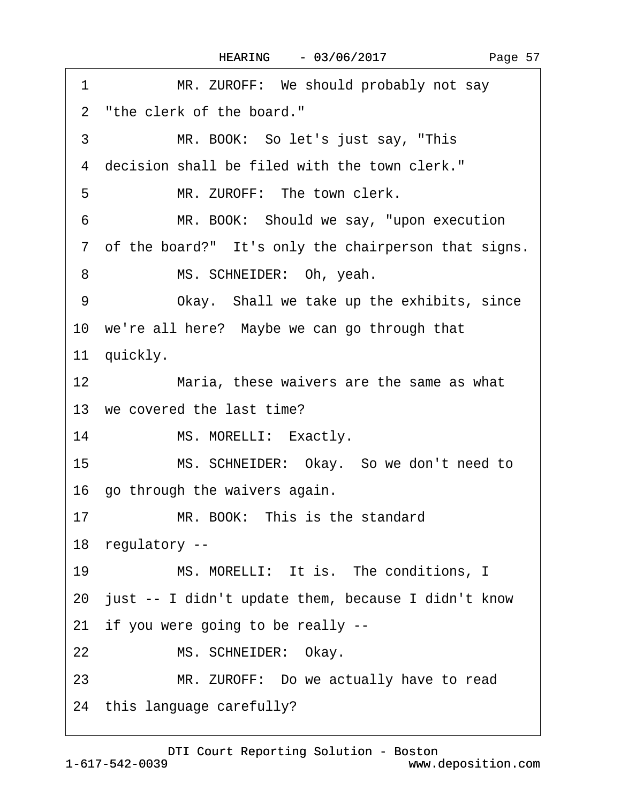<span id="page-56-0"></span>

| 1  | MR. ZUROFF: We should probably not say                 |
|----|--------------------------------------------------------|
|    | 2 "the clerk of the board."                            |
| 3  | MR. BOOK: So let's just say, "This                     |
|    | 4 decision shall be filed with the town clerk."        |
| 5  | MR. ZUROFF: The town clerk.                            |
| 6  | MR. BOOK: Should we say, "upon execution               |
|    | 7 of the board?" It's only the chairperson that signs. |
| 8  | MS. SCHNEIDER: Oh, yeah.                               |
| 9  | Okay. Shall we take up the exhibits, since             |
|    | 10 we're all here? Maybe we can go through that        |
|    | 11 quickly.                                            |
| 12 | Maria, these waivers are the same as what              |
|    | 13 we covered the last time?                           |
| 14 | MS. MORELLI: Exactly.                                  |
| 15 | MS. SCHNEIDER: Okay. So we don't need to               |
|    | 16 go through the waivers again.                       |
| 17 | MR. BOOK: This is the standard                         |
|    | 18 regulatory --                                       |
| 19 | MS. MORELLI: It is. The conditions, I                  |
|    | 20 just -- I didn't update them, because I didn't know |
|    | 21 if you were going to be really --                   |
| 22 | MS. SCHNEIDER: Okay.                                   |
| 23 | MR. ZUROFF: Do we actually have to read                |
|    | 24 this language carefully?                            |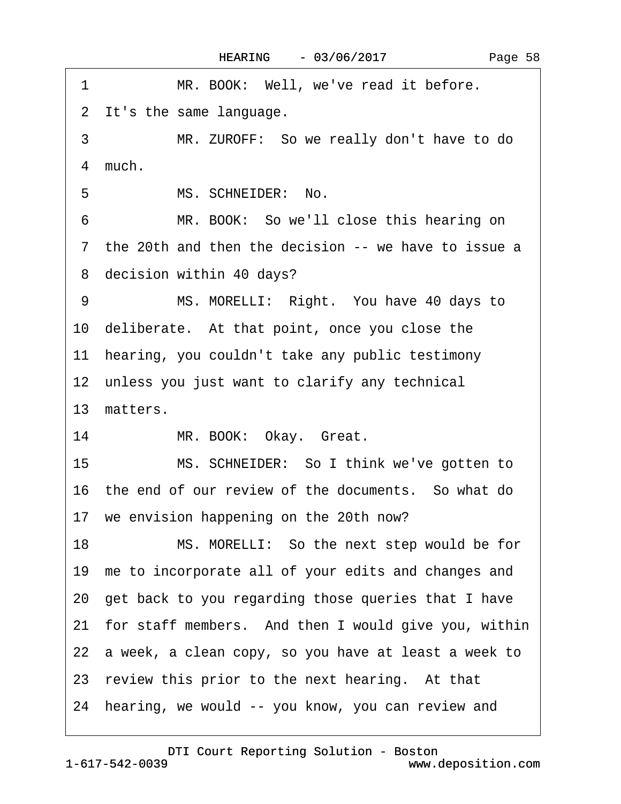|  | Page 58 |  |
|--|---------|--|
|--|---------|--|

<span id="page-57-0"></span>

| 1  | MR. BOOK: Well, we've read it before.                   |
|----|---------------------------------------------------------|
|    | 2 It's the same language.                               |
| 3  | MR. ZUROFF: So we really don't have to do               |
|    | 4 much.                                                 |
| 5  | MS. SCHNEIDER: No.                                      |
| 6  | MR. BOOK: So we'll close this hearing on                |
|    | 7 the 20th and then the decision -- we have to issue a  |
|    | 8 decision within 40 days?                              |
| 9  | MS. MORELLI: Right. You have 40 days to                 |
|    | 10 deliberate. At that point, once you close the        |
|    | 11 hearing, you couldn't take any public testimony      |
|    | 12 unless you just want to clarify any technical        |
|    | 13 matters.                                             |
| 14 | MR. BOOK: Okay. Great.                                  |
| 15 | MS. SCHNEIDER: So I think we've gotten to               |
|    | 16 the end of our review of the documents. So what do   |
|    | 17 we envision happening on the 20th now?               |
| 18 | MS. MORELLI: So the next step would be for              |
|    | 19 me to incorporate all of your edits and changes and  |
|    | 20 get back to you regarding those queries that I have  |
|    | 21 for staff members. And then I would give you, within |
|    | 22 a week, a clean copy, so you have at least a week to |
|    | 23 review this prior to the next hearing. At that       |
|    | 24 hearing, we would -- you know, you can review and    |
|    |                                                         |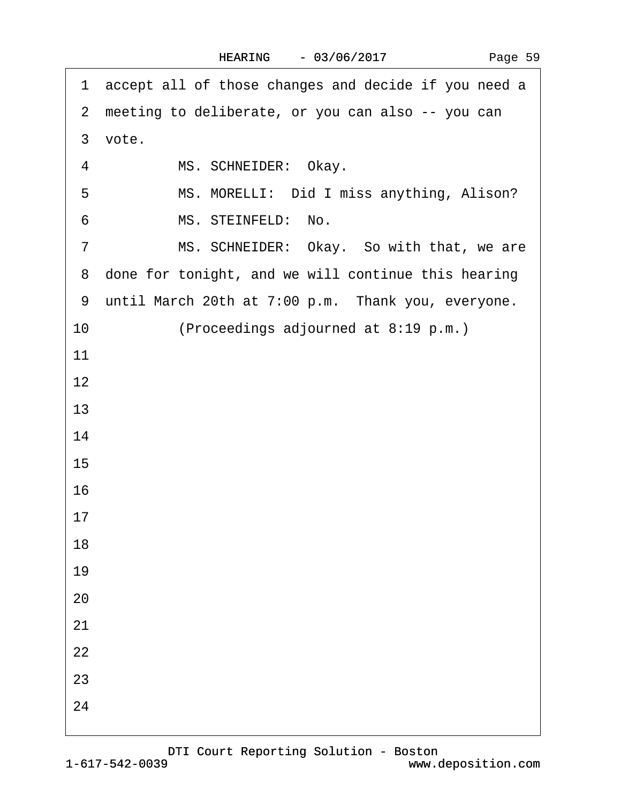<span id="page-58-0"></span>

|                | 1 accept all of those changes and decide if you need a |
|----------------|--------------------------------------------------------|
|                | 2 meeting to deliberate, or you can also -- you can    |
|                | 3 vote.                                                |
| 4              | MS. SCHNEIDER: Okay.                                   |
| 5              | MS. MORELLI: Did I miss anything, Alison?              |
| 6              | MS. STEINFELD: No.                                     |
| $\overline{7}$ | MS. SCHNEIDER: Okay. So with that, we are              |
|                | 8 done for tonight, and we will continue this hearing  |
|                | 9 until March 20th at 7:00 p.m. Thank you, everyone.   |
| 10             | (Proceedings adjourned at 8:19 p.m.)                   |
| 11             |                                                        |
| 12             |                                                        |
| 13             |                                                        |
| 14             |                                                        |
| 15             |                                                        |
| 16             |                                                        |
| 17             |                                                        |
| 18             |                                                        |
| 19             |                                                        |
| 20             |                                                        |
| 21             |                                                        |
| 22             |                                                        |
| 23             |                                                        |
| 24             |                                                        |
|                |                                                        |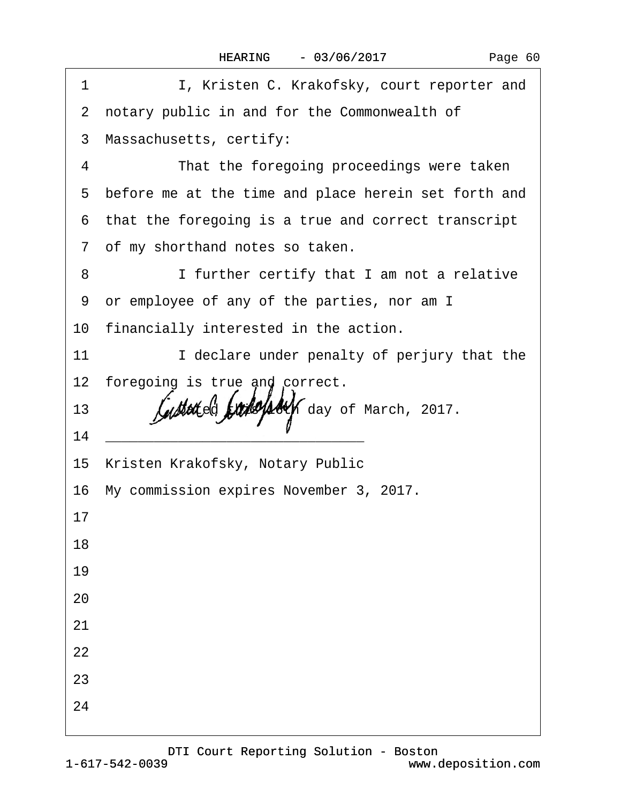| 1  | I, Kristen C. Krakofsky, court reporter and                                                                          |
|----|----------------------------------------------------------------------------------------------------------------------|
|    | 2 notary public in and for the Commonwealth of                                                                       |
|    | 3 Massachusetts, certify:                                                                                            |
| 4  | That the foregoing proceedings were taken                                                                            |
|    | 5 before me at the time and place herein set forth and                                                               |
|    | 6 that the foregoing is a true and correct transcript                                                                |
|    | 7 of my shorthand notes so taken.                                                                                    |
| 8  | I further certify that I am not a relative                                                                           |
|    | 9 or employee of any of the parties, nor am I                                                                        |
|    | 10 financially interested in the action.                                                                             |
| 11 | I declare under penalty of perjury that the                                                                          |
|    | 12 foregoing is true and correct.                                                                                    |
| 13 | Dated this 16th day of March, 2017.                                                                                  |
| 14 | <u> 2000 - Jan James James James James James James James James James James James James James James James James J</u> |
|    | 15 Kristen Krakofsky, Notary Public                                                                                  |
|    | 16 My commission expires November 3, 2017.                                                                           |
| 17 |                                                                                                                      |
| 18 |                                                                                                                      |
| 19 |                                                                                                                      |
| 20 |                                                                                                                      |
| 21 |                                                                                                                      |
| 22 |                                                                                                                      |
| 23 |                                                                                                                      |
| 24 |                                                                                                                      |
|    |                                                                                                                      |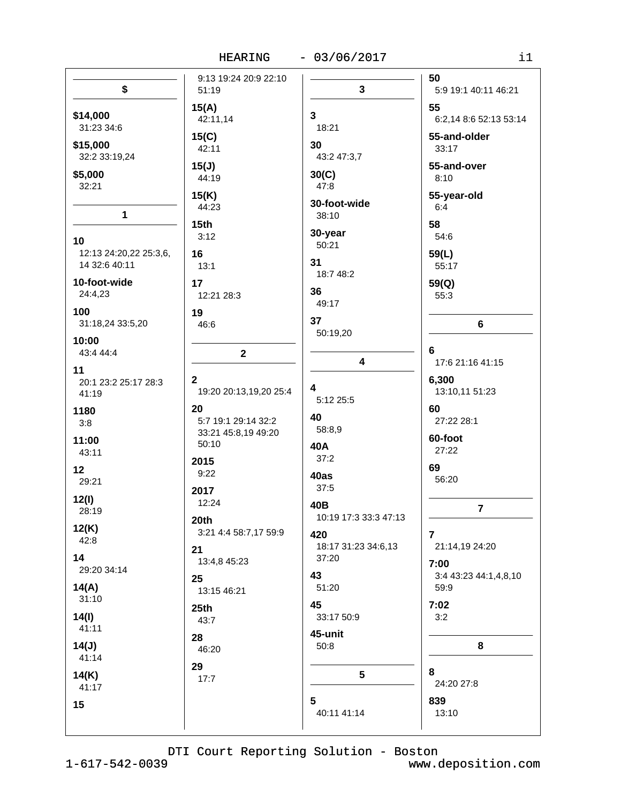HEARING - 03/06/2017

| n e s | ۰, |  |
|-------|----|--|
|       |    |  |
|       |    |  |

|                                               | 9:13 19:24 20:9 22:10                            |                                     | 50                                           |
|-----------------------------------------------|--------------------------------------------------|-------------------------------------|----------------------------------------------|
| \$                                            | 51:19                                            | $\mathbf{3}$                        | 5:9 19:1 40:11 46:21                         |
| \$14,000<br>31:23 34:6<br>\$15,000            | 15(A)<br>42:11,14<br>15(C)                       | 3<br>18:21<br>30                    | 55<br>6:2,14 8:6 52:13 53:14<br>55-and-older |
| 32:2 33:19,24<br>\$5,000<br>32:21             | 42:11<br>15(J)<br>44:19<br>15(K)                 | 43:2 47:3,7<br>30(C)<br>47:8        | 33:17<br>55-and-over<br>8:10<br>55-year-old  |
| $\mathbf{1}$                                  | 44:23<br>15 <sub>th</sub>                        | 30-foot-wide<br>38:10               | 6:4<br>58                                    |
| 10<br>12:13 24:20,22 25:3,6,<br>14 32:6 40:11 | 3:12<br>16<br>13:1                               | 30-year<br>50:21<br>31              | 54:6<br>59(L)<br>55:17                       |
| 10-foot-wide<br>24:4,23                       | 17<br>12:21 28:3                                 | 18:7 48:2<br>36<br>49:17            | 59(Q)<br>55:3                                |
| 100<br>31:18,24 33:5,20                       | 19<br>46:6                                       | 37<br>50:19,20                      | 6                                            |
| 10:00<br>43:4 44:4<br>11                      | $\mathbf{2}$                                     | 4                                   | 6<br>17:6 21:16 41:15                        |
| 20:1 23:2 25:17 28:3<br>41:19                 | $\mathbf{2}$<br>19:20 20:13,19,20 25:4           | 4<br>5:12 25:5                      | 6,300<br>13:10,11 51:23                      |
| 1180<br>3:8                                   | 20<br>5:7 19:1 29:14 32:2<br>33:21 45:8,19 49:20 | 40<br>58:8,9                        | 60<br>27:22 28:1                             |
| 11:00<br>43:11                                | 50:10<br>2015                                    | 40A<br>37:2                         | 60-foot<br>27:22                             |
| 12<br>29:21                                   | 9:22<br>2017                                     | 40as<br>37:5                        | 69<br>56:20                                  |
| 12(l)<br>28:19<br>12(K)                       | 12:24<br>20 <sub>th</sub>                        | 40B<br>10:19 17:3 33:3 47:13        | $\overline{7}$                               |
| 42:8<br>14                                    | 3:21 4:4 58:7,17 59:9<br>21<br>13:4,8 45:23      | 420<br>18:17 31:23 34:6,13<br>37:20 | $\overline{7}$<br>21:14,19 24:20             |
| 29:20 34:14<br>14(A)                          | 25<br>13:15 46:21                                | 43<br>51:20                         | 7:00<br>3:4 43:23 44:1,4,8,10<br>59:9        |
| 31:10<br>14(l)                                | 25th<br>43:7                                     | 45<br>33:17 50:9                    | 7:02<br>3:2                                  |
| 41:11<br>14(J)<br>41:14                       | 28<br>46:20                                      | 45-unit<br>50:8                     | 8                                            |
| 14(K)<br>41:17                                | 29<br>17:7                                       | $5\phantom{.0}$                     | 8<br>24:20 27:8                              |
| 15                                            |                                                  | 5<br>40:11 41:14                    | 839<br>13:10                                 |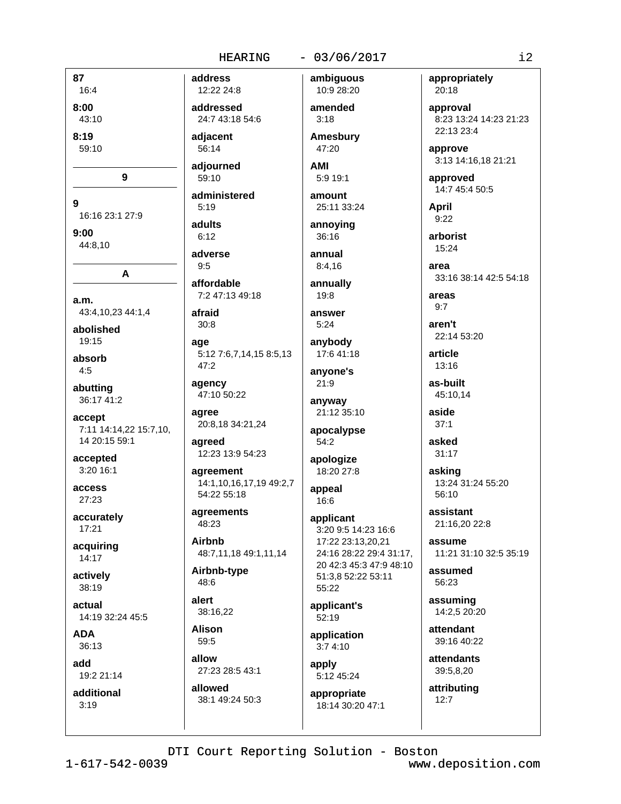# $-03/06/2017$

87 16:4  $8:00$ 43:10  $8:19$ 59:10 9  $\mathbf{Q}$ 16:16 23:1 27:9  $9:00$ 44:8,10 A a.m. 43:4,10,23 44:1,4 abolished 19:15 absorb  $4:5$ abutting 36:17 41:2 accept 7:11 14:14,22 15:7,10, 14 20:15 59:1 accepted 3:20 16:1 access 27:23 accurately 17:21 acquiring  $14:17$ actively 38:19 actual 14:19 32:24 45:5 **ADA** 36:13 add 19:2 21:14 additional  $3:19$ 

address 12:22 24:8

addressed 24:7 43:18 54:6

adiacent 56:14

adiourned  $59:10$ 

administered  $5:19$ 

adults  $6:12$ 

adverse  $9:5$ 

affordable 7:2 47:13 49:18

afraid  $30:8$ 

age 5:12 7:6,7,14,15 8:5,13 47:2

agency 47:10 50:22

agree 20:8,18 34:21,24

agreed 12:23 13:9 54:23

agreement 14:1,10,16,17,19 49:2,7 54:22 55:18

agreements 48:23

**Airbnb** 48:7,11,18 49:1,11,14

Airbnb-type 48:6

38:16.22

**Alison** 59:5

alert

allow 27:23 28:5 43:1

allowed 38:1 49:24 50:3 ambiguous 10:9 28:20

amended  $3:18$ 

**Amesbury** 47:20

**AMI**  $5:919:1$ 

amount 25:11 33:24

annoving 36:16 annual

 $8:4,16$ 

annually  $19:8$ 

answer  $5:24$ 

anybody 17:6 41:18

anyone's 21:9 anyway

21:12 35:10 apocalypse

54:2 apologize 18:20 27:8

appeal 16:6

applicant 3:20 9:5 14:23 16:6 17:22 23:13,20,21 24:16 28:22 29:4 31:17, 20 42:3 45:3 47:9 48:10 51:3,8 52:22 53:11 55:22

applicant's  $52.19$ 

application  $3:74:10$ 

apply 5:12 45:24

appropriate 18:14 30:20 47:1 appropriately 20:18

approval 8:23 13:24 14:23 21:23 22:13 23:4

approve 3:13 14:16,18 21:21

approved 14:7 45:4 50:5

April  $9:22$ 

arborist 15:24

area 33:16 38:14 42:5 54:18

areas  $9.7$ 

aren't 22:14 53:20

article 13:16

as-built 45:10.14

aside  $37:1$ 

asked  $31:17$ 

asking 13:24 31:24 55:20 56:10

assistant 21:16,20 22:8

assume 11:21 31:10 32:5 35:19

assumed 56:23

assuming 14:2.5 20:20

attendant 39:16 40:22

**attendants** 39:5,8,20

attributing  $12:7$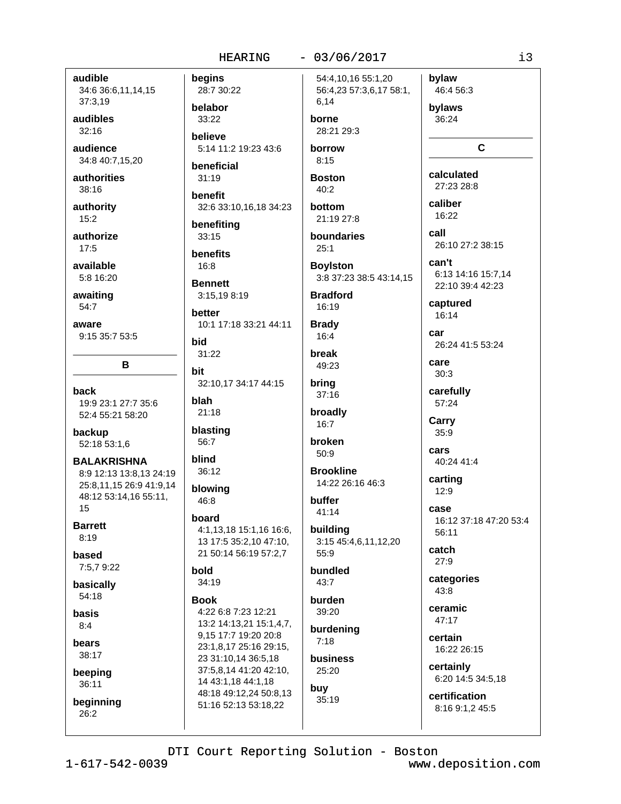#### $-03/06/2017$

audible 34:6 36:6,11,14,15 37:3,19

audibles  $32:16$ 

audience 34:8 40:7,15,20

authorities 38:16

authority  $15:2$ 

authorize  $17:5$ 

available

5:8 16:20 awaiting

 $54:7$ 

aware 9:15 35:7 53:5

back 19:9 23:1 27:7 35:6 52:4 55:21 58:20

B

backup 52:18 53:1,6

**BALAKRISHNA** 8:9 12:13 13:8,13 24:19 25:8,11,15 26:9 41:9,14 48:12 53:14,16 55:11, 15

**Barrett**  $8:19$ 

based 7:5,7 9:22

basically 54:18

basis  $8:4$ 

bears

38:17

beeping 36:11

beginning 26:2

begins 28:7 30:22 belabor 33:22 **believe** 

5:14 11:2 19:23 43:6 beneficial

 $31:19$ benefit

32:6 33:10,16,18 34:23 benefiting

 $33:15$ 

benefits  $16:8$ 

**Bennett** 3:15.19 8:19

**better** 10:1 17:18 33:21 44:11

bid  $31:22$ 

bit 32:10,17 34:17 44:15

blah  $21:18$ 

blasting 56:7

blind  $36:12$ 

blowing 46:8

board

4:1,13,18 15:1,16 16:6, 13 17:5 35:2,10 47:10, 21 50:14 56:19 57:2,7

bold 34:19

**Book** 4:22 6:8 7:23 12:21 13:2 14:13,21 15:1,4,7, 9,15 17:7 19:20 20:8 23:1,8,17 25:16 29:15, 23 31:10,14 36:5,18 37:5,8,14 41:20 42:10, 14 43:1,18 44:1,18 48:18 49:12,24 50:8,13 51:16 52:13 53:18,22

54:4,10,16 55:1,20 56:4,23 57:3,6,17 58:1, 6,14

borne 28:21 29:3

borrow  $8:15$ 

**Boston**  $40.2$ 

bottom 21:19 27:8

boundaries  $25:1$ 

**Boylston** 3:8 37:23 38:5 43:14,15

**Bradford** 16:19

**Brady** 16:4 break

49:23 bring  $37:16$ 

broadly 16:7

broken  $50:9$ 

**Brookline** 14:22 26:16 46:3

buffer 41:14

building 3:15 45:4,6,11,12,20  $55:9$ 

bundled  $43:7$ 

burden 39:20 burdening

 $7:18$ **business** 

25:20 buy  $35:19$ 

bylaw 46:4 56:3 bylaws

36:24

 $\mathbf{C}$ 

calculated 27:23 28:8

caliber  $16.22$ 

call 26:10 27:2 38:15

can't 6:13 14:16 15:7,14 22:10 39:4 42:23

captured 16:14

car 26:24 41:5 53:24

care  $30:3$ 

carefully 57:24

Carry  $35:9$ 

cars 40:24 41:4

carting  $12:9$ 

case 16:12 37:18 47:20 53:4 56:11

catch  $27:9$ 

categories  $43:8$ 

ceramic 47:17

certain 16:22 26:15

certainly 6:20 14:5 34:5,18

certification 8:16 9:1,2 45:5

DTI Court Reporting Solution - Boston

www.deposition.com

i3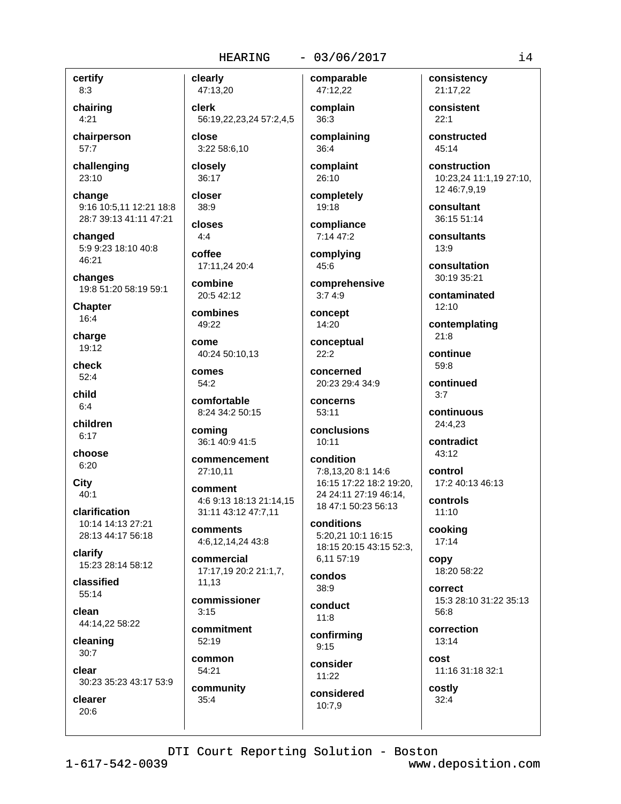# $-03/06/2017$

certify

 $8:3$ chairing  $4:21$ 

chairperson  $57:7$ 

challenging 23:10

change 9:16 10:5,11 12:21 18:8 28:7 39:13 41:11 47:21

changed 5:9 9:23 18:10 40:8 46:21

changes 19:8 51:20 58:19 59:1

**Chapter** 16:4

charge 19:12

check  $52:4$ 

child  $6:4$ 

children  $6:17$ 

choose  $6:20$ 

City  $40:1$ 

clarification 10:14 14:13 27:21 28:13 44:17 56:18

clarify 15:23 28:14 58:12

classified 55:14

clean 44:14,22 58:22

cleaning  $30:7$ 

clear 30:23 35:23 43:17 53:9

clearer  $20:6$ 

47:13,20 clerk 56:19,22,23,24 57:2,4,5

close 3:22 58:6,10

closely 36:17

clearly

closer

38:9 closes

 $4:4$ coffee 17:11,24 20:4

combine 20:5 42:12

combines 49:22

come 40:24 50:10.13

comes 54:2

comfortable 8:24 34:2 50:15

coming 36:1 40:9 41:5

commencement 27:10.11

comment 4:6 9:13 18:13 21:14.15 31:11 43:12 47:7.11

comments 4:6,12,14,24 43:8

commercial 17:17,19 20:2 21:1,7, 11.13

commissioner  $3:15$ 

commitment 52:19

common 54:21

community  $35:4$ 

comparable 47:12,22 complain

> $36:3$ complaining 36:4

complaint 26:10

completely 19:18

compliance 7:14 47:2

complying 45:6

comprehensive  $3:74:9$ 

concept 14:20

conceptual  $22:2$ 

concerned 20:23 29:4 34:9

concerns  $53:11$ 

conclusions  $10:11$ 

condition 7:8.13.20 8:1 14:6 16:15 17:22 18:2 19:20, 24 24:11 27:19 46:14, 18 47:1 50:23 56:13

conditions 5:20,21 10:1 16:15 18:15 20:15 43:15 52:3, 6,11 57:19

condos 38:9

conduct  $11:8$ 

confirming  $9:15$ 

consider  $11:22$ considered

10:7.9

consistency 21:17,22

consistent  $22:1$ 

constructed 45:14

construction 10:23,24 11:1,19 27:10, 12 46:7,9,19

consultant 36:15 51:14

consultants  $13:9$ 

consultation 30:19 35:21

contaminated  $12.10$ 

contemplating  $21:8$ 

continue 59:8

continued  $3:7$ 

continuous 24:4,23

contradict 43:12

control 17:2 40:13 46:13

controls  $11:10$ 

cooking 17:14

copy 18:20 58:22

**correct** 15:3 28:10 31:22 35:13  $56:8$ 

correction 13:14

cost 11:16 31:18 32:1

costly  $32:4$ 

DTI Court Reporting Solution - Boston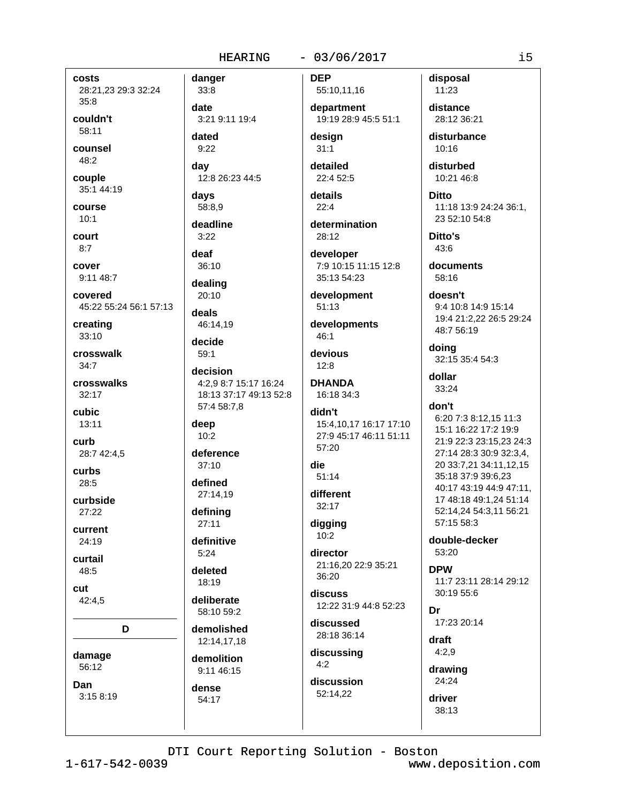# $-03/06/2017$

costs 28:21,23 29:3 32:24  $35:8$ 

couldn't 58:11

counsel 48:2

couple 35:1 44:19

course  $10:1$ 

court  $8:7$ 

cover 9:11 48:7

covered 45:22 55:24 56:1 57:13

creating  $33:10$ 

crosswalk  $34:7$ 

crosswalks  $32:17$ 

cubic 13:11

curb 28:7 42:4,5

curbs  $28:5$ 

curbside  $27:22$ 

current

24:19

curtail 48:5

cut

42:4.5

D

damage

56:12 Dan

 $3:158:19$ 

 $33:8$ date 3:21 9:11 19:4 dated  $9:22$ 

12:8 26:23 44:5

days 58:8,9

dav

danger

deadline  $3:22$ 

deaf

 $36:10$ dealing

 $20:10$ 

deals 46:14.19

decide  $59:1$ 

decision 4:2,9 8:7 15:17 16:24 18:13 37:17 49:13 52:8 57:4 58:7,8

deep  $10:2$ 

deference  $37.10$ 

defined 27:14,19

defining

 $27:11$ definitive

 $5:24$ 

deleted 18:19

deliberate 58:10 59:2

demolished 12:14,17,18

demolition 9:11 46:15

dense 54:17

**DEP** 55:10,11,16

department 19:19 28:9 45:5 51:1

desian  $31:1$ 

detailed  $22:452:5$ 

details  $22:4$ 

determination

28:12 developer

7:9 10:15 11:15 12:8 35:13 54:23

development  $51:13$ 

developments

 $46:1$ devious  $12:8$ 

**DHANDA** 16:18 34:3

# didn't

15:4,10,17 16:17 17:10 27:9 45:17 46:11 51:11 57:20

#### die  $51:14$

different 32:17

digging

 $10:2$ director

21:16,20 22:9 35:21 36:20

discuss 12:22 31:9 44:8 52:23

discussed 28:18 36:14

discussing  $4:2$ 

discussion 52:14,22

disposal 11:23

distance 28:12 36:21

disturbance  $10:16$ 

disturbed 10:21 46:8

**Ditto** 11:18 13:9 24:24 36:1, 23 52:10 54:8

Ditto's  $43:6$ 

documents 58:16

doesn't 9:4 10:8 14:9 15:14 19:4 21:2,22 26:5 29:24 48:7 56:19

doing 32:15 35:4 54:3

dollar 33:24

# don't

6:20 7:3 8:12,15 11:3 15:1 16:22 17:2 19:9 21:9 22:3 23:15,23 24:3 27:14 28:3 30:9 32:3,4, 20 33:7,21 34:11,12,15 35:18 37:9 39:6.23 40:17 43:19 44:9 47:11. 17 48:18 49:1.24 51:14 52:14,24 54:3,11 56:21 57:15 58:3

double-decker 53:20

**DPW** 11:7 23:11 28:14 29:12 30:19 55:6

Dr 17:23 20:14

draft  $4:2.9$ 

drawing 24:24

driver 38:13  $\frac{1}{1}$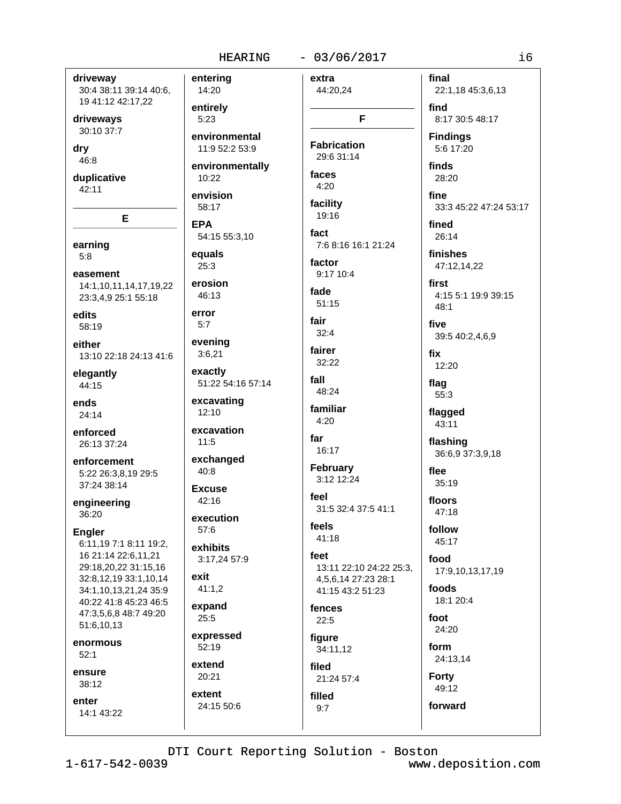$5:23$ 

**EPA** 

25:3

error

 $5:7$ 

 $11:5$ 

 $40:8$ 

 $57:6$ 

exit

 $25:5$ 

extent

24:15 50:6

driveway 30:4 38:11 39:14 40:6, 19 41:12 42:17,22

driveways 30:10 37:7

dry

46:8

duplicative  $42:11$ 

E

earning  $5:8$ 

easement 14:1,10,11,14,17,19,22 23:3,4,9 25:1 55:18

edits 58:19

either 13:10 22:18 24:13 41:6

elegantly 44:15

ends 24:14

enforced 26:13 37:24

enforcement 5:22 26:3,8,19 29:5 37:24 38:14

engineering 36:20

**Engler** 

6:11,19 7:1 8:11 19:2, 16 21:14 22:6.11.21 29:18,20,22 31:15,16 32:8,12,19 33:1,10,14 34:1,10,13,21,24 35:9 40:22 41:8 45:23 46:5 47:3,5,6,8 48:7 49:20 51:6,10,13

enormous  $52:1$ 

ensure  $38:12$ 

enter 14:1 43:22

 $-03/06/2017$ **HEARING** enterina extra 14:20 44:20,24 entirely F environmental **Fabrication** 11:9 52:2 53:9 29:6 31:14 environmentally faces 10:22  $4:20$ envision facility 58:17  $19.16$ fact 54:15 55:3,10 7:6 8:16 16:1 21:24 equals factor 9:17 10:4 erosion fade 46:13  $51:15$ fair  $32:4$ evening fairer  $3:6,21$ 32:22 exactly fall 51:22 54:16 57:14 48:24 excavating familiar 12:10  $4:20$ excavation far 16:17 exchanged **February** 3:12 12:24 **Excuse** feel 42:16 31:5 32:4 37:5 41:1 execution feels  $41:18$ exhibits feet 3:17,24 57:9 13:11 22:10 24:22 25:3. 4.5.6.14 27:23 28:1  $41:1,2$ 41:15 43:2 51:23 expand fences  $22:5$ expressed figure 52:19 34:11,12 extend filed 20:21 21:24 57:4

final 22:1,18 45:3,6,13 find 8:17 30:5 48:17 **Findinas** 5:6 17:20 finds 28:20 fine 33:3 45:22 47:24 53:17 fined 26:14 finishes 47:12,14,22 first 4:15 5:1 19:9 39:15  $48.1$ five 39:5 40:2,4,6,9 fix 12:20 flag 55:3 flagged 43:11 flashing 36:6,9 37:3,9,18 flee  $35:19$ floors 47:18 follow 45:17 food 17:9,10,13,17,19 foods 18:1 20:4 foot 24:20 form 24:13,14

**Forty** 49:12 forward

DTI Court Reporting Solution - Boston

filled

 $9:7$ 

 $1 - 617 - 542 - 0039$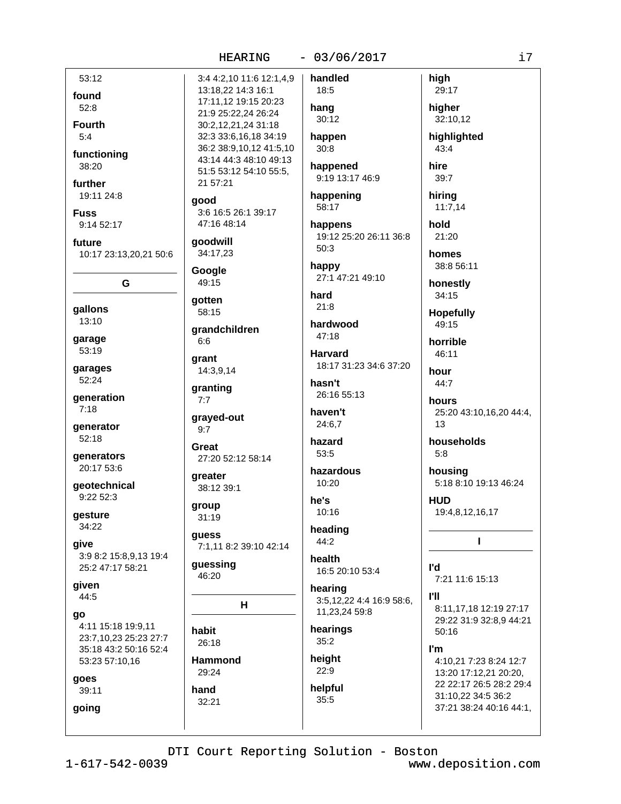# $-03/06/2017$

handled

53:12 found  $52:8$ **Fourth**  $5.4$ functioning 38:20 further 19:11 24:8 **Fuss** 

9:14 52:17

future 10:17 23:13,20,21 50:6

G

gallons  $13:10$ 

garage 53:19

garages 52:24

generation  $7:18$ 

generator  $52:18$ 

generators 20:17 53:6

qeotechnical 9:22 52:3

gesture 34:22

qive 3:9 8:2 15:8,9,13 19:4 25:2 47:17 58:21

given 44:5

go 4:11 15:18 19:9,11 23:7,10,23 25:23 27:7 35:18 43:2 50:16 52:4 53:23 57:10,16

goes

going

39:11

3:4 4:2,10 11:6 12:1,4,9 13:18,22 14:3 16:1 17:11,12 19:15 20:23 21:9 25:22.24 26:24 30:2,12,21,24 31:18 32:3 33:6,16,18 34:19 36:2 38:9.10.12 41:5.10 43:14 44:3 48:10 49:13 51:5 53:12 54:10 55:5, 21 57:21 good 3:6 16:5 26:1 39:17 47:16 48:14

goodwill 34:17,23

Google 49:15

gotten 58:15

grandchildren  $6:6$ 

arant 14:3.9.14

granting  $7:7$ 

grayed-out  $9:7$ 

Great 27:20 52:12 58:14

areater 38:12 39:1

group  $31:19$ 

guess 7:1,11 8:2 39:10 42:14

guessing 46:20

 $H$ 

habit 26:18

**Hammond** 29:24

hand  $32:21$ 

18:5 hang  $30:12$ happen  $30:8$ 

happened 9:19 13:17 46:9

happening 58:17

happens 19:12 25:20 26:11 36:8  $50:3$ 

happy 27:1 47:21 49:10

hard  $21.8$ 

hardwood  $47:18$ 

**Harvard** 18:17 31:23 34:6 37:20

hasn't 26:16 55:13

haven't 24:6,7

```
hazard
53:5
```
hazardous  $10:20$ 

he's 10:16

heading 44:2

health 16:5 20:10 53:4

hearing 3:5.12.22 4:4 16:9 58:6.

11,23,24 59:8 hearings

 $35:2$ height  $22:9$ 

helpful 35:5

29:17 higher 32:10,12 highlighted 43:4 hire 39:7 hiring

high

 $11:7,14$ hold

21:20 homes

38:8 56:11

honestly 34:15

**Hopefully** 49:15

horrible

46:11

hour 44:7 hours 25:20 43:10,16,20 44:4,

 $13$ 

households  $5:8$ 

housing 5:18 8:10 19:13 46:24

**HUD** 19:4,8,12,16,17

 $\mathbf{I}$ 

l'd 7:21 11:6 15:13

**PH** 8:11,17,18 12:19 27:17 29:22 31:9 32:8,9 44:21 50:16

I'm

4:10,21 7:23 8:24 12:7 13:20 17:12.21 20:20. 22 22:17 26:5 28:2 29:4 31:10,22 34:5 36:2 37:21 38:24 40:16 44:1,

DTI Court Reporting Solution - Boston

www.deposition.com

i7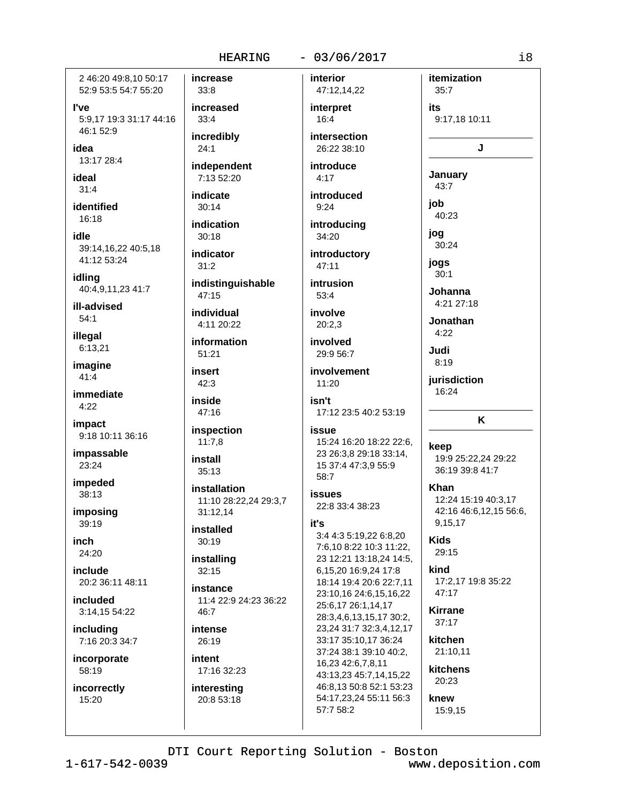### $-03/06/2017$

2 46:20 49:8.10 50:17 52:9 53:5 54:7 55:20

l've 5:9.17 19:3 31:17 44:16 46:1 52:9

idea 13:17 28:4

ideal

 $31:4$ identified

16:18

idle 39:14.16.22 40:5.18 41:12 53:24

idling 40:4,9,11,23 41:7

ill-advised  $54:1$ 

illegal 6:13,21

imagine 41:4

immediate  $4:22$ 

impact 9:18 10:11 36:16

impassable 23:24

impeded 38:13

imposing 39:19

inch 24:20

include 20:2 36:11 48:11

*included* 3:14,15 54:22

including 7:16 20:3 34:7

incorporate 58:19

incorrectly 15:20

33:8 increased  $33:4$ 

increase

incredibly  $24:1$ 

independent 7:13 52:20

indicate

 $30:14$ indication

 $30:18$ 

indicator  $31:2$ 

indistinguishable  $47:15$ 

individual 4:11 20:22

information  $51:21$ 

insert  $42:3$ 

inside  $47:16$ 

inspection  $11:7,8$ 

install  $35:13$ 

installation 11:10 28:22,24 29:3,7 31:12.14

installed  $30:19$ 

installing  $32:15$ 

instance 11:4 22:9 24:23 36:22  $46:7$ 

intense 26:19

intent 17:16 32:23

interesting 20:8 53:18

interior 47:12,14,22 interpret

> $16:4$ intersection 26:22 38:10

introduce  $4:17$ 

introduced  $9:24$ 

introducing 34:20 introductory

47:11 intrusion

 $53.4$ involve

 $20:2.3$ 

involved 29:9 56:7

involvement 11:20 isn't

17:12 23:5 40:2 53:19

# issue

15:24 16:20 18:22 22:6, 23 26:3,8 29:18 33:14, 15 37:4 47:3.9 55:9 58:7

*İSSUAS* 22:8 33:4 38:23

# it's

3:4 4:3 5:19,22 6:8,20 7:6,10 8:22 10:3 11:22, 23 12:21 13:18,24 14:5, 6,15,20 16:9,24 17:8 18:14 19:4 20:6 22:7,11 23:10,16 24:6,15,16,22 25:6,17 26:1,14,17 28:3,4,6,13,15,17 30:2, 23,24 31:7 32:3,4,12,17 33:17 35:10,17 36:24 37:24 38:1 39:10 40:2. 16,23 42:6,7,8,11 43:13,23 45:7,14,15,22 46:8.13 50:8 52:1 53:23 54:17,23,24 55:11 56:3 57:7 58:2

 $35:7$ its 9:17,18 10:11

itemization

J

January

 $43:7$ 

iob  $40.23$ 

jog

30:24

jogs  $30:1$ 

Johanna 4:21 27:18

Jonathan  $4:22$ 

Judi

 $8:19$ 

jurisdiction 16:24

# K

keep 19:9 25:22,24 29:22 36:19 39:8 41:7

**Khan** 12:24 15:19 40:3.17

42:16 46:6,12,15 56:6, 9.15.17

**Kids** 29:15

kind 17:2,17 19:8 35:22 47:17

**Kirrane**  $37:17$ 

kitchen 21:10.11

kitchens

20:23

knew

15:9,15

DTI Court Reporting Solution - Boston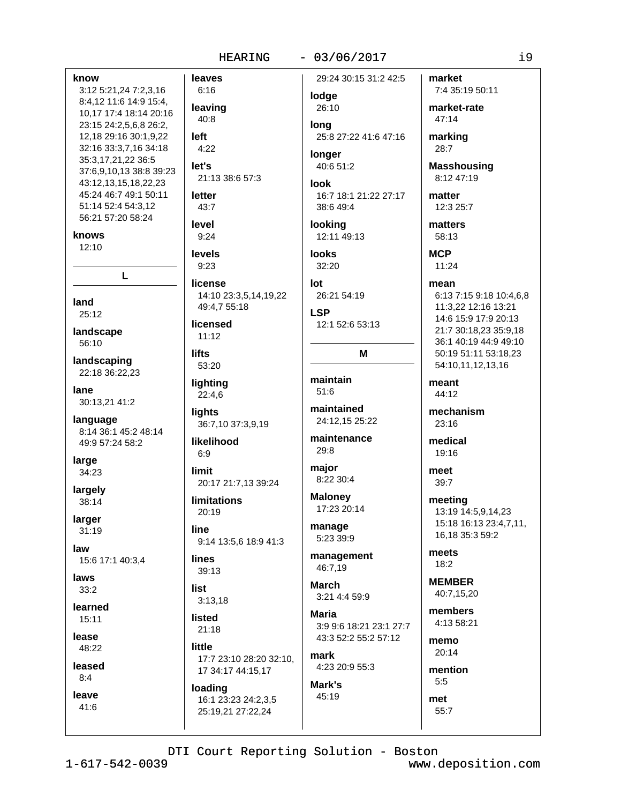# $-03/06/2017$

know leaves 3:12 5:21,24 7:2,3,16  $6:16$ 8:4,12 11:6 14:9 15:4, 10,17 17:4 18:14 20:16  $40:8$ 23:15 24:2,5,6,8 26:2, 12,18 29:16 30:1,9,22 left 32:16 33:3,7,16 34:18  $4:22$ 35:3,17,21,22 36:5 let's 37:6,9,10,13 38:8 39:23 43:12,13,15,18,22,23 45:24 46:7 49:1 50:11 letter 51:14 52:4 54:3,12 43:7 56:21 57:20 58:24 level knows  $9:24$  $12:10$ **levels**  $9:23$ L land  $25:12$ landscape 56:10 lifts landscaping 22:18 36:22.23 lane 30:13,21 41:2 lights language 8:14 36:1 45:2 48:14 49:9 57:24 58:2  $6:9$ large limit 34:23 largely 38:14 larger line  $31:19$ **lines** 15:6 17:1 40:3.4 laws list  $33:2$ learned **listed**  $15:11$ lease little 48:22 leased  $8:4$ 

lodge leaving 26:10 lona longer 21:13 38:6 57:3 look lookina **looks**  $32:20$ license lot 14:10 23:3,5,14,19,22 49:4,7 55:18 **LSP** licensed  $11:12$ 53:20 maintain lighting  $51:6$  $22:4,6$ maintained 36:7,10 37:3,9,19 likelihood 29:8 major 20:17 21:7,13 39:24 **Maloney limitations** 20:19 manage 9:14 13:5,6 18:9 41:3 46:7,19 39:13 **March**  $3:13.18$ Maria  $21:18$ mark 17:7 23:10 28:20 32:10, 17 34:17 44:15,17 Mark's

loading 16:1 23:23 24:2,3,5 25:19,21 27:22,24

29:24 30:15 31:2 42:5

25:8 27:22 41:6 47:16

40:6 51:2

16:7 18:1 21:22 27:17 38:6 49:4

12:11 49:13

26:21 54:19

12:1 52:6 53:13

# M

24:12.15 25:22

maintenance

8:22 30:4

17:23 20:14

5:23 39:9

management

3:21 4:4 59:9

3:9 9:6 18:21 23:1 27:7 43:3 52:2 55:2 57:12

4:23 20:9 55:3

45:19

market 7:4 35:19 50:11

market-rate  $47:14$ 

marking 28:7

**Masshousing** 8:12 47:19

matter 12:3 25:7

matters 58:13

**MCP**  $11:24$ 

mean

6:13 7:15 9:18 10:4.6.8 11:3,22 12:16 13:21 14:6 15:9 17:9 20:13 21:7 30:18.23 35:9.18 36:1 40:19 44:9 49:10 50:19 51:11 53:18,23 54:10,11,12,13,16

meant 44:12

mechanism 23:16

medical 19:16

meet  $39:7$ 

> meeting 13:19 14:5,9,14,23 15:18 16:13 23:4,7,11, 16,18 35:3 59:2

meets  $18:2$ 

**MEMBER** 40:7.15.20

members 4:13 58:21

memo  $20:14$ 

mention  $5:5$ met

 $55:7$ 

law

leave

41:6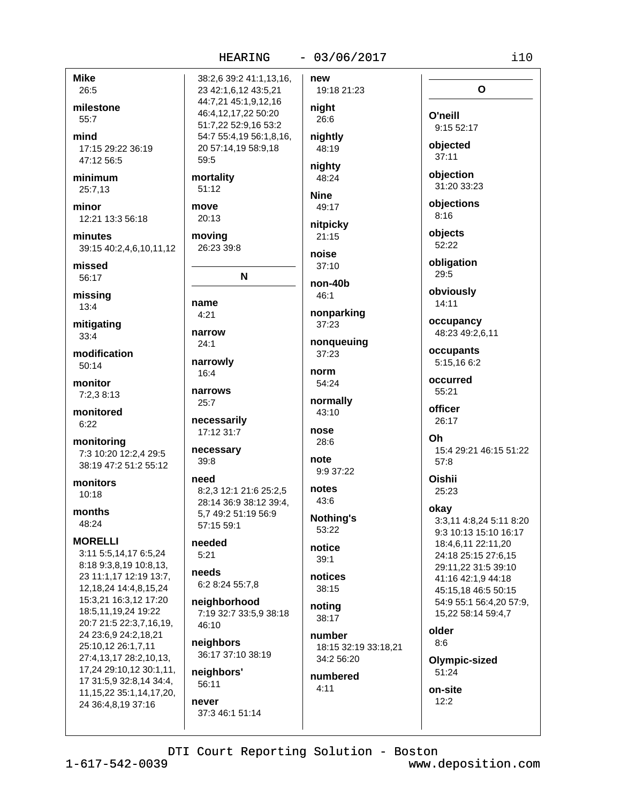# $-03/06/2017$

 $i10$ 

|               | 38:2,6 39:2 41:1,13,16, | new                  |                         |
|---------------|-------------------------|----------------------|-------------------------|
|               | 23 42:1,6,12 43:5,21    | 19:18 21:23          | O                       |
|               | 44:7,21 45:1,9,12,16    | night                |                         |
|               | 46:4,12,17,22 50:20     |                      | O'neill                 |
|               | 51:7,22 52:9,16 53:2    | 26:6                 | 9:15 52:17              |
|               | 54:7 55:4,19 56:1,8,16, | nightly              |                         |
|               | 20 57:14,19 58:9,18     | 48:19                | objected                |
|               | 59:5                    |                      | 37:11                   |
|               |                         | nighty               | objection               |
|               | mortality               | 48:24                | 31:20 33:23             |
|               | 51:12                   | <b>Nine</b>          |                         |
|               | move                    | 49:17                | objections              |
|               | 20:13                   |                      | 8:16                    |
|               |                         | nitpicky             | objects                 |
|               | moving                  | 21:15                | 52:22                   |
| ,12           | 26:23 39:8              | noise                |                         |
|               |                         | 37:10                | obligation              |
|               | N                       |                      | 29:5                    |
|               |                         | non-40b              |                         |
|               |                         | 46:1                 | obviously               |
|               | name                    | nonparking           | 14:11                   |
|               | 4:21                    | 37:23                | occupancy               |
|               | narrow                  |                      | 48:23 49:2,6,11         |
|               | 24:1                    | nonqueuing           |                         |
|               |                         | 37:23                | occupants               |
|               | narrowly                | norm                 | 5:15,16 6:2             |
|               | 16:4                    | 54:24                | occurred                |
|               | narrows                 |                      | 55:21                   |
|               | 25:7                    | normally             |                         |
|               |                         | 43:10                | officer                 |
|               | necessarily             |                      | 26:17                   |
|               | 17:12 31:7              | nose                 | Oh                      |
|               | necessary               | 28:6                 | 15:4 29:21 46:15 51:22  |
| 5             | 39:8                    | note                 | 57:8                    |
| 2             |                         | 9:9 37:22            |                         |
|               | need                    |                      | <b>Oishii</b>           |
|               | 8:2,3 12:1 21:6 25:2,5  | notes                | 25:23                   |
|               | 28:14 36:9 38:12 39:4,  | 43:6                 | okay                    |
|               | 5.7 49:2 51:19 56:9     | <b>Nothing's</b>     | 3:3,11 4:8,24 5:11 8:20 |
|               | 57:15 59:1              | 53:22                | 9:3 10:13 15:10 16:17   |
|               | needed                  | notice               | 18:4,6,11 22:11,20      |
| 4             | 5:21                    |                      | 24:18 25:15 27:6,15     |
| 3,            |                         | 39:1                 | 29:11,22 31:5 39:10     |
| :7,           | needs                   | notices              | 41:16 42:1,9 44:18      |
| $\frac{4}{3}$ | 6:2 8:24 55:7,8         | 38:15                | 45:15,18 46:5 50:15     |
| 20            | neighborhood            |                      | 54:9 55:1 56:4,20 57:9, |
|               | 7:19 32:7 33:5,9 38:18  | noting               | 15,22 58:14 59:4,7      |
| 19,           | 46:10                   | 38:17                |                         |
|               |                         | number               | older                   |
|               | neighbors               | 18:15 32:19 33:18,21 | 8:6                     |
| 3,            | 36:17 37:10 38:19       | 34:2 56:20           | Olympic-sized           |
| ,11,          | neighbors'              |                      | 51:24                   |
| ŀ:4,          | 56:11                   | numbered             |                         |
| ,20,          |                         | 4:11                 | on-site                 |
|               | never                   |                      | 12:2                    |

**Mike** 26:5

milestone 55:7

mind 17:15 29:22 36:19 47:12 56:5

minimum 25:7,13

minor 12:21 13:3 56:18

minutes 39:15 40:2,4,6,10,11

missed 56:17

missing  $13:4$ 

mitigating  $33:4$ 

modification 50:14

monitor 7:2,3 8:13

monitored  $6:22$ 

monitoring 7:3 10:20 12:2,4 29:5 38:19 47:2 51:2 55:1

monitors  $10:18$ 

months 48:24

**MORELLI** 3:11 5:5,14,17 6:5,24 8:18 9:3,8,19 10:8,13 23 11:1,17 12:19 13: 12, 18, 24 14: 4, 8, 15, 2 15:3,21 16:3,12 17:2 18:5,11,19,24 19:22 20:7 21:5 22:3,7,16, 24 23:6,9 24:2,18,21 25:10,12 26:1,7,11 27:4,13,17 28:2,10,1 17,24 29:10,12 30:1, 17 31:5,9 32:8,14 34 11, 15, 22 35: 1, 14, 17, 24 36:4,8,19 37:16

DTI Court Reporting Solution - Boston

37:3 46:1 51:14

 $1 - 617 - 542 - 0039$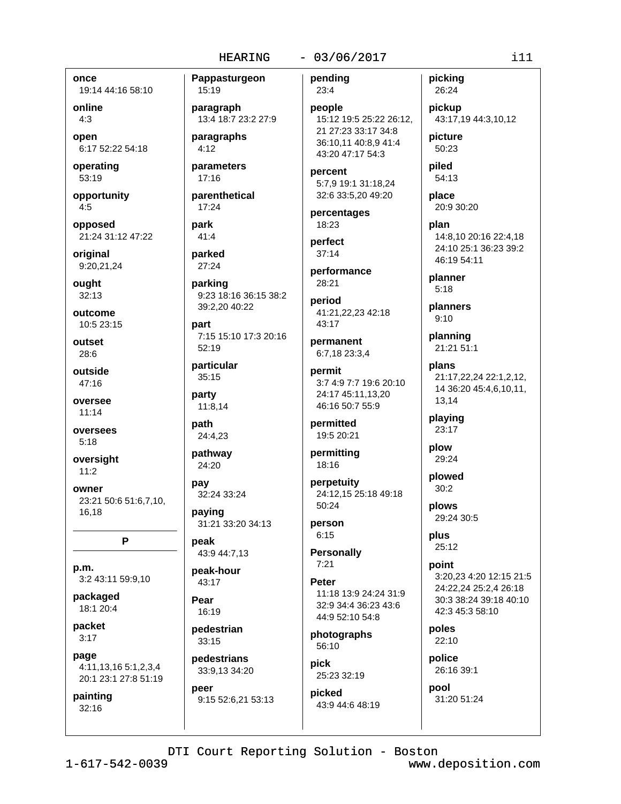Pappasturgeon

# $-03/06/2017$

once 19:14 44:16 58:10

online  $4:3$ 

open 6:17 52:22 54:18

operating 53:19

opportunity  $4:5$ 

opposed 21:24 31:12 47:22

original 9:20,21,24

ought  $32:13$ 

outcome 10:5 23:15

outset  $28:6$ 

outside 47:16

oversee  $11:14$ 

oversees  $5:18$ 

oversight  $11:2$ 

owner 23:21 50:6 51:6,7,10, 16.18

P

p.m. 3:2 43:11 59:9,10

packaged 18:1 20:4

packet  $3:17$ 

page 4:11,13,16 5:1,2,3,4 20:1 23:1 27:8 51:19

painting  $32:16$ 

15:19 paragraph 13:4 18:7 23:2 27:9

paragraphs  $4:12$ 

parameters  $17:16$ 

parenthetical  $17:24$ 

park  $41:4$ 

parked 27:24

parking 9:23 18:16 36:15 38:2

39:2,20 40:22 part

7:15 15:10 17:3 20:16  $52:19$ 

particular  $35:15$ 

party 11:8,14

path 24:4,23

pathway 24:20

pay 32:24 33:24

paying 31:21 33:20 34:13

peak 43:9 44:7,13

peak-hour 43:17

Pear  $16:19$ 

pedestrian 33:15 pedestrians

33:9.13 34:20 peer 9:15 52:6,21 53:13 pending  $23:4$ 

people 15:12 19:5 25:22 26:12. 21 27:23 33:17 34:8 36:10.11 40:8.9 41:4 43:20 47:17 54:3

percent 5:7,9 19:1 31:18,24 32:6 33:5,20 49:20

percentages 18:23

perfect  $37:14$ 

performance 28:21

period 41:21,22,23 42:18 43:17

permanent 6:7,18 23:3,4

permit 3:7 4:9 7:7 19:6 20:10 24:17 45:11.13.20 46:16 50:7 55:9

permitted 19:5 20:21

permitting 18:16

perpetuity 24:12.15 25:18 49:18 50:24

person  $6:15$ 

**Personally**  $7:21$ 

**Peter** 

11:18 13:9 24:24 31:9 32:9 34:4 36:23 43:6 44:9 52:10 54:8

photographs 56:10

**pick** 25:23 32:19

picked 43:9 44:6 48:19 picking 26:24

pickup 43:17,19 44:3,10,12

picture 50:23

piled 54:13

place 20:9 30:20

plan 14:8.10 20:16 22:4.18 24:10 25:1 36:23 39:2 46:19 54:11

planner  $5:18$ 

planners  $9:10$ 

planning 21:21 51:1

plans 21:17,22,24 22:1,2,12, 14 36:20 45:4,6,10,11, 13,14

playing 23:17

plow 29:24

plowed  $30:2$ 

> plows 29:24 30:5

plus 25:12

point 3:20,23 4:20 12:15 21:5 24:22.24 25:2.4 26:18 30:3 38:24 39:18 40:10 42:3 45:3 58:10

poles  $22:10$ 

police 26:16 39:1

pool 31:20 51:24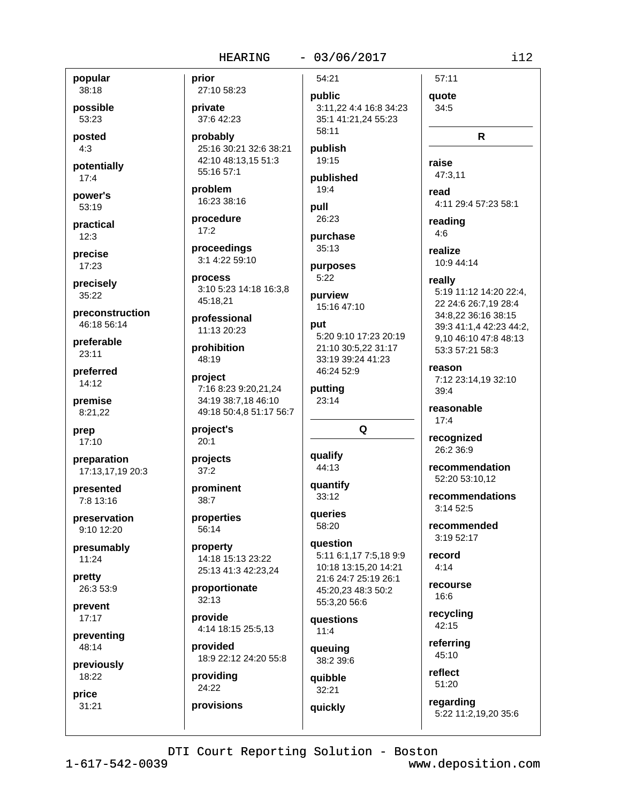# $-03/06/2017$

popular 38:18

possible 53:23

posted  $4:3$ 

potentially  $17:4$ 

power's 53:19

practical  $12:3$ 

precise 17:23

precisely  $35:22$ 

preconstruction 46:18 56:14

preferable  $23:11$ 

preferred 14:12

premise 8:21,22

prep 17:10

preparation 17:13,17,19 20:3

presented 7:8 13:16

preservation 9:10 12:20

presumably 11:24

pretty 26:3 53:9

prevent  $17:17$ 

preventing 48:14

previously 18:22

price  $31:21$  prior 27:10 58:23

private 37:6 42:23

probably 25:16 30:21 32:6 38:21 42:10 48:13,15 51:3 55:16 57:1

problem 16:23 38:16

procedure  $17:2$ 

proceedings 3:1 4:22 59:10

process 3:10 5:23 14:18 16:3,8 45:18.21

professional 11:13 20:23

prohibition 48:19

project 7:16 8:23 9:20.21.24 34:19 38:7,18 46:10 49:18 50:4,8 51:17 56:7

project's  $20:1$ 

projects

prominent  $38:7$ 

 $37:2$ 

properties 56:14

property 14:18 15:13 23:22 25:13 41:3 42:23,24

proportionate  $32:13$ 

provide 4:14 18:15 25:5,13

provided 18:9 22:12 24:20 55:8

providing 24:22 provisions public 3:11,22 4:4 16:8 34:23 35:1 41:21,24 55:23

54:21

# publish 19:15

58:11

published  $19:4$ 

pull 26:23

purchase  $35:13$ 

purposes  $5:22$ 

purview 15:16 47:10

# put

5:20 9:10 17:23 20:19 21:10 30:5.22 31:17 33:19 39:24 41:23 46:24 52:9

putting  $23:14$ 

Q

qualify 44:13

quantify 33:12

queries 58:20

question 5:11 6:1.17 7:5.18 9:9 10:18 13:15,20 14:21 21:6 24:7 25:19 26:1 45:20,23 48:3 50:2 55:3,20 56:6

questions  $11:4$ 

queuing 38:2 39:6

auibble 32:21

quickly

regarding

16:6 recyclina 42:15

referring 45:10

reflect 51:20

5:22 11:2,19,20 35:6

DTI Court Reporting Solution - Boston

www.deposition.com

 $i12$ 

 $57:11$ 

quote

34:5

raise

read

47:3.11

reading

 $4:6$ 

realize

really

reason

 $39:4$ 

 $17:4$ 

reasonable

recognized

26:2 36:9

 $3.14525$ 

3:19 52:17

record

 $4:14$ 

recourse

recommendation

recommendations

52:20 53:10.12

recommended

10:9 44:14

R

4:11 29:4 57:23 58:1

5:19 11:12 14:20 22:4.

39:3 41:1,4 42:23 44:2,

9.10 46:10 47:8 48:13

7:12 23:14,19 32:10

53:3 57:21 58:3

22 24:6 26:7.19 28:4

34:8,22 36:16 38:15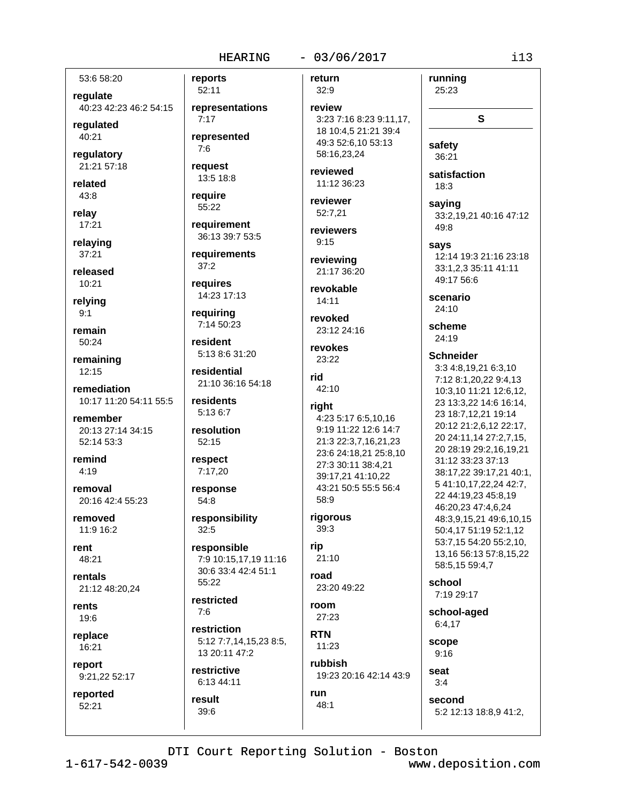### $-03/06/2017$

53:6 58:20

requlate 40:23 42:23 46:2 54:15

regulated 40:21

regulatory 21:21 57:18

related

 $43:8$ relay

 $17:21$ 

relaying  $37:21$ 

released 10:21

relying  $9:1$ 

remain 50:24

remaining  $12:15$ 

remediation 10:17 11:20 54:11 55:5

remember 20:13 27:14 34:15 52:14 53:3

remind  $4:19$ 

removal 20:16 42:4 55:23

removed 11:9 16:2

rent 48:21

rentals 21:12 48:20.24

rents 19:6

replace 16:21

report 9:21,22 52:17

reported 52:21

52:11 representations  $7:17$ represented

 $7:6$ reauest

13:5 18:8 require

reports

55:22 requirement

36:13 39:7 53:5

requirements  $37:2$ 

requires 14:23 17:13

requiring 7:14 50:23

resident 5:13 8:6 31:20

residential 21:10 36:16 54:18

residents 5:13 6:7

resolution 52:15

respect 7:17,20

response  $54:8$ 

responsibility  $32:5$ 

responsible 7:9 10:15,17,19 11:16 30:6 33:4 42:4 51:1 55:22

restricted  $7:6$ 

restriction 5:12 7:7,14,15,23 8:5, 13 20:11 47:2

restrictive 6:13 44:11

result  $39:6$ 

return 32:9

review 3:23 7:16 8:23 9:11,17, 18 10:4,5 21:21 39:4 49:3 52:6,10 53:13 58:16,23,24

reviewed 11:12 36:23

reviewer 52:7,21

reviewers  $9:15$ 

reviewing 21:17 36:20

revokable  $14:11$ 

revoked 23:12 24:16

revokes  $23:22$ 

rid 42:10

#### right

4:23 5:17 6:5,10,16 9:19 11:22 12:6 14:7 21:3 22:3,7,16,21,23 23:6 24:18,21 25:8,10 27:3 30:11 38:4,21 39:17.21 41:10.22 43:21 50:5 55:5 56:4 58:9

rigorous

## $39:3$ rip

 $21:10$ 

road 23:20 49:22

room  $27:23$ 

**RTN**  $11:23$ 

rubbish 19:23 20:16 42:14 43:9

DTI Court Reporting Solution - Boston

run

 $48:1$ 

satisfaction  $18:3$ saving 33:2,19,21 40:16 47:12 49:8 says 12:14 19:3 21:16 23:18 33:1,2,3 35:11 41:11 49:17 56:6 scenario  $24:10$ scheme  $24:19$ **Schneider** 3:3 4:8,19,21 6:3,10 7:12 8:1,20,22 9:4,13 10:3,10 11:21 12:6,12, 23 13:3,22 14:6 16:14, 23 18:7,12,21 19:14 20:12 21:2,6,12 22:17, 20 24:11.14 27:2.7.15. 20 28:19 29:2,16,19,21 31:12 33:23 37:13 38:17,22 39:17,21 40:1, 5 41:10,17,22,24 42:7, 22 44:19,23 45:8,19 46:20,23 47:4,6,24 48:3,9,15,21 49:6,10,15 50:4,17 51:19 52:1,12 53:7,15 54:20 55:2,10, 13,16 56:13 57:8,15,22 58:5,15 59:4,7

school 7:19 29:17

school-aged  $6:4,17$ 

scope  $9:16$ 

 $3:4$ 

seat

second

5:2 12:13 18:8,9 41:2,

 $i13$ 

running

25:23

safety

36:21

S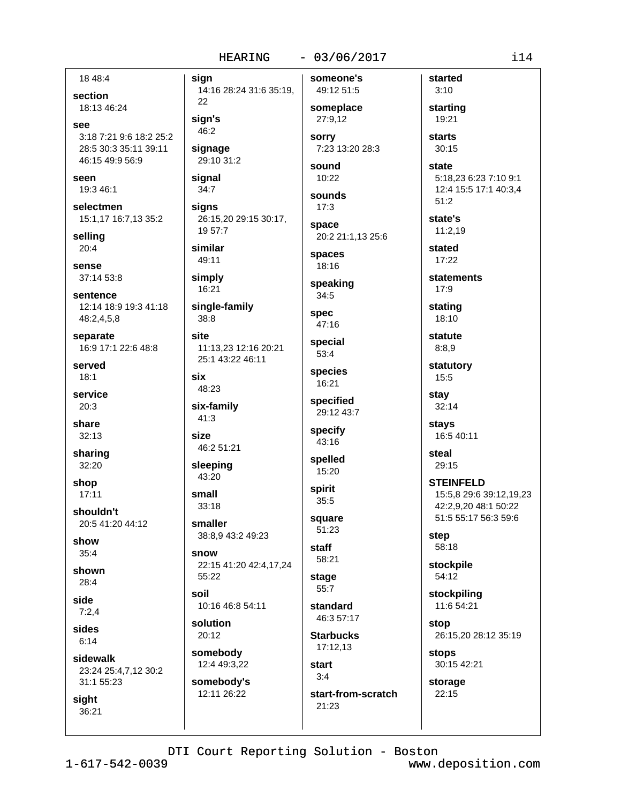#### $-03/06/2017$

someone's

18 48:4

section 18:13 46:24

see

3:18 7:21 9:6 18:2 25:2 28:5 30:3 35:11 39:11 46:15 49:9 56:9

seen 19:3 46:1

selectmen 15:1,17 16:7,13 35:2

sellina  $20:4$ 

sense 37:14 53:8

sentence 12:14 18:9 19:3 41:18 48:2,4,5,8

separate 16:9 17:1 22:6 48:8

served  $18:1$ 

service  $20:3$ 

share  $32:13$ 

sharing 32:20

shop  $17:11$ 

shouldn't 20:5 41:20 44:12

show  $35:4$ 

shown  $28:4$ 

side

 $7:2.4$ 

sides  $6:14$ 

sidewalk 23:24 25:4,7,12 30:2 31:1 55:23

sight 36:21 sian 14:16 28:24 31:6 35:19, 22 sian's  $46:2$ signage 29:10 31:2 signal  $34:7$ signs 26:15,20 29:15 30:17, 19 57:7

similar 49:11

simply 16:21

single-family  $38:8$ 

site 11:13,23 12:16 20:21 25:1 43:22 46:11

six 48:23

six-family  $41:3$ 

size 46:2 51:21

sleeping 43:20

small  $33:18$ smaller

38:8,9 43:2 49:23

snow 22:15 41:20 42:4,17,24

55:22 10:16 46:8 54:11

solution 20:12

soil

somebody 12:4 49:3,22 somebody's

12:11 26:22

49:12 51:5 someplace 27:9,12 **SOFFY** 7:23 13:20 28:3

sound  $10:22$ 

sounds  $17:3$ 

space 20:2 21:1,13 25:6

spaces 18:16

speaking  $34:5$ 

spec 47:16

special  $53:4$ 

species 16:21

specified 29:12 43:7

specify 43:16

spelled 15:20

spirit  $35:5$ 

square  $51:23$ 

staff 58:21

stage

 $55:7$ standard

46:3 57:17

**Starbucks** 17:12,13

start  $3:4$ 

21:23

start-from-scratch

starting 19:21 starts 30:15

started

 $3:10$ 

state 5:18.23 6:23 7:10 9:1 12:4 15:5 17:1 40:3,4 51:2

state's  $11:2,19$ 

stated 17:22

statements  $17:9$ 

stating 18:10

statute  $8:8.9$ 

statutory 15:5

stay  $32:14$ 

stays 16:5 40:11

steal  $29:15$ 

**STEINFELD** 15:5,8 29:6 39:12,19,23 42:2,9,20 48:1 50:22

51:5 55:17 56:3 59:6

step 58:18

stockpile 54:12

stockpiling 11:6 54:21

stop 26:15,20 28:12 35:19

30:15 42:21 storage

22:15

stops

DTI Court Reporting Solution - Boston

 $1 - 617 - 542 - 0039$ 

www.deposition.com

 $i14$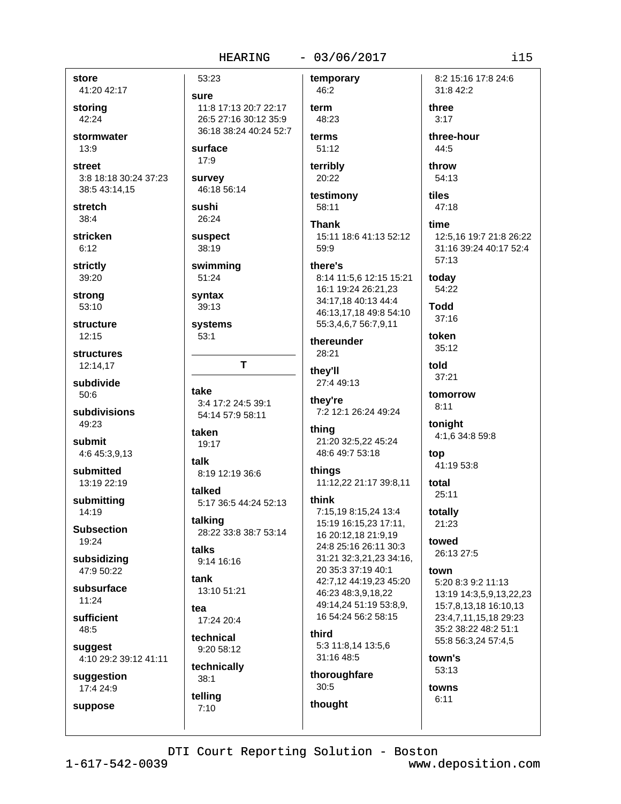#### $-03/06/2017$

store 41:20 42:17 storing 42:24 stormwater  $13:9$ street 3:8 18:18 30:24 37:23 38:5 43:14.15 stretch  $38:4$ stricken

 $6:12$ 

strictly 39:20

strong  $53:10$ 

structure  $12:15$ 

**structures** 12:14,17

subdivide  $50:6$ 

subdivisions 49:23

submit 4:6 45:3,9,13

submitted 13:19 22:19

submitting 14:19

**Subsection** 19:24

subsidizing 47:9 50:22

subsurface  $11:24$ 

sufficient 48:5

suggest 4:10 29:2 39:12 41:11

telling

 $7:10$ 

suggestion 17:4 24:9

suppose

53:23 temporary sure 11:8 17:13 20:7 22:17 term 26:5 27:16 30:12 35:9 36:18 38:24 40:24 52:7 surface  $17:9$ survey 46:18 56:14 sushi 26:24 **Thank suspect** 38:19 59:9 swimming there's 51:24 syntax  $39:13$ systems  $53:1$ T take thev're 3:4 17:2 24:5 39:1 54:14 57:9 58:11 taken 19:17 talk things 8:19 12:19 36:6 talked 5:17 36:5 44:24 52:13 talking 28:22 33:8 38:7 53:14 talks 9:14 16:16 tank 13:10 51:21 tea 17:24 20:4 technical  $9:2058:12$ technically thoroughfare  $38:1$ 

46:2 48:23 terms 51:12 terribly 20:22

testimony

58:11

time 15:11 18:6 41:13 52:12

8:14 11:5,6 12:15 15:21

16:1 19:24 26:21,23 34:17,18 40:13 44:4 46:13,17,18 49:8 54:10 55:3,4,6,7 56:7,9,11

thereunder 28:21

they'll 27:4 49:13

7:2 12:1 26:24 49:24

thing 21:20 32:5,22 45:24 48:6 49:7 53:18

# 11:12.22 21:17 39:8.11

think

7:15.19 8:15.24 13:4 15:19 16:15,23 17:11, 16 20:12,18 21:9,19 24:8 25:16 26:11 30:3 31:21 32:3,21,23 34:16, 20 35:3 37:19 40:1 42:7,12 44:19,23 45:20 46:23 48:3,9,18,22 49:14,24 51:19 53:8,9, 16 54:24 56:2 58:15 third 5:3 11:8,14 13:5,6

31:16 48:5

 $30:5$ thought

31:8 42:2 three  $3:17$ three-hour 44:5 throw 54:13 47:18

8:2 15:16 17:8 24:6

12:5.16 19:7 21:8 26:22 31:16 39:24 40:17 52:4 57:13

today 54:22

tiles

**hhoT**  $37:16$ 

 $35.12$ told

token

37:21 tomorrow

 $8:11$ 

tonight 4:1,6 34:8 59:8

top 41:19 53:8

total  $25:11$ 

totally 21:23

towed 26:13 27:5

#### town

5:20 8:3 9:2 11:13 13:19 14:3,5,9,13,22,23 15:7,8,13,18 16:10,13 23:4,7,11,15,18 29:23 35:2 38:22 48:2 51:1 55:8 56:3,24 57:4,5

town's 53:13

towns  $6:11$ 

DTI Court Reporting Solution - Boston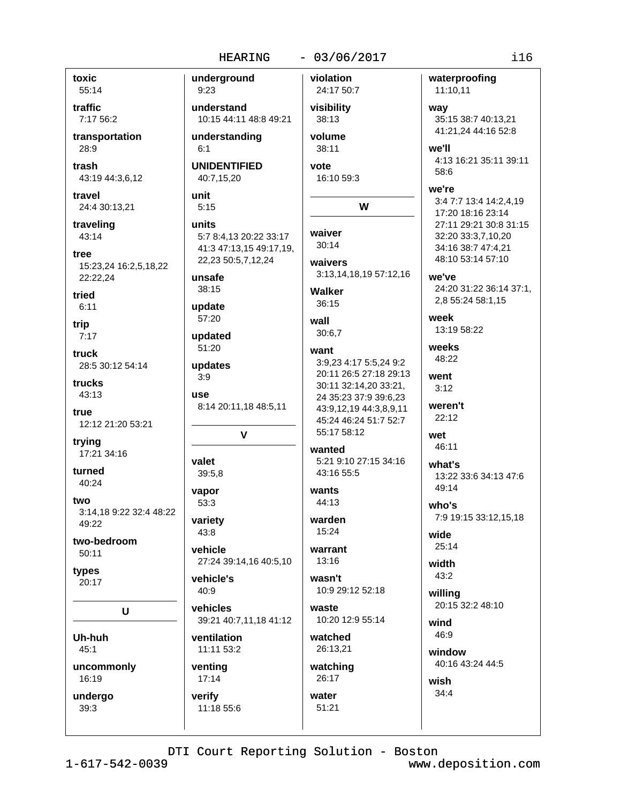#### $-03/06/2017$

toxic 55:14

traffic 7:17 56:2

transportation 28:9

trash 43:19 44:3,6,12

travel 24:4 30:13,21

traveling 43:14

tree 15:23,24 16:2,5,18,22 22:22,24

tried  $6:11$ 

trip  $7:17$ 

truck 28:5 30:12 54:14

trucks  $43:13$ 

true 12:12 21:20 53:21

trying 17:21 34:16

turned 40:24

two 3:14.18 9:22 32:4 48:22  $49.22$ 

two-bedroom  $50:11$ 

types 20:17

U

Uh-huh  $45:1$ 

uncommonly 16:19

undergo 39:3

underground  $9:23$ understand 10:15 44:11 48:8 49:21 understanding 38:11  $6:1$ **UNIDENTIFIED** vote 40:7,15,20 unit  $5:15$ units 5:7 8:4.13 20:22 33:17 41:3 47:13,15 49:17,19, 22,23 50:5,7,12,24 unsafe 38:15 update 57:20 wall updated 51:20 want updates  $3:9$ use 8:14 20:11,18 48:5,11  $\mathbf v$ valet 39:5,8 vapor wants 53:3 variety  $43:8$ vehicle 27:24 39:14,16 40:5,10 vehicle's  $40.9$ vehicles waste 39:21 40:7,11,18 41:12 ventilation 11:11 53:2 venting  $17:14$ verify water 11:18 55:6 51:21

violation 24:17 50:7 visibility way 38:13 volume we'll 58:6 16:10 59:3 we're W waiver  $30:14$ waivers 3:13,14,18,19 57:12,16 we've **Walker** 36:15 week  $30:6.7$ weeks 48:22 3:9.23 4:17 5:5.24 9:2 20:11 26:5 27:18 29:13 went 30:11 32:14,20 33:21,  $3:12$ 24 35:23 37:9 39:6,23 weren't 43:9,12,19 44:3,8,9,11  $22:12$ 45:24 46:24 51:7 52:7 55:17 58:12 wet 46:11 wanted 5:21 9:10 27:15 34:16 what's 43:16 55:5 49:14 44:13  $who's$ warden 15:24 wide  $25:14$ warrant  $13:16$ width 43:2 wasn't 10:9 29:12 52:18 willina 10:20 12:9 55:14 wind 46:9 watched 26:13,21 window watching 26:17 wish  $34:4$ 

waterproofing 11:10,11 35:15 38:7 40:13,21 41:21,24 44:16 52:8 4:13 16:21 35:11 39:11 3:4 7:7 13:4 14:2,4,19 17:20 18:16 23:14 27:11 29:21 30:8 31:15 32:20 33:3,7,10,20 34:16 38:7 47:4,21 48:10 53:14 57:10 24:20 31:22 36:14 37:1, 2,8 55:24 58:1,15 13:19 58:22 13:22 33:6 34:13 47:6 7:9 19:15 33:12,15,18 20:15 32:2 48:10

40:16 43:24 44:5

DTI Court Reporting Solution - Boston

www.deposition.com